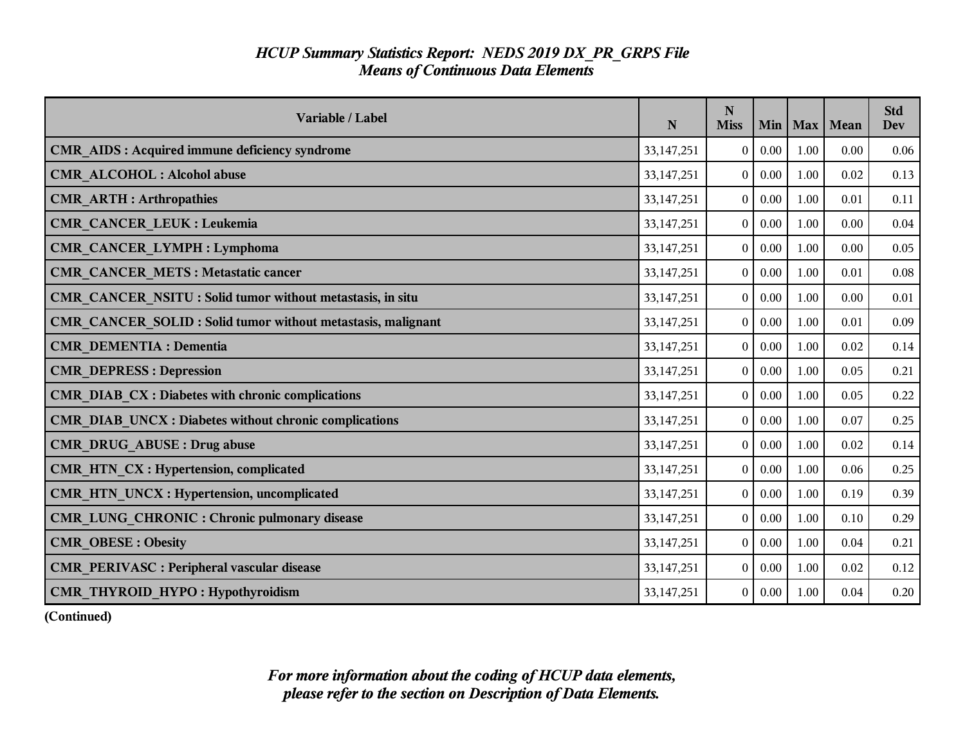| Variable / Label                                             | ${\bf N}$    | N<br><b>Miss</b> | Min  | Max  | Mean | <b>Std</b><br><b>Dev</b> |
|--------------------------------------------------------------|--------------|------------------|------|------|------|--------------------------|
| <b>CMR_AIDS: Acquired immune deficiency syndrome</b>         | 33, 147, 251 | $\overline{0}$   | 0.00 | 1.00 | 0.00 | 0.06                     |
| <b>CMR ALCOHOL: Alcohol abuse</b>                            | 33, 147, 251 | $\bf{0}$         | 0.00 | 1.00 | 0.02 | 0.13                     |
| <b>CMR ARTH: Arthropathies</b>                               | 33,147,251   | $\overline{0}$   | 0.00 | 1.00 | 0.01 | 0.11                     |
| <b>CMR_CANCER_LEUK: Leukemia</b>                             | 33, 147, 251 | $\overline{0}$   | 0.00 | 1.00 | 0.00 | 0.04                     |
| <b>CMR_CANCER_LYMPH: Lymphoma</b>                            | 33,147,251   | $\mathbf{0}$     | 0.00 | 1.00 | 0.00 | 0.05                     |
| <b>CMR CANCER METS: Metastatic cancer</b>                    | 33,147,251   | $\Omega$         | 0.00 | 1.00 | 0.01 | 0.08                     |
| CMR_CANCER_NSITU: Solid tumor without metastasis, in situ    | 33, 147, 251 | $\bf{0}$         | 0.00 | 1.00 | 0.00 | 0.01                     |
| CMR CANCER SOLID : Solid tumor without metastasis, malignant | 33,147,251   | $\overline{0}$   | 0.00 | 1.00 | 0.01 | 0.09                     |
| <b>CMR DEMENTIA : Dementia</b>                               | 33,147,251   | $\overline{0}$   | 0.00 | 1.00 | 0.02 | 0.14                     |
| <b>CMR DEPRESS: Depression</b>                               | 33,147,251   | $\mathbf{0}$     | 0.00 | 1.00 | 0.05 | 0.21                     |
| CMR DIAB CX : Diabetes with chronic complications            | 33, 147, 251 | $\overline{0}$   | 0.00 | 1.00 | 0.05 | 0.22                     |
| CMR DIAB UNCX : Diabetes without chronic complications       | 33,147,251   | $\bf{0}$         | 0.00 | 1.00 | 0.07 | 0.25                     |
| <b>CMR DRUG ABUSE: Drug abuse</b>                            | 33,147,251   | $\overline{0}$   | 0.00 | 1.00 | 0.02 | 0.14                     |
| CMR HTN CX : Hypertension, complicated                       | 33,147,251   | $\overline{0}$   | 0.00 | 1.00 | 0.06 | 0.25                     |
| <b>CMR_HTN_UNCX: Hypertension, uncomplicated</b>             | 33,147,251   | $\mathbf{0}$     | 0.00 | 1.00 | 0.19 | 0.39                     |
| <b>CMR_LUNG_CHRONIC : Chronic pulmonary disease</b>          | 33,147,251   | $\overline{0}$   | 0.00 | 1.00 | 0.10 | 0.29                     |
| <b>CMR OBESE: Obesity</b>                                    | 33,147,251   | $\mathbf{0}$     | 0.00 | 1.00 | 0.04 | 0.21                     |
| <b>CMR PERIVASC : Peripheral vascular disease</b>            | 33,147,251   | $\overline{0}$   | 0.00 | 1.00 | 0.02 | 0.12                     |
| CMR THYROID HYPO: Hypothyroidism                             | 33,147,251   | $\overline{0}$   | 0.00 | 1.00 | 0.04 | 0.20                     |

**(Continued)**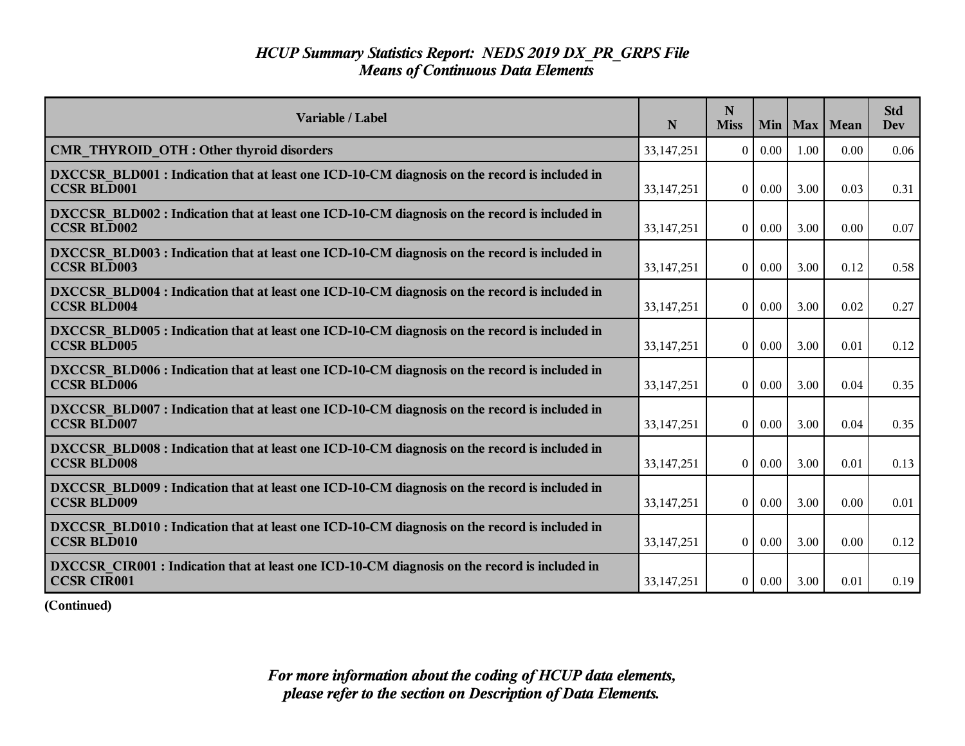| Variable / Label                                                                                                    | N            | N<br><b>Miss</b> | Min      | $Max \mid$ | Mean | <b>Std</b><br><b>Dev</b> |
|---------------------------------------------------------------------------------------------------------------------|--------------|------------------|----------|------------|------|--------------------------|
| CMR THYROID OTH : Other thyroid disorders                                                                           | 33, 147, 251 | $\Omega$         | 0.00     | 1.00       | 0.00 | 0.06                     |
| DXCCSR BLD001 : Indication that at least one ICD-10-CM diagnosis on the record is included in<br><b>CCSR BLD001</b> | 33, 147, 251 | $\overline{0}$   | $0.00\,$ | 3.00       | 0.03 | 0.31                     |
| DXCCSR BLD002 : Indication that at least one ICD-10-CM diagnosis on the record is included in<br><b>CCSR BLD002</b> | 33,147,251   | $\overline{0}$   | $0.00\,$ | 3.00       | 0.00 | 0.07                     |
| DXCCSR BLD003 : Indication that at least one ICD-10-CM diagnosis on the record is included in<br><b>CCSR BLD003</b> | 33, 147, 251 | $\theta$         | 0.00     | 3.00       | 0.12 | 0.58                     |
| DXCCSR BLD004 : Indication that at least one ICD-10-CM diagnosis on the record is included in<br><b>CCSR BLD004</b> | 33, 147, 251 | $\theta$         | 0.00     | 3.00       | 0.02 | 0.27                     |
| DXCCSR BLD005 : Indication that at least one ICD-10-CM diagnosis on the record is included in<br><b>CCSR BLD005</b> | 33, 147, 251 | $\theta$         | $0.00\,$ | 3.00       | 0.01 | 0.12                     |
| DXCCSR BLD006 : Indication that at least one ICD-10-CM diagnosis on the record is included in<br><b>CCSR BLD006</b> | 33,147,251   | $\theta$         | $0.00\,$ | 3.00       | 0.04 | 0.35                     |
| DXCCSR BLD007 : Indication that at least one ICD-10-CM diagnosis on the record is included in<br><b>CCSR BLD007</b> | 33, 147, 251 | $\theta$         | 0.00     | 3.00       | 0.04 | 0.35                     |
| DXCCSR BLD008 : Indication that at least one ICD-10-CM diagnosis on the record is included in<br><b>CCSR BLD008</b> | 33, 147, 251 | $\overline{0}$   | $0.00\,$ | 3.00       | 0.01 | 0.13                     |
| DXCCSR BLD009 : Indication that at least one ICD-10-CM diagnosis on the record is included in<br><b>CCSR BLD009</b> | 33,147,251   | $\overline{0}$   | 0.00     | 3.00       | 0.00 | 0.01                     |
| DXCCSR BLD010 : Indication that at least one ICD-10-CM diagnosis on the record is included in<br><b>CCSR BLD010</b> | 33,147,251   | $\overline{0}$   | 0.00     | 3.00       | 0.00 | 0.12                     |
| DXCCSR CIR001 : Indication that at least one ICD-10-CM diagnosis on the record is included in<br><b>CCSR CIR001</b> | 33, 147, 251 | $\mathbf{0}$     | 0.00     | 3.00       | 0.01 | 0.19                     |

**(Continued)**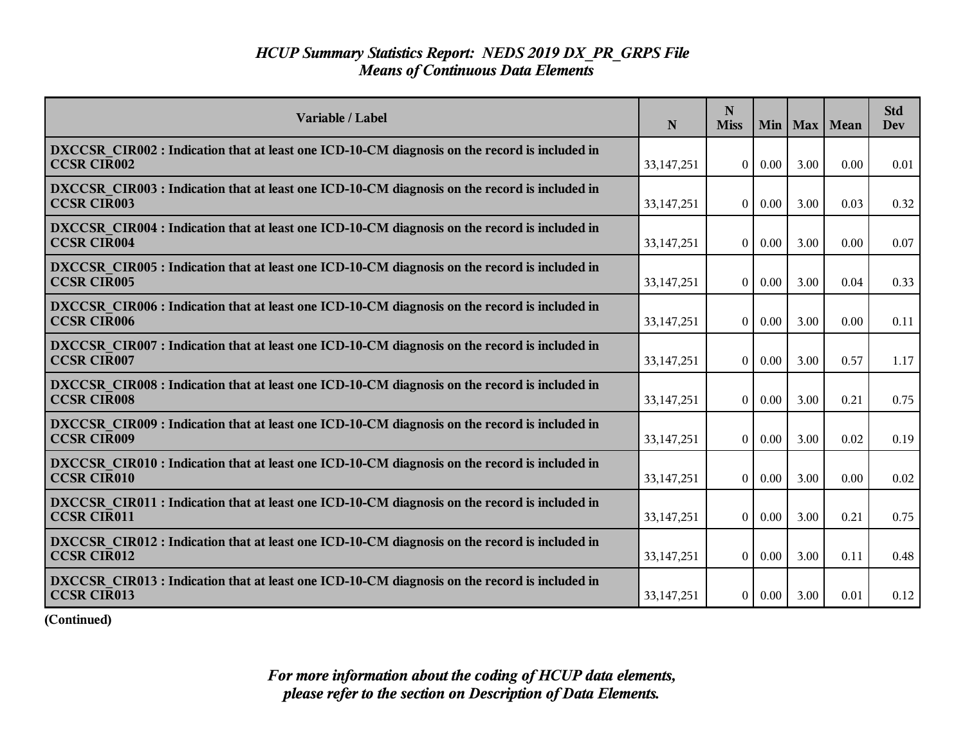| Variable / Label                                                                                                    | N            | N<br><b>Miss</b> | Min      |      | Max   Mean | <b>Std</b><br>Dev |
|---------------------------------------------------------------------------------------------------------------------|--------------|------------------|----------|------|------------|-------------------|
| DXCCSR CIR002 : Indication that at least one ICD-10-CM diagnosis on the record is included in<br><b>CCSR CIR002</b> | 33, 147, 251 | $\overline{0}$   | $0.00\,$ | 3.00 | 0.00       | 0.01              |
| DXCCSR CIR003 : Indication that at least one ICD-10-CM diagnosis on the record is included in<br><b>CCSR CIR003</b> | 33,147,251   | $\overline{0}$   | $0.00\,$ | 3.00 | 0.03       | 0.32              |
| DXCCSR CIR004 : Indication that at least one ICD-10-CM diagnosis on the record is included in<br><b>CCSR CIR004</b> | 33,147,251   | $\theta$         | $0.00\,$ | 3.00 | 0.00       | 0.07              |
| DXCCSR CIR005 : Indication that at least one ICD-10-CM diagnosis on the record is included in<br><b>CCSR CIR005</b> | 33, 147, 251 | $\overline{0}$   | $0.00\,$ | 3.00 | 0.04       | 0.33              |
| DXCCSR_CIR006 : Indication that at least one ICD-10-CM diagnosis on the record is included in<br><b>CCSR CIR006</b> | 33, 147, 251 | $\overline{0}$   | 0.00     | 3.00 | 0.00       | 0.11              |
| DXCCSR CIR007 : Indication that at least one ICD-10-CM diagnosis on the record is included in<br><b>CCSR CIR007</b> | 33, 147, 251 | $\overline{0}$   | 0.00     | 3.00 | 0.57       | 1.17              |
| DXCCSR CIR008 : Indication that at least one ICD-10-CM diagnosis on the record is included in<br><b>CCSR CIR008</b> | 33, 147, 251 | $\theta$         | $0.00\,$ | 3.00 | 0.21       | 0.75              |
| DXCCSR CIR009 : Indication that at least one ICD-10-CM diagnosis on the record is included in<br><b>CCSR CIR009</b> | 33, 147, 251 | $\overline{0}$   | 0.00     | 3.00 | 0.02       | 0.19              |
| DXCCSR CIR010 : Indication that at least one ICD-10-CM diagnosis on the record is included in<br><b>CCSR CIR010</b> | 33,147,251   | $\theta$         | 0.00     | 3.00 | 0.00       | 0.02              |
| DXCCSR CIR011 : Indication that at least one ICD-10-CM diagnosis on the record is included in<br><b>CCSR CIR011</b> | 33, 147, 251 | $\mathbf{0}$     | 0.00     | 3.00 | 0.21       | 0.75              |
| DXCCSR CIR012 : Indication that at least one ICD-10-CM diagnosis on the record is included in<br><b>CCSR CIR012</b> | 33, 147, 251 | $\overline{0}$   | $0.00\,$ | 3.00 | 0.11       | 0.48              |
| DXCCSR CIR013 : Indication that at least one ICD-10-CM diagnosis on the record is included in<br><b>CCSR CIR013</b> | 33, 147, 251 | 0 <sup>1</sup>   | $0.00\,$ | 3.00 | 0.01       | 0.12              |

**(Continued)**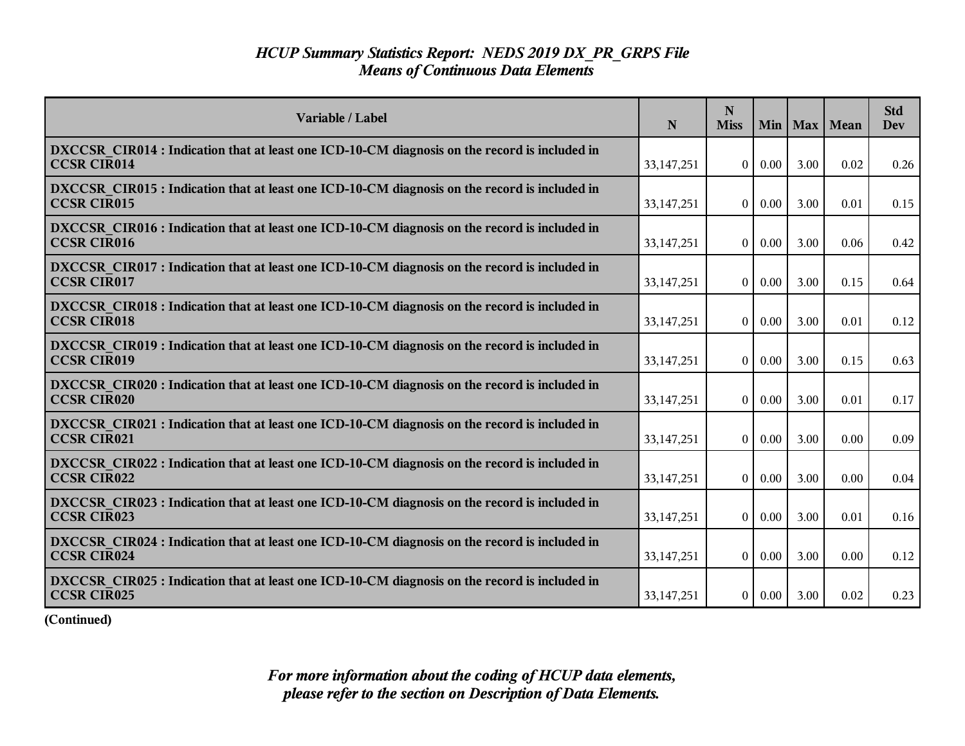| Variable / Label                                                                                                    | N            | N<br><b>Miss</b> | Min           |      | Max   Mean | <b>Std</b><br><b>Dev</b> |
|---------------------------------------------------------------------------------------------------------------------|--------------|------------------|---------------|------|------------|--------------------------|
| DXCCSR CIR014 : Indication that at least one ICD-10-CM diagnosis on the record is included in<br><b>CCSR CIR014</b> | 33, 147, 251 | $\overline{0}$   | $0.00\,$      | 3.00 | 0.02       | 0.26                     |
| DXCCSR CIR015 : Indication that at least one ICD-10-CM diagnosis on the record is included in<br><b>CCSR CIR015</b> | 33, 147, 251 | $\theta$         | $0.00\,$      | 3.00 | 0.01       | 0.15                     |
| DXCCSR CIR016 : Indication that at least one ICD-10-CM diagnosis on the record is included in<br><b>CCSR CIR016</b> | 33, 147, 251 | $\mathbf{0}$     | 0.00          | 3.00 | 0.06       | 0.42                     |
| DXCCSR CIR017 : Indication that at least one ICD-10-CM diagnosis on the record is included in<br><b>CCSR CIR017</b> | 33, 147, 251 | $\theta$         | $0.00\,$      | 3.00 | 0.15       | 0.64                     |
| DXCCSR CIR018 : Indication that at least one ICD-10-CM diagnosis on the record is included in<br><b>CCSR CIR018</b> | 33, 147, 251 | $\overline{0}$   | 0.00          | 3.00 | 0.01       | 0.12                     |
| DXCCSR CIR019 : Indication that at least one ICD-10-CM diagnosis on the record is included in<br><b>CCSR CIR019</b> | 33,147,251   | $\mathbf{0}$     | 0.00          | 3.00 | 0.15       | 0.63                     |
| DXCCSR CIR020 : Indication that at least one ICD-10-CM diagnosis on the record is included in<br><b>CCSR CIR020</b> | 33,147,251   | $\overline{0}$   | $0.00\,$      | 3.00 | 0.01       | 0.17                     |
| DXCCSR CIR021 : Indication that at least one ICD-10-CM diagnosis on the record is included in<br><b>CCSR CIR021</b> | 33, 147, 251 | $\overline{0}$   | 0.00          | 3.00 | 0.00       | 0.09                     |
| DXCCSR CIR022 : Indication that at least one ICD-10-CM diagnosis on the record is included in<br><b>CCSR CIR022</b> | 33,147,251   | $\overline{0}$   | $0.00\,$      | 3.00 | 0.00       | 0.04                     |
| DXCCSR CIR023 : Indication that at least one ICD-10-CM diagnosis on the record is included in<br><b>CCSR CIR023</b> | 33, 147, 251 | $\theta$         | 0.00          | 3.00 | 0.01       | 0.16                     |
| DXCCSR CIR024 : Indication that at least one ICD-10-CM diagnosis on the record is included in<br><b>CCSR CIR024</b> | 33,147,251   | $\overline{0}$   | $0.00\,$      | 3.00 | 0.00       | 0.12                     |
| DXCCSR CIR025 : Indication that at least one ICD-10-CM diagnosis on the record is included in<br><b>CCSR CIR025</b> | 33, 147, 251 |                  | $0 \mid 0.00$ | 3.00 | 0.02       | 0.23                     |

**(Continued)**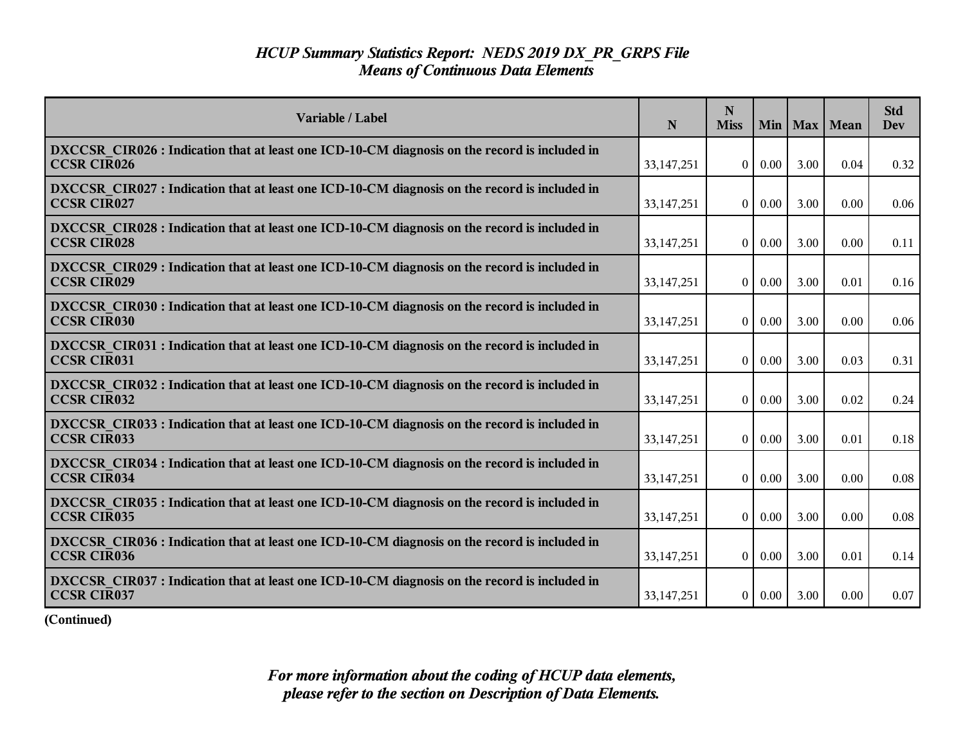| Variable / Label                                                                                                    | N            | N<br><b>Miss</b> | Min           |      | Max   Mean | <b>Std</b><br><b>Dev</b> |
|---------------------------------------------------------------------------------------------------------------------|--------------|------------------|---------------|------|------------|--------------------------|
| DXCCSR CIR026 : Indication that at least one ICD-10-CM diagnosis on the record is included in<br><b>CCSR CIR026</b> | 33, 147, 251 | $\overline{0}$   | $0.00\,$      | 3.00 | 0.04       | 0.32                     |
| DXCCSR CIR027 : Indication that at least one ICD-10-CM diagnosis on the record is included in<br><b>CCSR CIR027</b> | 33, 147, 251 | $\theta$         | $0.00\,$      | 3.00 | 0.00       | 0.06                     |
| DXCCSR CIR028 : Indication that at least one ICD-10-CM diagnosis on the record is included in<br><b>CCSR CIR028</b> | 33, 147, 251 | $\mathbf{0}$     | 0.00          | 3.00 | 0.00       | 0.11                     |
| DXCCSR CIR029 : Indication that at least one ICD-10-CM diagnosis on the record is included in<br><b>CCSR CIR029</b> | 33, 147, 251 | $\theta$         | $0.00\,$      | 3.00 | 0.01       | 0.16                     |
| DXCCSR CIR030 : Indication that at least one ICD-10-CM diagnosis on the record is included in<br><b>CCSR CIR030</b> | 33, 147, 251 | $\overline{0}$   | 0.00          | 3.00 | 0.00       | 0.06                     |
| DXCCSR CIR031 : Indication that at least one ICD-10-CM diagnosis on the record is included in<br><b>CCSR CIR031</b> | 33, 147, 251 | $\overline{0}$   | 0.00          | 3.00 | 0.03       | 0.31                     |
| DXCCSR CIR032 : Indication that at least one ICD-10-CM diagnosis on the record is included in<br><b>CCSR CIR032</b> | 33,147,251   | $\overline{0}$   | $0.00\,$      | 3.00 | 0.02       | 0.24                     |
| DXCCSR CIR033 : Indication that at least one ICD-10-CM diagnosis on the record is included in<br><b>CCSR CIR033</b> | 33, 147, 251 | $\overline{0}$   | 0.00          | 3.00 | 0.01       | 0.18                     |
| DXCCSR CIR034 : Indication that at least one ICD-10-CM diagnosis on the record is included in<br><b>CCSR CIR034</b> | 33,147,251   | $\overline{0}$   | $0.00\,$      | 3.00 | 0.00       | 0.08                     |
| DXCCSR CIR035 : Indication that at least one ICD-10-CM diagnosis on the record is included in<br><b>CCSR CIR035</b> | 33, 147, 251 | $\theta$         | 0.00          | 3.00 | 0.00       | 0.08                     |
| DXCCSR CIR036 : Indication that at least one ICD-10-CM diagnosis on the record is included in<br><b>CCSR CIR036</b> | 33,147,251   | $\overline{0}$   | $0.00\,$      | 3.00 | 0.01       | 0.14                     |
| DXCCSR CIR037 : Indication that at least one ICD-10-CM diagnosis on the record is included in<br><b>CCSR CIR037</b> | 33, 147, 251 |                  | $0 \mid 0.00$ | 3.00 | 0.00       | 0.07                     |

**(Continued)**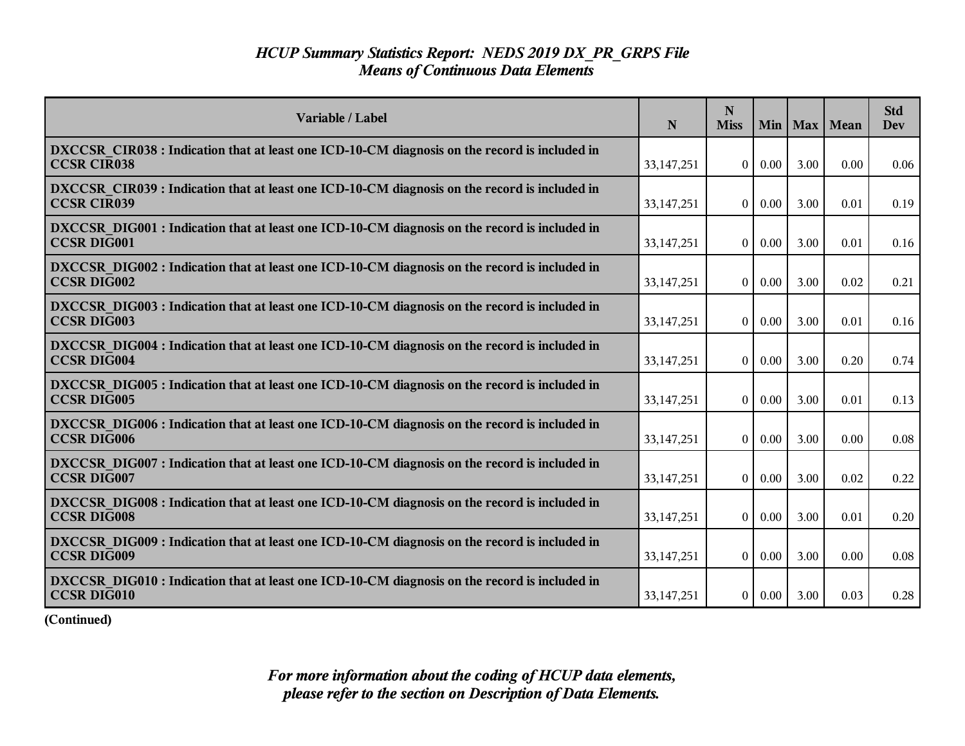| Variable / Label                                                                                                    | N            | N<br><b>Miss</b> | Min      |      | Max   Mean | <b>Std</b><br>Dev |
|---------------------------------------------------------------------------------------------------------------------|--------------|------------------|----------|------|------------|-------------------|
| DXCCSR CIR038 : Indication that at least one ICD-10-CM diagnosis on the record is included in<br><b>CCSR CIR038</b> | 33, 147, 251 | $\theta$         | 0.00     | 3.00 | 0.00       | 0.06              |
| DXCCSR CIR039 : Indication that at least one ICD-10-CM diagnosis on the record is included in<br><b>CCSR CIR039</b> | 33, 147, 251 | $\overline{0}$   | 0.00     | 3.00 | 0.01       | 0.19              |
| DXCCSR DIG001 : Indication that at least one ICD-10-CM diagnosis on the record is included in<br><b>CCSR DIG001</b> | 33,147,251   | $\Omega$         | 0.00     | 3.00 | 0.01       | 0.16              |
| DXCCSR DIG002 : Indication that at least one ICD-10-CM diagnosis on the record is included in<br><b>CCSR DIG002</b> | 33, 147, 251 | $\theta$         | 0.00     | 3.00 | 0.02       | 0.21              |
| DXCCSR DIG003 : Indication that at least one ICD-10-CM diagnosis on the record is included in<br><b>CCSR DIG003</b> | 33, 147, 251 | $\overline{0}$   | $0.00\,$ | 3.00 | 0.01       | 0.16              |
| DXCCSR DIG004 : Indication that at least one ICD-10-CM diagnosis on the record is included in<br><b>CCSR DIG004</b> | 33, 147, 251 | $\theta$         | 0.00     | 3.00 | 0.20       | 0.74              |
| DXCCSR DIG005 : Indication that at least one ICD-10-CM diagnosis on the record is included in<br><b>CCSR DIG005</b> | 33, 147, 251 | $\theta$         | $0.00\,$ | 3.00 | 0.01       | 0.13              |
| DXCCSR DIG006 : Indication that at least one ICD-10-CM diagnosis on the record is included in<br><b>CCSR DIG006</b> | 33, 147, 251 | $\overline{0}$   | 0.00     | 3.00 | 0.00       | 0.08              |
| DXCCSR DIG007 : Indication that at least one ICD-10-CM diagnosis on the record is included in<br><b>CCSR DIG007</b> | 33, 147, 251 | $\theta$         | 0.00     | 3.00 | 0.02       | 0.22              |
| DXCCSR DIG008 : Indication that at least one ICD-10-CM diagnosis on the record is included in<br><b>CCSR DIG008</b> | 33,147,251   | $\mathbf{0}$     | 0.00     | 3.00 | 0.01       | 0.20              |
| DXCCSR DIG009 : Indication that at least one ICD-10-CM diagnosis on the record is included in<br><b>CCSR DIG009</b> | 33, 147, 251 | $\overline{0}$   | 0.00     | 3.00 | 0.00       | 0.08              |
| DXCCSR DIG010 : Indication that at least one ICD-10-CM diagnosis on the record is included in<br>CCSR DIG010        | 33, 147, 251 | $\overline{0}$   | 0.00     | 3.00 | 0.03       | 0.28              |

**(Continued)**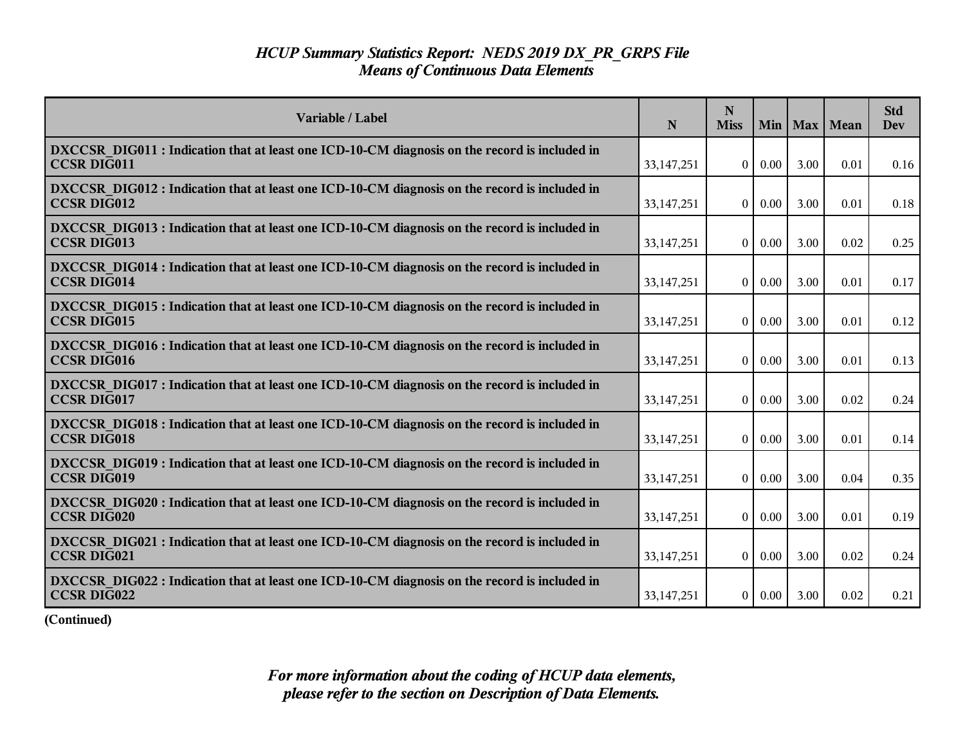| Variable / Label                                                                                                    | N            | N<br><b>Miss</b> | Min           |      | Max   Mean | <b>Std</b><br><b>Dev</b> |
|---------------------------------------------------------------------------------------------------------------------|--------------|------------------|---------------|------|------------|--------------------------|
| DXCCSR DIG011 : Indication that at least one ICD-10-CM diagnosis on the record is included in<br><b>CCSR DIG011</b> | 33, 147, 251 | $\overline{0}$   | $0.00\,$      | 3.00 | 0.01       | 0.16                     |
| DXCCSR DIG012 : Indication that at least one ICD-10-CM diagnosis on the record is included in<br><b>CCSR DIG012</b> | 33, 147, 251 | $\theta$         | $0.00\,$      | 3.00 | 0.01       | 0.18                     |
| DXCCSR DIG013 : Indication that at least one ICD-10-CM diagnosis on the record is included in<br><b>CCSR DIG013</b> | 33, 147, 251 | $\overline{0}$   | 0.00          | 3.00 | 0.02       | 0.25                     |
| DXCCSR DIG014 : Indication that at least one ICD-10-CM diagnosis on the record is included in<br><b>CCSR DIG014</b> | 33, 147, 251 | $\theta$         | $0.00\,$      | 3.00 | 0.01       | 0.17                     |
| DXCCSR DIG015 : Indication that at least one ICD-10-CM diagnosis on the record is included in<br><b>CCSR DIG015</b> | 33, 147, 251 | $\overline{0}$   | 0.00          | 3.00 | 0.01       | 0.12                     |
| DXCCSR DIG016 : Indication that at least one ICD-10-CM diagnosis on the record is included in<br><b>CCSR DIG016</b> | 33,147,251   | $\overline{0}$   | 0.00          | 3.00 | 0.01       | 0.13                     |
| DXCCSR DIG017 : Indication that at least one ICD-10-CM diagnosis on the record is included in<br><b>CCSR DIG017</b> | 33,147,251   | $\overline{0}$   | 0.00          | 3.00 | 0.02       | 0.24                     |
| DXCCSR DIG018 : Indication that at least one ICD-10-CM diagnosis on the record is included in<br><b>CCSR DIG018</b> | 33, 147, 251 | $\overline{0}$   | 0.00          | 3.00 | 0.01       | 0.14                     |
| DXCCSR DIG019 : Indication that at least one ICD-10-CM diagnosis on the record is included in<br><b>CCSR DIG019</b> | 33,147,251   | $\theta$         | 0.00          | 3.00 | 0.04       | 0.35                     |
| DXCCSR DIG020 : Indication that at least one ICD-10-CM diagnosis on the record is included in<br><b>CCSR DIG020</b> | 33, 147, 251 | $\theta$         | 0.00          | 3.00 | 0.01       | 0.19                     |
| DXCCSR_DIG021 : Indication that at least one ICD-10-CM diagnosis on the record is included in<br><b>CCSR DIG021</b> | 33,147,251   | $\overline{0}$   | $0.00\,$      | 3.00 | 0.02       | 0.24                     |
| DXCCSR DIG022 : Indication that at least one ICD-10-CM diagnosis on the record is included in<br>CCSR DIG022        | 33, 147, 251 |                  | $0 \mid 0.00$ | 3.00 | 0.02       | 0.21                     |

**(Continued)**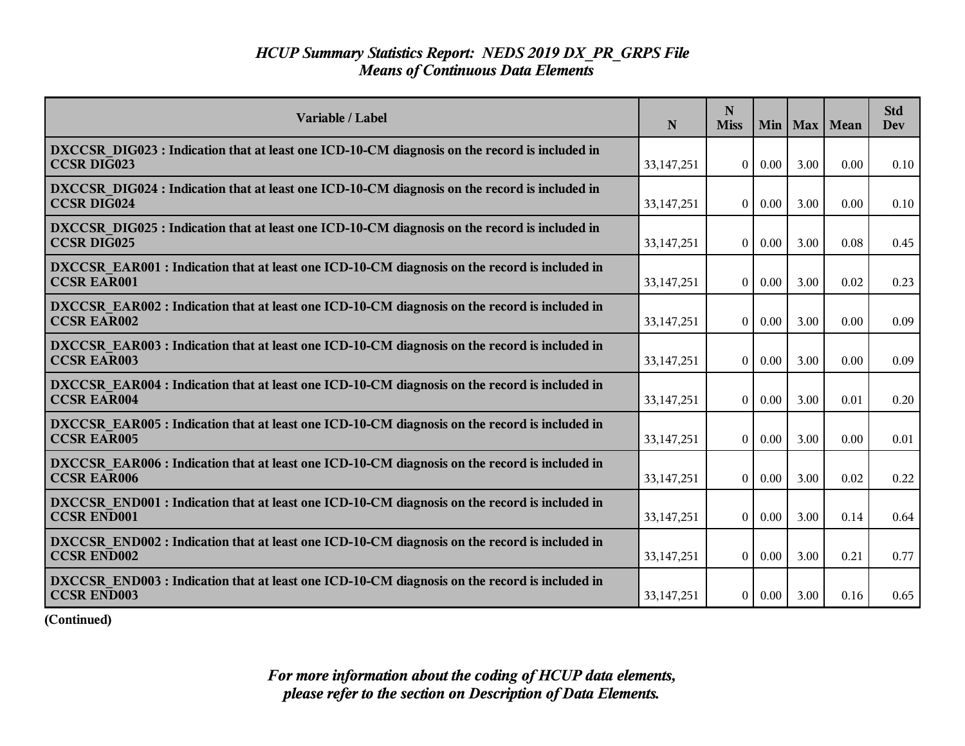| Variable / Label                                                                                                    | N            | N<br><b>Miss</b> | Min      |      | Max   Mean | <b>Std</b><br>Dev |
|---------------------------------------------------------------------------------------------------------------------|--------------|------------------|----------|------|------------|-------------------|
| DXCCSR DIG023 : Indication that at least one ICD-10-CM diagnosis on the record is included in<br><b>CCSR DIG023</b> | 33, 147, 251 | $\overline{0}$   | $0.00\,$ | 3.00 | 0.00       | 0.10              |
| DXCCSR DIG024 : Indication that at least one ICD-10-CM diagnosis on the record is included in<br><b>CCSR DIG024</b> | 33,147,251   | $\overline{0}$   | $0.00\,$ | 3.00 | 0.00       | 0.10              |
| DXCCSR DIG025 : Indication that at least one ICD-10-CM diagnosis on the record is included in<br><b>CCSR DIG025</b> | 33,147,251   | $\theta$         | 0.00     | 3.00 | 0.08       | 0.45              |
| DXCCSR EAR001 : Indication that at least one ICD-10-CM diagnosis on the record is included in<br><b>CCSR EAR001</b> | 33, 147, 251 | $\overline{0}$   | 0.00     | 3.00 | 0.02       | 0.23              |
| DXCCSR_EAR002 : Indication that at least one ICD-10-CM diagnosis on the record is included in<br><b>CCSR EAR002</b> | 33,147,251   | $\overline{0}$   | 0.00     | 3.00 | 0.00       | 0.09              |
| DXCCSR EAR003 : Indication that at least one ICD-10-CM diagnosis on the record is included in<br><b>CCSR EAR003</b> | 33, 147, 251 | $\overline{0}$   | 0.00     | 3.00 | 0.00       | 0.09              |
| DXCCSR EAR004 : Indication that at least one ICD-10-CM diagnosis on the record is included in<br><b>CCSR EAR004</b> | 33,147,251   | $\theta$         | $0.00\,$ | 3.00 | 0.01       | 0.20              |
| DXCCSR EAR005 : Indication that at least one ICD-10-CM diagnosis on the record is included in<br><b>CCSR EAR005</b> | 33, 147, 251 | $\overline{0}$   | 0.00     | 3.00 | 0.00       | 0.01              |
| DXCCSR EAR006 : Indication that at least one ICD-10-CM diagnosis on the record is included in<br><b>CCSR EAR006</b> | 33,147,251   | $\theta$         | 0.00     | 3.00 | 0.02       | 0.22              |
| DXCCSR END001 : Indication that at least one ICD-10-CM diagnosis on the record is included in<br><b>CCSR END001</b> | 33, 147, 251 | $\overline{0}$   | 0.00     | 3.00 | 0.14       | 0.64              |
| DXCCSR END002 : Indication that at least one ICD-10-CM diagnosis on the record is included in<br><b>CCSR END002</b> | 33, 147, 251 | $\overline{0}$   | $0.00\,$ | 3.00 | 0.21       | 0.77              |
| DXCCSR END003 : Indication that at least one ICD-10-CM diagnosis on the record is included in<br><b>CCSR END003</b> | 33, 147, 251 | $\overline{0}$   | 0.00     | 3.00 | 0.16       | 0.65              |

**(Continued)**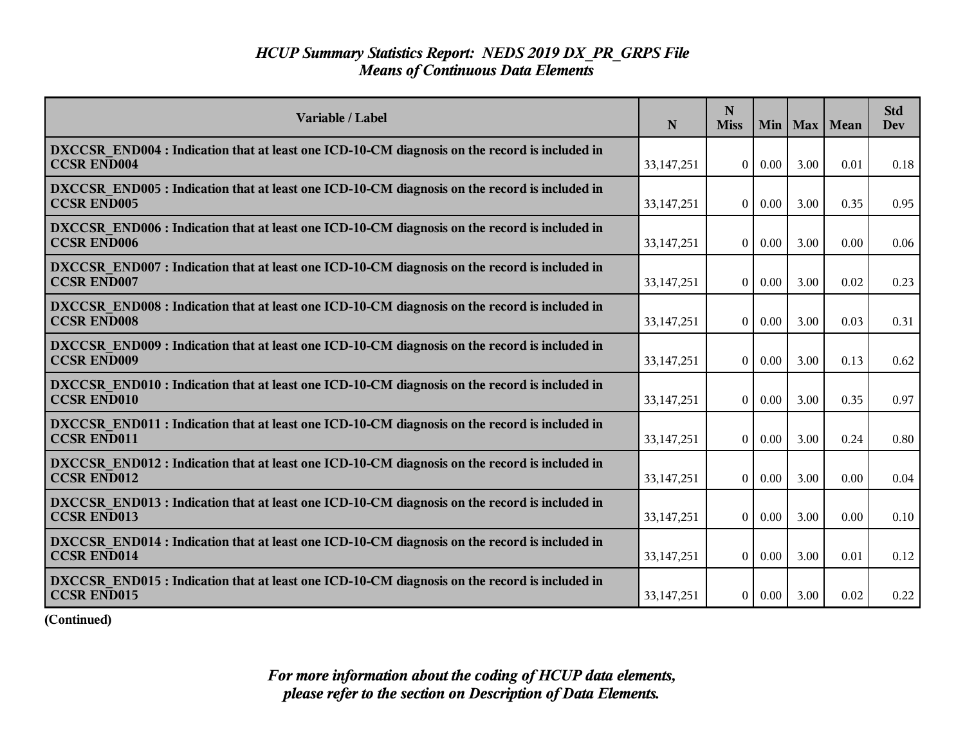| Variable / Label                                                                                                    | N            | N<br><b>Miss</b> | Min      |      | Max   Mean | <b>Std</b><br>Dev |
|---------------------------------------------------------------------------------------------------------------------|--------------|------------------|----------|------|------------|-------------------|
| DXCCSR END004 : Indication that at least one ICD-10-CM diagnosis on the record is included in<br><b>CCSR END004</b> | 33, 147, 251 | $\overline{0}$   | $0.00\,$ | 3.00 | 0.01       | 0.18              |
| DXCCSR END005 : Indication that at least one ICD-10-CM diagnosis on the record is included in<br><b>CCSR END005</b> | 33,147,251   | $\overline{0}$   | $0.00\,$ | 3.00 | 0.35       | 0.95              |
| DXCCSR END006 : Indication that at least one ICD-10-CM diagnosis on the record is included in<br><b>CCSR END006</b> | 33,147,251   | $\theta$         | 0.00     | 3.00 | 0.00       | 0.06              |
| DXCCSR END007 : Indication that at least one ICD-10-CM diagnosis on the record is included in<br><b>CCSR END007</b> | 33, 147, 251 | $\overline{0}$   | 0.00     | 3.00 | 0.02       | 0.23              |
| DXCCSR END008 : Indication that at least one ICD-10-CM diagnosis on the record is included in<br><b>CCSR END008</b> | 33,147,251   | $\overline{0}$   | 0.00     | 3.00 | 0.03       | 0.31              |
| DXCCSR END009 : Indication that at least one ICD-10-CM diagnosis on the record is included in<br><b>CCSR END009</b> | 33, 147, 251 | $\overline{0}$   | 0.00     | 3.00 | 0.13       | 0.62              |
| DXCCSR END010 : Indication that at least one ICD-10-CM diagnosis on the record is included in<br><b>CCSR END010</b> | 33,147,251   | $\theta$         | $0.00\,$ | 3.00 | 0.35       | 0.97              |
| DXCCSR END011 : Indication that at least one ICD-10-CM diagnosis on the record is included in<br><b>CCSR END011</b> | 33, 147, 251 | $\overline{0}$   | 0.00     | 3.00 | 0.24       | 0.80              |
| DXCCSR END012 : Indication that at least one ICD-10-CM diagnosis on the record is included in<br><b>CCSR END012</b> | 33,147,251   | $\theta$         | 0.00     | 3.00 | 0.00       | 0.04              |
| DXCCSR END013 : Indication that at least one ICD-10-CM diagnosis on the record is included in<br><b>CCSR END013</b> | 33, 147, 251 | $\overline{0}$   | 0.00     | 3.00 | 0.00       | 0.10              |
| DXCCSR END014 : Indication that at least one ICD-10-CM diagnosis on the record is included in<br><b>CCSR END014</b> | 33, 147, 251 | $\overline{0}$   | $0.00\,$ | 3.00 | 0.01       | 0.12              |
| DXCCSR END015 : Indication that at least one ICD-10-CM diagnosis on the record is included in<br><b>CCSR END015</b> | 33, 147, 251 | $\overline{0}$   | 0.00     | 3.00 | 0.02       | 0.22              |

**(Continued)**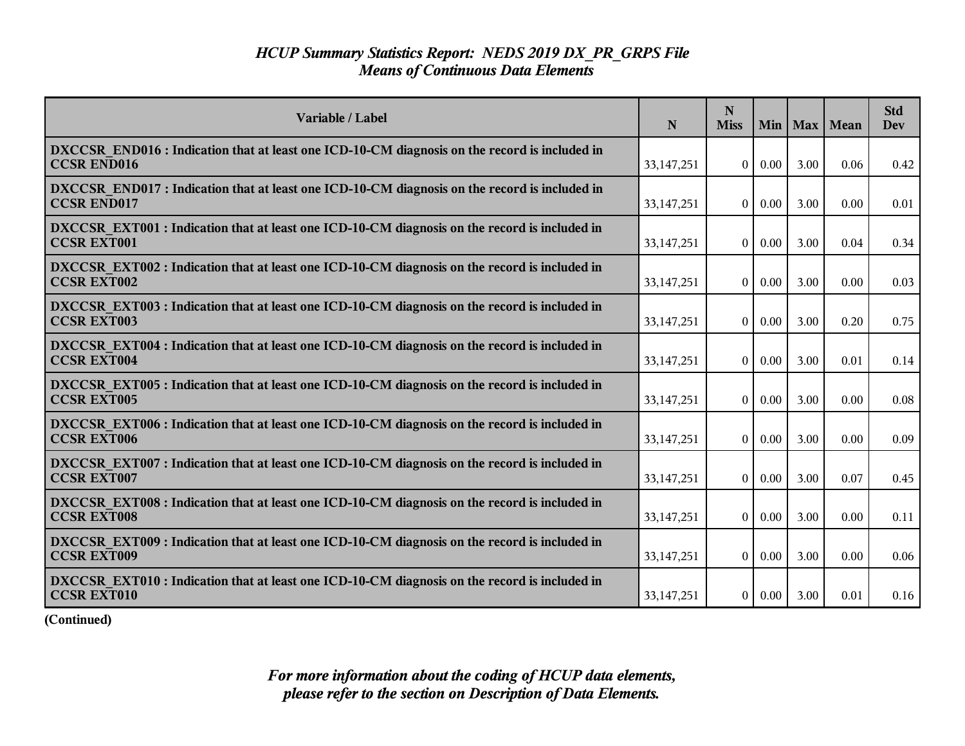| Variable / Label                                                                                                    | $\mathbf N$  | N<br><b>Miss</b> |          |      | Min   Max   Mean | <b>Std</b><br><b>Dev</b> |
|---------------------------------------------------------------------------------------------------------------------|--------------|------------------|----------|------|------------------|--------------------------|
| DXCCSR END016 : Indication that at least one ICD-10-CM diagnosis on the record is included in<br><b>CCSR END016</b> | 33, 147, 251 | $\overline{0}$   | $0.00\,$ | 3.00 | 0.06             | 0.42                     |
| DXCCSR END017: Indication that at least one ICD-10-CM diagnosis on the record is included in<br><b>CCSR END017</b>  | 33,147,251   | $\overline{0}$   | $0.00\,$ | 3.00 | 0.00             | 0.01                     |
| DXCCSR EXT001 : Indication that at least one ICD-10-CM diagnosis on the record is included in<br><b>CCSR EXT001</b> | 33,147,251   | $\theta$         | 0.00     | 3.00 | 0.04             | 0.34                     |
| DXCCSR EXT002 : Indication that at least one ICD-10-CM diagnosis on the record is included in<br><b>CCSR EXT002</b> | 33, 147, 251 | $\overline{0}$   | $0.00\,$ | 3.00 | 0.00             | 0.03                     |
| DXCCSR EXT003 : Indication that at least one ICD-10-CM diagnosis on the record is included in<br><b>CCSR EXT003</b> | 33, 147, 251 | $\overline{0}$   | 0.00     | 3.00 | 0.20             | 0.75                     |
| DXCCSR EXT004 : Indication that at least one ICD-10-CM diagnosis on the record is included in<br><b>CCSR EXT004</b> | 33,147,251   | $\overline{0}$   | 0.00     | 3.00 | 0.01             | 0.14                     |
| DXCCSR EXT005 : Indication that at least one ICD-10-CM diagnosis on the record is included in<br><b>CCSR EXT005</b> | 33,147,251   | $\theta$         | $0.00\,$ | 3.00 | 0.00             | 0.08                     |
| DXCCSR EXT006 : Indication that at least one ICD-10-CM diagnosis on the record is included in<br><b>CCSR EXT006</b> | 33, 147, 251 | $\overline{0}$   | $0.00\,$ | 3.00 | 0.00             | 0.09                     |
| DXCCSR EXT007 : Indication that at least one ICD-10-CM diagnosis on the record is included in<br><b>CCSR EXT007</b> | 33,147,251   | $\overline{0}$   | $0.00\,$ | 3.00 | 0.07             | 0.45                     |
| DXCCSR EXT008 : Indication that at least one ICD-10-CM diagnosis on the record is included in<br><b>CCSR EXT008</b> | 33,147,251   | $\overline{0}$   | $0.00\,$ | 3.00 | 0.00             | 0.11                     |
| DXCCSR EXT009 : Indication that at least one ICD-10-CM diagnosis on the record is included in<br><b>CCSR EXT009</b> | 33, 147, 251 | $\overline{0}$   | $0.00\,$ | 3.00 | 0.00             | 0.06                     |
| DXCCSR EXT010 : Indication that at least one ICD-10-CM diagnosis on the record is included in<br><b>CCSR EXT010</b> | 33, 147, 251 | $\overline{0}$   | $0.00\,$ | 3.00 | 0.01             | 0.16                     |

**(Continued)**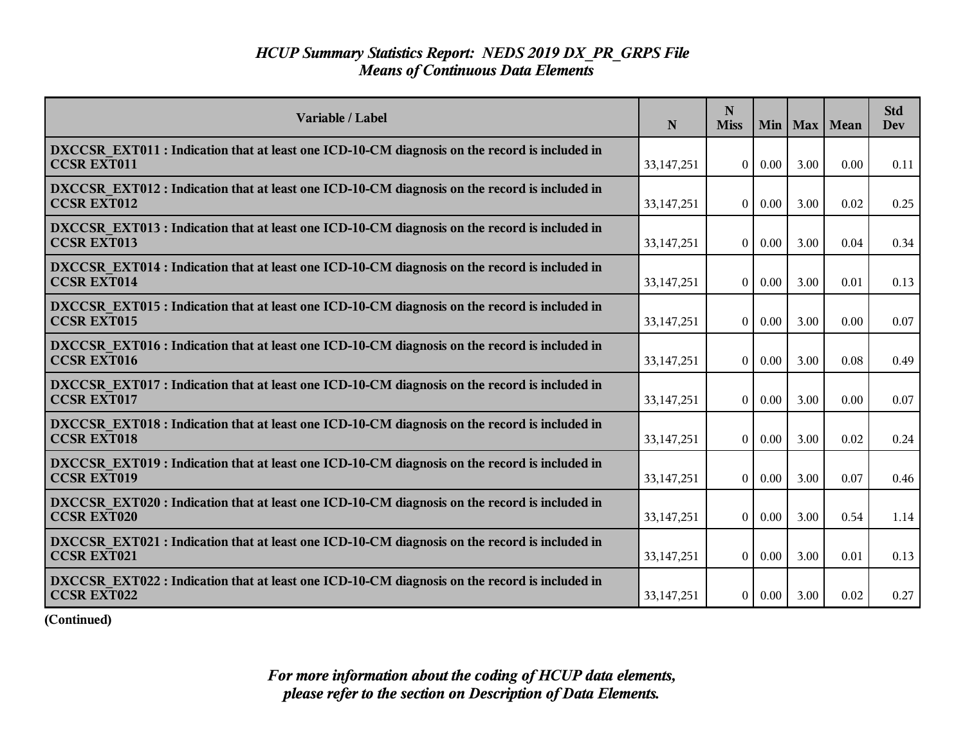| Variable / Label                                                                                                    | N            | N<br><b>Miss</b> |          |      | Min   Max   Mean | <b>Std</b><br><b>Dev</b> |
|---------------------------------------------------------------------------------------------------------------------|--------------|------------------|----------|------|------------------|--------------------------|
| DXCCSR EXT011 : Indication that at least one ICD-10-CM diagnosis on the record is included in<br><b>CCSR EXT011</b> | 33,147,251   | $\theta$         | $0.00\,$ | 3.00 | 0.00             | 0.11                     |
| DXCCSR EXT012 : Indication that at least one ICD-10-CM diagnosis on the record is included in<br><b>CCSR EXT012</b> | 33,147,251   | $\theta$         | 0.00     | 3.00 | 0.02             | 0.25                     |
| DXCCSR EXT013 : Indication that at least one ICD-10-CM diagnosis on the record is included in<br><b>CCSR EXT013</b> | 33,147,251   | $\Omega$         | 0.00     | 3.00 | 0.04             | 0.34                     |
| DXCCSR EXT014 : Indication that at least one ICD-10-CM diagnosis on the record is included in<br><b>CCSR EXT014</b> | 33,147,251   | $\theta$         | 0.00     | 3.00 | 0.01             | 0.13                     |
| DXCCSR EXT015 : Indication that at least one ICD-10-CM diagnosis on the record is included in<br><b>CCSR EXT015</b> | 33, 147, 251 | $\theta$         | 0.00     | 3.00 | 0.00             | 0.07                     |
| DXCCSR EXT016 : Indication that at least one ICD-10-CM diagnosis on the record is included in<br><b>CCSR EXT016</b> | 33,147,251   | $\overline{0}$   | 0.00     | 3.00 | 0.08             | 0.49                     |
| DXCCSR EXT017 : Indication that at least one ICD-10-CM diagnosis on the record is included in<br><b>CCSR EXT017</b> | 33,147,251   | $\theta$         | 0.00     | 3.00 | 0.00             | 0.07                     |
| DXCCSR EXT018 : Indication that at least one ICD-10-CM diagnosis on the record is included in<br><b>CCSR EXT018</b> | 33,147,251   | $\theta$         | $0.00\,$ | 3.00 | 0.02             | 0.24                     |
| DXCCSR EXT019 : Indication that at least one ICD-10-CM diagnosis on the record is included in<br><b>CCSR EXT019</b> | 33,147,251   | $\overline{0}$   | 0.00     | 3.00 | 0.07             | 0.46                     |
| DXCCSR EXT020 : Indication that at least one ICD-10-CM diagnosis on the record is included in<br><b>CCSR EXT020</b> | 33, 147, 251 | $\theta$         | 0.00     | 3.00 | 0.54             | 1.14                     |
| DXCCSR EXT021 : Indication that at least one ICD-10-CM diagnosis on the record is included in<br><b>CCSR EXT021</b> | 33, 147, 251 | $\theta$         | $0.00\,$ | 3.00 | 0.01             | 0.13                     |
| DXCCSR EXT022 : Indication that at least one ICD-10-CM diagnosis on the record is included in<br><b>CCSR EXT022</b> | 33, 147, 251 | $\overline{0}$   | $0.00\,$ | 3.00 | 0.02             | 0.27                     |

**(Continued)**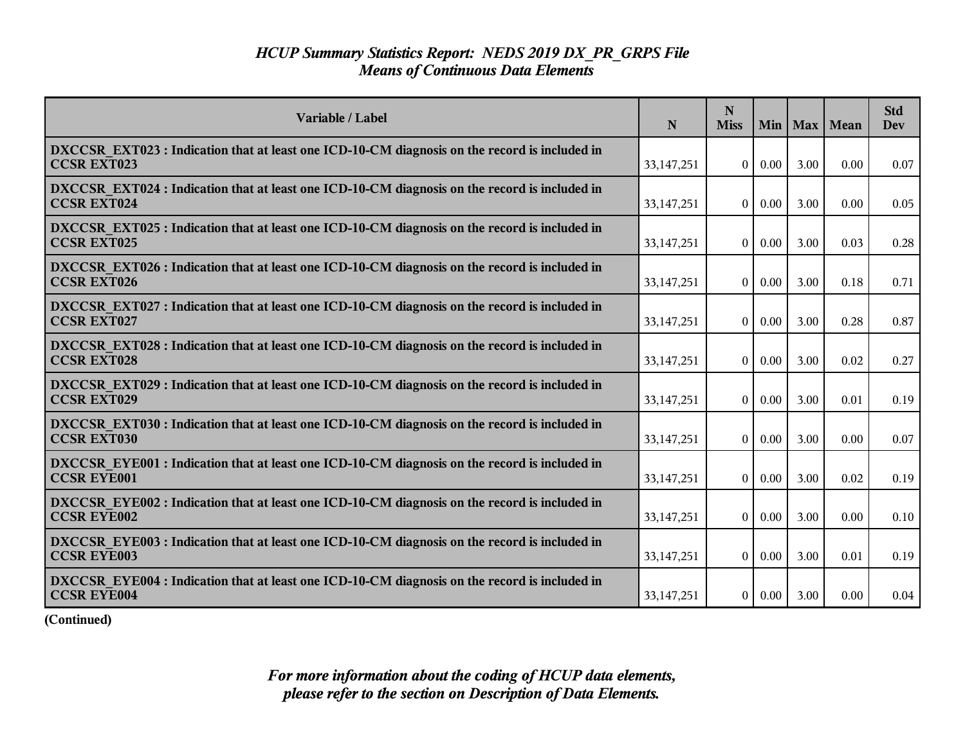| Variable / Label                                                                                                    | $\mathbf N$  | N<br><b>Miss</b> |          |      | Min   Max   Mean | <b>Std</b><br><b>Dev</b> |
|---------------------------------------------------------------------------------------------------------------------|--------------|------------------|----------|------|------------------|--------------------------|
| DXCCSR_EXT023 : Indication that at least one ICD-10-CM diagnosis on the record is included in<br><b>CCSR EXT023</b> | 33, 147, 251 | $\overline{0}$   | $0.00\,$ | 3.00 | 0.00             | 0.07                     |
| DXCCSR EXT024 : Indication that at least one ICD-10-CM diagnosis on the record is included in<br><b>CCSR EXT024</b> | 33,147,251   | $\overline{0}$   | $0.00\,$ | 3.00 | 0.00             | 0.05                     |
| DXCCSR EXT025 : Indication that at least one ICD-10-CM diagnosis on the record is included in<br><b>CCSR EXT025</b> | 33,147,251   | $\theta$         | 0.00     | 3.00 | 0.03             | 0.28                     |
| DXCCSR EXT026 : Indication that at least one ICD-10-CM diagnosis on the record is included in<br><b>CCSR EXT026</b> | 33, 147, 251 | $\overline{0}$   | $0.00\,$ | 3.00 | 0.18             | 0.71                     |
| DXCCSR_EXT027: Indication that at least one ICD-10-CM diagnosis on the record is included in<br><b>CCSR EXT027</b>  | 33, 147, 251 | $\overline{0}$   | 0.00     | 3.00 | 0.28             | 0.87                     |
| DXCCSR EXT028 : Indication that at least one ICD-10-CM diagnosis on the record is included in<br><b>CCSR EXT028</b> | 33,147,251   | $\overline{0}$   | 0.00     | 3.00 | 0.02             | 0.27                     |
| DXCCSR EXT029 : Indication that at least one ICD-10-CM diagnosis on the record is included in<br><b>CCSR EXT029</b> | 33,147,251   | $\theta$         | $0.00\,$ | 3.00 | 0.01             | 0.19                     |
| DXCCSR EXT030 : Indication that at least one ICD-10-CM diagnosis on the record is included in<br><b>CCSR EXT030</b> | 33, 147, 251 | $\overline{0}$   | $0.00\,$ | 3.00 | 0.00             | 0.07                     |
| DXCCSR EYE001 : Indication that at least one ICD-10-CM diagnosis on the record is included in<br><b>CCSR EYE001</b> | 33,147,251   | $\overline{0}$   | $0.00\,$ | 3.00 | 0.02             | 0.19                     |
| DXCCSR EYE002 : Indication that at least one ICD-10-CM diagnosis on the record is included in<br><b>CCSR EYE002</b> | 33,147,251   | $\overline{0}$   | $0.00\,$ | 3.00 | 0.00             | 0.10                     |
| DXCCSR EYE003 : Indication that at least one ICD-10-CM diagnosis on the record is included in<br><b>CCSR EYE003</b> | 33, 147, 251 | $\overline{0}$   | $0.00\,$ | 3.00 | 0.01             | 0.19                     |
| DXCCSR EYE004 : Indication that at least one ICD-10-CM diagnosis on the record is included in<br><b>CCSR EYE004</b> | 33, 147, 251 | $\overline{0}$   | $0.00\,$ | 3.00 | 0.00             | 0.04                     |

**(Continued)**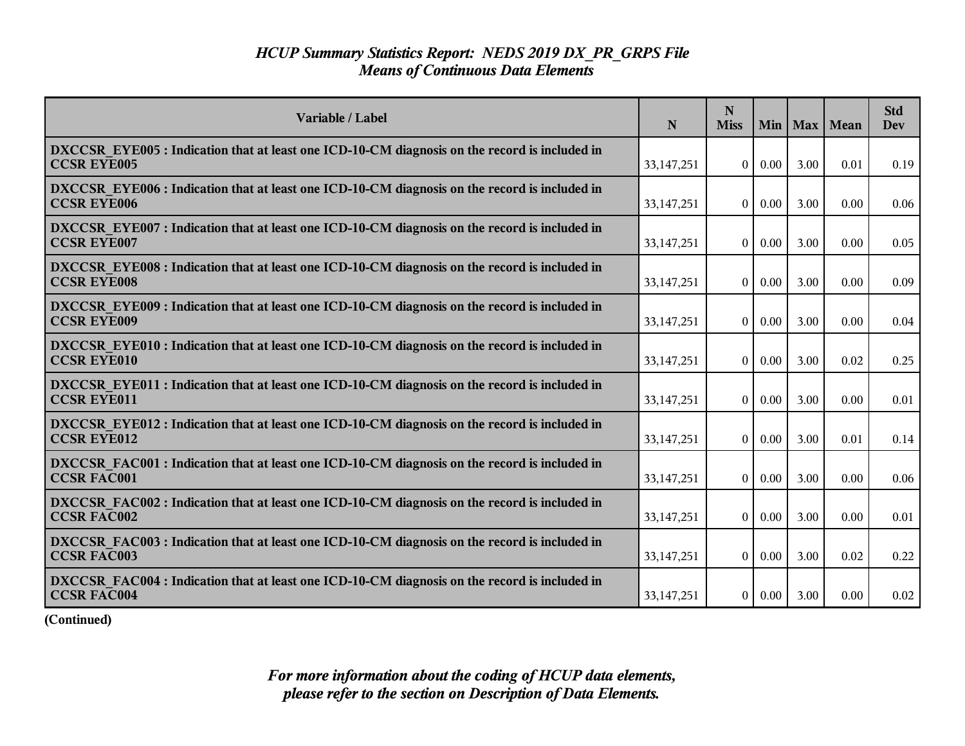| Variable / Label                                                                                                    | N            | $\mathbf N$<br><b>Miss</b> | Min      |      | Max   Mean | <b>Std</b><br><b>Dev</b> |
|---------------------------------------------------------------------------------------------------------------------|--------------|----------------------------|----------|------|------------|--------------------------|
| DXCCSR EYE005 : Indication that at least one ICD-10-CM diagnosis on the record is included in<br><b>CCSR EYE005</b> | 33, 147, 251 | $\Omega$                   | 0.00     | 3.00 | 0.01       | 0.19                     |
| DXCCSR EYE006 : Indication that at least one ICD-10-CM diagnosis on the record is included in<br><b>CCSR EYE006</b> | 33, 147, 251 | $\theta$                   | 0.00     | 3.00 | 0.00       | 0.06                     |
| DXCCSR EYE007 : Indication that at least one ICD-10-CM diagnosis on the record is included in<br><b>CCSR EYE007</b> | 33, 147, 251 | $\overline{0}$             | 0.00     | 3.00 | 0.00       | 0.05                     |
| DXCCSR_EYE008 : Indication that at least one ICD-10-CM diagnosis on the record is included in<br><b>CCSR EYE008</b> | 33,147,251   | $\overline{0}$             | 0.00     | 3.00 | 0.00       | 0.09                     |
| DXCCSR EYE009 : Indication that at least one ICD-10-CM diagnosis on the record is included in<br><b>CCSR EYE009</b> | 33, 147, 251 | $\overline{0}$             | 0.00     | 3.00 | 0.00       | 0.04                     |
| DXCCSR EYE010 : Indication that at least one ICD-10-CM diagnosis on the record is included in<br><b>CCSR EYE010</b> | 33, 147, 251 | $\bf{0}$                   | 0.00     | 3.00 | 0.02       | 0.25                     |
| DXCCSR EYE011 : Indication that at least one ICD-10-CM diagnosis on the record is included in<br><b>CCSR EYE011</b> | 33, 147, 251 | $\mathbf{0}$               | 0.00     | 3.00 | 0.00       | 0.01                     |
| DXCCSR EYE012 : Indication that at least one ICD-10-CM diagnosis on the record is included in<br><b>CCSR EYE012</b> | 33, 147, 251 | $\Omega$                   | 0.00     | 3.00 | 0.01       | 0.14                     |
| DXCCSR FAC001 : Indication that at least one ICD-10-CM diagnosis on the record is included in<br><b>CCSR FAC001</b> | 33,147,251   | $\Omega$                   | 0.00     | 3.00 | 0.00       | 0.06                     |
| DXCCSR FAC002 : Indication that at least one ICD-10-CM diagnosis on the record is included in<br><b>CCSR FAC002</b> | 33, 147, 251 | $\overline{0}$             | 0.00     | 3.00 | 0.00       | $0.01\,$                 |
| DXCCSR FAC003 : Indication that at least one ICD-10-CM diagnosis on the record is included in<br><b>CCSR FAC003</b> | 33,147,251   | $\theta$                   | $0.00\,$ | 3.00 | 0.02       | 0.22                     |
| DXCCSR FAC004 : Indication that at least one ICD-10-CM diagnosis on the record is included in<br><b>CCSR FAC004</b> | 33, 147, 251 | 0 <sup>1</sup>             | $0.00\,$ | 3.00 | 0.00       | 0.02                     |

**(Continued)**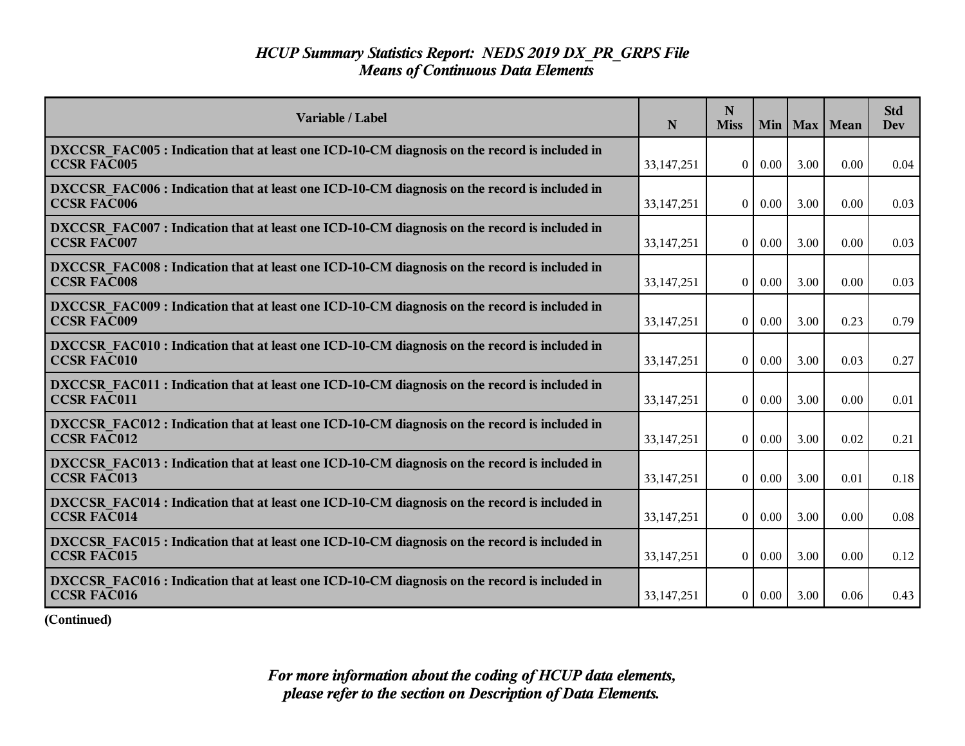| Variable / Label                                                                                                    | N            | $\mathbf N$<br><b>Miss</b> | Min  |      | Max   Mean | <b>Std</b><br>Dev |
|---------------------------------------------------------------------------------------------------------------------|--------------|----------------------------|------|------|------------|-------------------|
| DXCCSR FAC005 : Indication that at least one ICD-10-CM diagnosis on the record is included in<br><b>CCSR FAC005</b> | 33, 147, 251 | $\theta$                   | 0.00 | 3.00 | 0.00       | 0.04              |
| DXCCSR FAC006 : Indication that at least one ICD-10-CM diagnosis on the record is included in<br><b>CCSR FAC006</b> | 33, 147, 251 | $\mathbf{0}$               | 0.00 | 3.00 | 0.00       | 0.03              |
| DXCCSR FAC007 : Indication that at least one ICD-10-CM diagnosis on the record is included in<br><b>CCSR FAC007</b> | 33, 147, 251 | $\overline{0}$             | 0.00 | 3.00 | 0.00       | 0.03              |
| DXCCSR FAC008 : Indication that at least one ICD-10-CM diagnosis on the record is included in<br><b>CCSR FAC008</b> | 33, 147, 251 | $\overline{0}$             | 0.00 | 3.00 | 0.00       | 0.03              |
| DXCCSR FAC009 : Indication that at least one ICD-10-CM diagnosis on the record is included in<br><b>CCSR FAC009</b> | 33, 147, 251 | $\overline{0}$             | 0.00 | 3.00 | 0.23       | 0.79              |
| DXCCSR FAC010 : Indication that at least one ICD-10-CM diagnosis on the record is included in<br><b>CCSR FAC010</b> | 33, 147, 251 | $\overline{0}$             | 0.00 | 3.00 | 0.03       | 0.27              |
| DXCCSR FAC011 : Indication that at least one ICD-10-CM diagnosis on the record is included in<br><b>CCSR FAC011</b> | 33,147,251   | $\theta$                   | 0.00 | 3.00 | 0.00       | 0.01              |
| DXCCSR FAC012 : Indication that at least one ICD-10-CM diagnosis on the record is included in<br><b>CCSR FAC012</b> | 33, 147, 251 | $\overline{0}$             | 0.00 | 3.00 | 0.02       | 0.21              |
| DXCCSR FAC013 : Indication that at least one ICD-10-CM diagnosis on the record is included in<br><b>CCSR FAC013</b> | 33, 147, 251 | $\mathbf{0}$               | 0.00 | 3.00 | 0.01       | 0.18              |
| DXCCSR FAC014 : Indication that at least one ICD-10-CM diagnosis on the record is included in<br><b>CCSR FAC014</b> | 33, 147, 251 | $\overline{0}$             | 0.00 | 3.00 | 0.00       | 0.08              |
| DXCCSR FAC015 : Indication that at least one ICD-10-CM diagnosis on the record is included in<br><b>CCSR FAC015</b> | 33, 147, 251 | $\overline{0}$             | 0.00 | 3.00 | 0.00       | 0.12              |
| DXCCSR FAC016 : Indication that at least one ICD-10-CM diagnosis on the record is included in<br><b>CCSR FAC016</b> | 33,147,251   | $\overline{0}$             | 0.00 | 3.00 | 0.06       | 0.43              |

**(Continued)**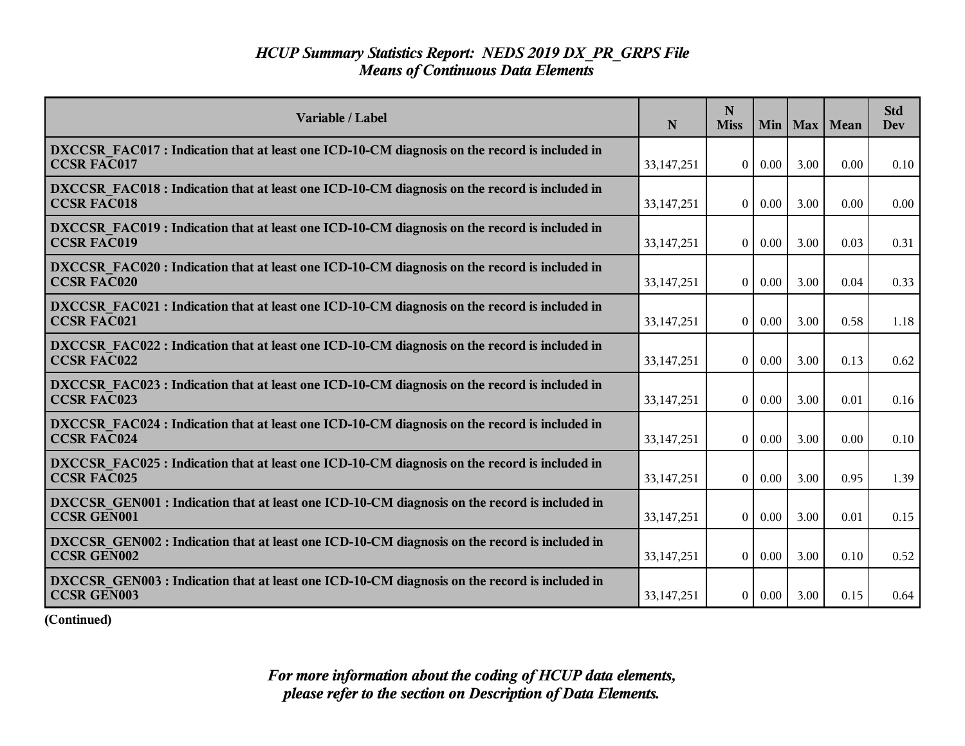| Variable / Label                                                                                                    | N            | $\mathbf N$<br><b>Miss</b> | Min      |      | Max   Mean | <b>Std</b><br>Dev |
|---------------------------------------------------------------------------------------------------------------------|--------------|----------------------------|----------|------|------------|-------------------|
| DXCCSR FAC017 : Indication that at least one ICD-10-CM diagnosis on the record is included in<br><b>CCSR FAC017</b> | 33, 147, 251 | $\theta$                   | 0.00     | 3.00 | 0.00       | 0.10              |
| DXCCSR FAC018 : Indication that at least one ICD-10-CM diagnosis on the record is included in<br><b>CCSR FAC018</b> | 33, 147, 251 | $\mathbf{0}$               | 0.00     | 3.00 | 0.00       | 0.00              |
| DXCCSR FAC019 : Indication that at least one ICD-10-CM diagnosis on the record is included in<br><b>CCSR FAC019</b> | 33, 147, 251 | $\overline{0}$             | 0.00     | 3.00 | 0.03       | 0.31              |
| DXCCSR FAC020 : Indication that at least one ICD-10-CM diagnosis on the record is included in<br><b>CCSR FAC020</b> | 33, 147, 251 | $\overline{0}$             | 0.00     | 3.00 | 0.04       | 0.33              |
| DXCCSR FAC021 : Indication that at least one ICD-10-CM diagnosis on the record is included in<br><b>CCSR FAC021</b> | 33, 147, 251 | $\overline{0}$             | 0.00     | 3.00 | 0.58       | 1.18              |
| DXCCSR FAC022 : Indication that at least one ICD-10-CM diagnosis on the record is included in<br><b>CCSR FAC022</b> | 33, 147, 251 | $\overline{0}$             | 0.00     | 3.00 | 0.13       | 0.62              |
| DXCCSR FAC023 : Indication that at least one ICD-10-CM diagnosis on the record is included in<br><b>CCSR FAC023</b> | 33,147,251   | $\theta$                   | 0.00     | 3.00 | 0.01       | 0.16              |
| DXCCSR FAC024 : Indication that at least one ICD-10-CM diagnosis on the record is included in<br><b>CCSR FAC024</b> | 33, 147, 251 | $\overline{0}$             | 0.00     | 3.00 | 0.00       | 0.10              |
| DXCCSR FAC025 : Indication that at least one ICD-10-CM diagnosis on the record is included in<br><b>CCSR FAC025</b> | 33, 147, 251 | $\mathbf{0}$               | 0.00     | 3.00 | 0.95       | 1.39              |
| DXCCSR GEN001 : Indication that at least one ICD-10-CM diagnosis on the record is included in<br>CCSR GEN001        | 33, 147, 251 | $\overline{0}$             | 0.00     | 3.00 | 0.01       | 0.15              |
| DXCCSR_GEN002 : Indication that at least one ICD-10-CM diagnosis on the record is included in<br><b>CCSR GEN002</b> | 33, 147, 251 | $\overline{0}$             | $0.00\,$ | 3.00 | 0.10       | 0.52              |
| DXCCSR GEN003 : Indication that at least one ICD-10-CM diagnosis on the record is included in<br><b>CCSR GEN003</b> | 33,147,251   | $\overline{0}$             | 0.00     | 3.00 | 0.15       | 0.64              |

**(Continued)**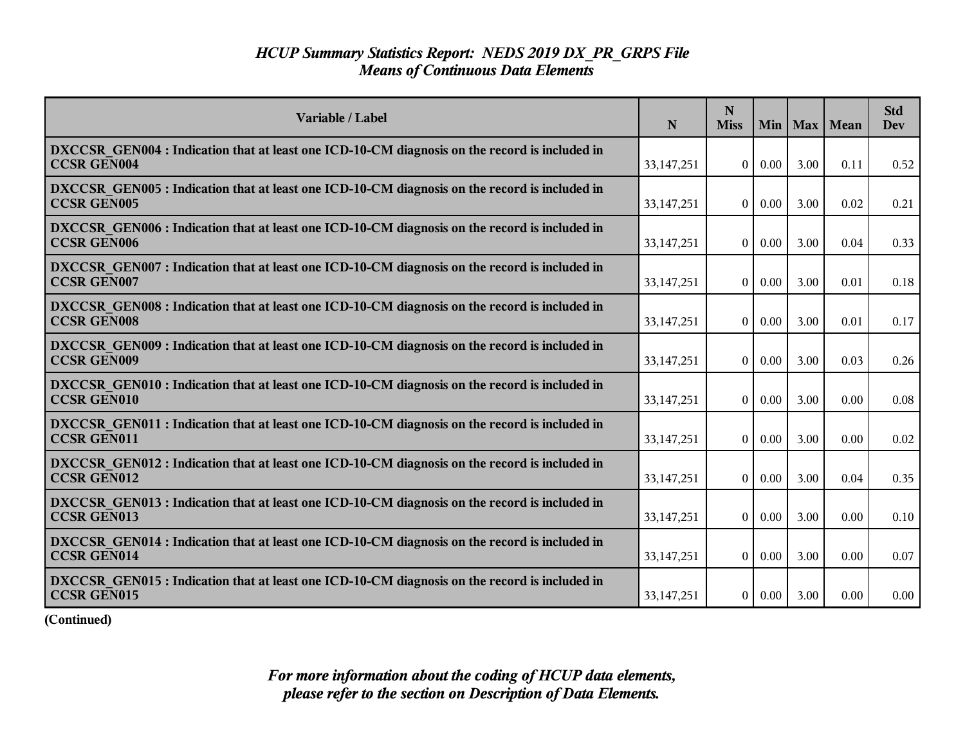| Variable / Label                                                                                                    | N            | N<br><b>Miss</b> |          |      | Min   Max   Mean | <b>Std</b><br><b>Dev</b> |
|---------------------------------------------------------------------------------------------------------------------|--------------|------------------|----------|------|------------------|--------------------------|
| DXCCSR GEN004 : Indication that at least one ICD-10-CM diagnosis on the record is included in<br><b>CCSR GEN004</b> | 33,147,251   | $\Omega$         | $0.00\,$ | 3.00 | 0.11             | 0.52                     |
| DXCCSR GEN005 : Indication that at least one ICD-10-CM diagnosis on the record is included in<br><b>CCSR GEN005</b> | 33, 147, 251 | $\theta$         | 0.00     | 3.00 | 0.02             | 0.21                     |
| DXCCSR GEN006 : Indication that at least one ICD-10-CM diagnosis on the record is included in<br><b>CCSR GEN006</b> | 33,147,251   | $\theta$         | 0.00     | 3.00 | 0.04             | 0.33                     |
| DXCCSR GEN007 : Indication that at least one ICD-10-CM diagnosis on the record is included in<br><b>CCSR GEN007</b> | 33,147,251   | $\theta$         | 0.00     | 3.00 | 0.01             | 0.18                     |
| DXCCSR GEN008 : Indication that at least one ICD-10-CM diagnosis on the record is included in<br><b>CCSR GEN008</b> | 33, 147, 251 | $\Omega$         | 0.00     | 3.00 | 0.01             | 0.17                     |
| DXCCSR GEN009 : Indication that at least one ICD-10-CM diagnosis on the record is included in<br><b>CCSR GEN009</b> | 33,147,251   | $\overline{0}$   | 0.00     | 3.00 | 0.03             | 0.26                     |
| DXCCSR GEN010 : Indication that at least one ICD-10-CM diagnosis on the record is included in<br><b>CCSR GEN010</b> | 33,147,251   | $\theta$         | 0.00     | 3.00 | 0.00             | 0.08                     |
| DXCCSR GEN011 : Indication that at least one ICD-10-CM diagnosis on the record is included in<br><b>CCSR GEN011</b> | 33,147,251   | $\theta$         | 0.00     | 3.00 | 0.00             | 0.02                     |
| DXCCSR GEN012 : Indication that at least one ICD-10-CM diagnosis on the record is included in<br><b>CCSR GEN012</b> | 33,147,251   | $\theta$         | 0.00     | 3.00 | 0.04             | 0.35                     |
| DXCCSR GEN013 : Indication that at least one ICD-10-CM diagnosis on the record is included in<br><b>CCSR GEN013</b> | 33,147,251   | $\theta$         | 0.00     | 3.00 | 0.00             | 0.10                     |
| DXCCSR GEN014 : Indication that at least one ICD-10-CM diagnosis on the record is included in<br><b>CCSR GEN014</b> | 33, 147, 251 | $\Omega$         | $0.00\,$ | 3.00 | 0.00             | 0.07                     |
| DXCCSR GEN015 : Indication that at least one ICD-10-CM diagnosis on the record is included in<br>CCSR GEN015        | 33, 147, 251 | $\overline{0}$   | $0.00\,$ | 3.00 | 0.00             | 0.00                     |

**(Continued)**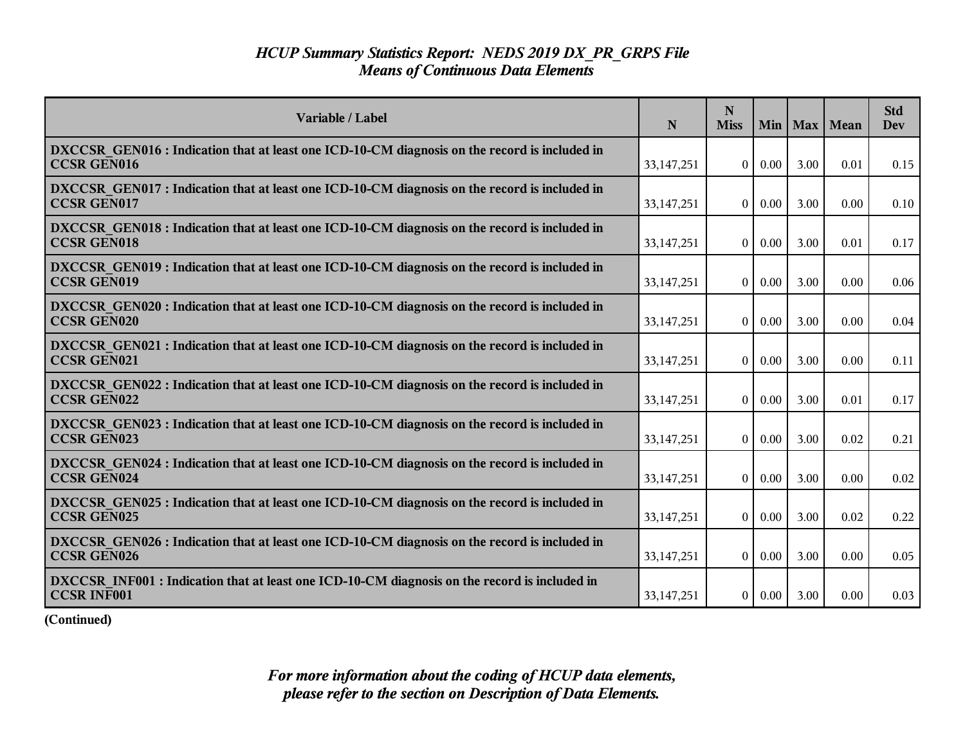| Variable / Label                                                                                                    | N            | N<br><b>Miss</b> | Min      |      | Max   Mean | <b>Std</b><br>Dev |
|---------------------------------------------------------------------------------------------------------------------|--------------|------------------|----------|------|------------|-------------------|
| DXCCSR GEN016 : Indication that at least one ICD-10-CM diagnosis on the record is included in<br><b>CCSR GEN016</b> | 33, 147, 251 | $\overline{0}$   | $0.00\,$ | 3.00 | 0.01       | 0.15              |
| DXCCSR GEN017 : Indication that at least one ICD-10-CM diagnosis on the record is included in<br><b>CCSR GEN017</b> | 33,147,251   | $\overline{0}$   | $0.00\,$ | 3.00 | 0.00       | 0.10              |
| DXCCSR GEN018 : Indication that at least one ICD-10-CM diagnosis on the record is included in<br><b>CCSR GEN018</b> | 33,147,251   | $\theta$         | 0.00     | 3.00 | 0.01       | 0.17              |
| DXCCSR GEN019 : Indication that at least one ICD-10-CM diagnosis on the record is included in<br><b>CCSR GEN019</b> | 33, 147, 251 | $\overline{0}$   | 0.00     | 3.00 | 0.00       | 0.06              |
| DXCCSR GEN020 : Indication that at least one ICD-10-CM diagnosis on the record is included in<br><b>CCSR GEN020</b> | 33, 147, 251 | $\overline{0}$   | 0.00     | 3.00 | 0.00       | 0.04              |
| DXCCSR GEN021 : Indication that at least one ICD-10-CM diagnosis on the record is included in<br><b>CCSR GEN021</b> | 33, 147, 251 | $\overline{0}$   | 0.00     | 3.00 | 0.00       | 0.11              |
| DXCCSR GEN022 : Indication that at least one ICD-10-CM diagnosis on the record is included in<br><b>CCSR GEN022</b> | 33,147,251   | $\theta$         | $0.00\,$ | 3.00 | 0.01       | 0.17              |
| DXCCSR GEN023 : Indication that at least one ICD-10-CM diagnosis on the record is included in<br><b>CCSR GEN023</b> | 33, 147, 251 | $\overline{0}$   | 0.00     | 3.00 | 0.02       | 0.21              |
| DXCCSR GEN024 : Indication that at least one ICD-10-CM diagnosis on the record is included in<br><b>CCSR GEN024</b> | 33,147,251   | $\theta$         | 0.00     | 3.00 | 0.00       | 0.02              |
| DXCCSR GEN025 : Indication that at least one ICD-10-CM diagnosis on the record is included in<br>CCSR GEN025        | 33, 147, 251 | $\mathbf{0}$     | 0.00     | 3.00 | 0.02       | 0.22              |
| DXCCSR GEN026 : Indication that at least one ICD-10-CM diagnosis on the record is included in<br><b>CCSR GEN026</b> | 33, 147, 251 | $\overline{0}$   | $0.00\,$ | 3.00 | 0.00       | 0.05              |
| DXCCSR INF001 : Indication that at least one ICD-10-CM diagnosis on the record is included in<br><b>CCSR INF001</b> | 33, 147, 251 | 0 <sup>1</sup>   | $0.00\,$ | 3.00 | 0.00       | 0.03              |

**(Continued)**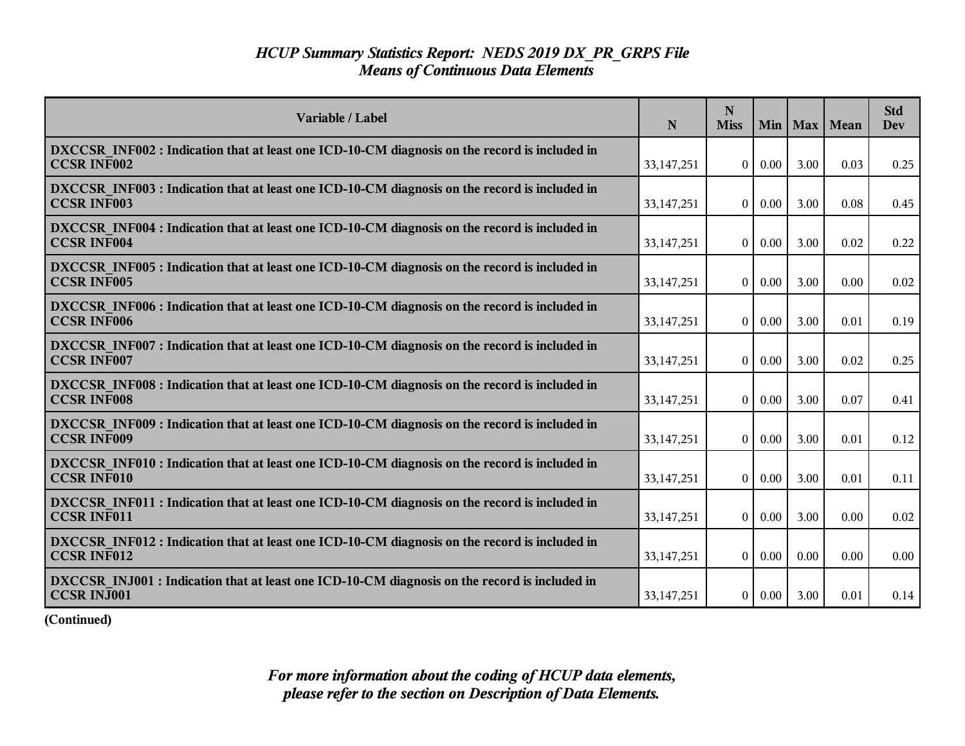| Variable / Label                                                                                                    | N            | N<br><b>Miss</b> | Min           |      | Max   Mean | <b>Std</b><br><b>Dev</b> |
|---------------------------------------------------------------------------------------------------------------------|--------------|------------------|---------------|------|------------|--------------------------|
| DXCCSR INF002 : Indication that at least one ICD-10-CM diagnosis on the record is included in<br><b>CCSR INF002</b> | 33, 147, 251 | $\overline{0}$   | 0.00          | 3.00 | 0.03       | 0.25                     |
| DXCCSR INF003 : Indication that at least one ICD-10-CM diagnosis on the record is included in<br><b>CCSR INF003</b> | 33, 147, 251 | $\theta$         | $0.00\,$      | 3.00 | 0.08       | 0.45                     |
| DXCCSR INF004 : Indication that at least one ICD-10-CM diagnosis on the record is included in<br><b>CCSR INF004</b> | 33, 147, 251 | $\overline{0}$   | 0.00          | 3.00 | 0.02       | 0.22                     |
| DXCCSR INF005 : Indication that at least one ICD-10-CM diagnosis on the record is included in<br><b>CCSR INF005</b> | 33, 147, 251 | $\theta$         | $0.00\,$      | 3.00 | 0.00       | 0.02                     |
| DXCCSR INF006 : Indication that at least one ICD-10-CM diagnosis on the record is included in<br><b>CCSR INF006</b> | 33, 147, 251 | $\overline{0}$   | 0.00          | 3.00 | 0.01       | 0.19                     |
| DXCCSR INF007 : Indication that at least one ICD-10-CM diagnosis on the record is included in<br><b>CCSR INF007</b> | 33,147,251   | $\overline{0}$   | 0.00          | 3.00 | 0.02       | 0.25                     |
| DXCCSR INF008 : Indication that at least one ICD-10-CM diagnosis on the record is included in<br><b>CCSR INF008</b> | 33,147,251   | $\overline{0}$   | 0.00          | 3.00 | 0.07       | 0.41                     |
| DXCCSR INF009 : Indication that at least one ICD-10-CM diagnosis on the record is included in<br><b>CCSR INF009</b> | 33, 147, 251 | $\overline{0}$   | 0.00          | 3.00 | 0.01       | 0.12                     |
| DXCCSR INF010 : Indication that at least one ICD-10-CM diagnosis on the record is included in<br><b>CCSR INF010</b> | 33,147,251   | $\theta$         | 0.00          | 3.00 | 0.01       | 0.11                     |
| DXCCSR INF011 : Indication that at least one ICD-10-CM diagnosis on the record is included in<br><b>CCSR INF011</b> | 33, 147, 251 | $\theta$         | 0.00          | 3.00 | 0.00       | 0.02                     |
| DXCCSR INF012 : Indication that at least one ICD-10-CM diagnosis on the record is included in<br><b>CCSR INF012</b> | 33,147,251   | $\overline{0}$   | $0.00\,$      | 0.00 | 0.00       | 0.00                     |
| DXCCSR INJ001 : Indication that at least one ICD-10-CM diagnosis on the record is included in<br><b>CCSR INJ001</b> | 33, 147, 251 |                  | $0 \mid 0.00$ | 3.00 | 0.01       | 0.14                     |

**(Continued)**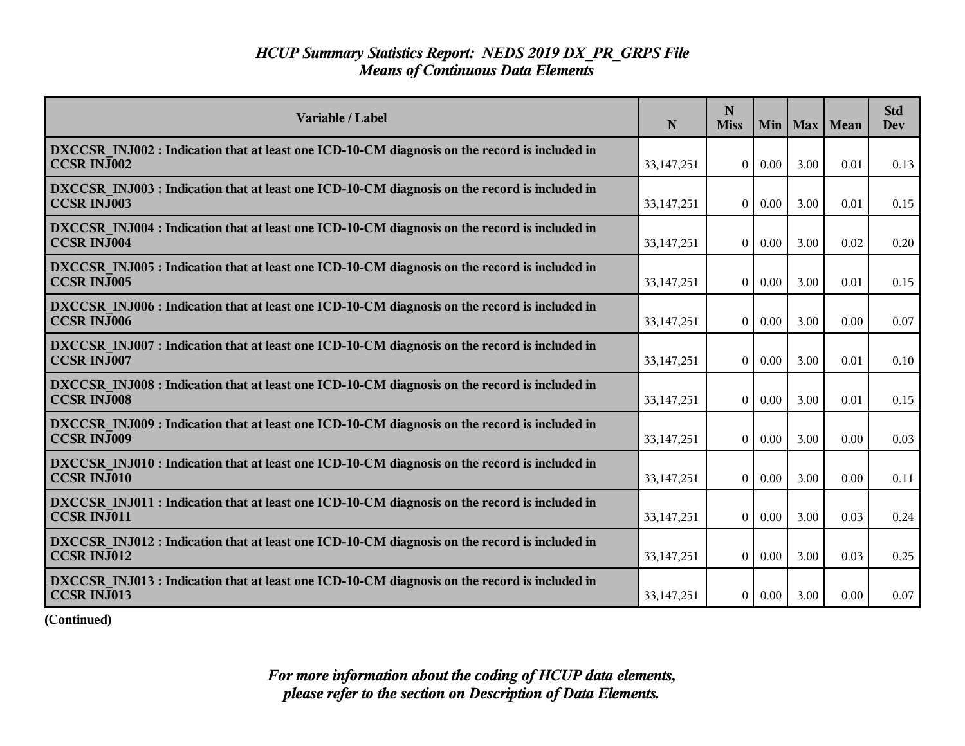| Variable / Label                                                                                                    | N            | N<br><b>Miss</b> | Min           |      | Max   Mean | <b>Std</b><br><b>Dev</b> |
|---------------------------------------------------------------------------------------------------------------------|--------------|------------------|---------------|------|------------|--------------------------|
| DXCCSR INJ002 : Indication that at least one ICD-10-CM diagnosis on the record is included in<br><b>CCSR INJ002</b> | 33, 147, 251 | $\overline{0}$   | $0.00\,$      | 3.00 | 0.01       | 0.13                     |
| DXCCSR INJ003 : Indication that at least one ICD-10-CM diagnosis on the record is included in<br><b>CCSR INJ003</b> | 33, 147, 251 | $\theta$         | $0.00\,$      | 3.00 | 0.01       | 0.15                     |
| DXCCSR INJ004 : Indication that at least one ICD-10-CM diagnosis on the record is included in<br><b>CCSR INJ004</b> | 33, 147, 251 | $\theta$         | 0.00          | 3.00 | 0.02       | 0.20                     |
| DXCCSR INJ005 : Indication that at least one ICD-10-CM diagnosis on the record is included in<br><b>CCSR INJ005</b> | 33, 147, 251 | $\theta$         | $0.00\,$      | 3.00 | 0.01       | 0.15                     |
| DXCCSR INJ006 : Indication that at least one ICD-10-CM diagnosis on the record is included in<br><b>CCSR INJ006</b> | 33, 147, 251 | $\overline{0}$   | 0.00          | 3.00 | 0.00       | 0.07                     |
| DXCCSR INJ007 : Indication that at least one ICD-10-CM diagnosis on the record is included in<br><b>CCSR INJ007</b> | 33,147,251   | $\overline{0}$   | 0.00          | 3.00 | 0.01       | 0.10                     |
| DXCCSR INJ008 : Indication that at least one ICD-10-CM diagnosis on the record is included in<br><b>CCSR INJ008</b> | 33,147,251   | $\overline{0}$   | 0.00          | 3.00 | 0.01       | 0.15                     |
| DXCCSR INJ009 : Indication that at least one ICD-10-CM diagnosis on the record is included in<br><b>CCSR INJ009</b> | 33, 147, 251 | $\overline{0}$   | 0.00          | 3.00 | 0.00       | 0.03                     |
| DXCCSR INJ010 : Indication that at least one ICD-10-CM diagnosis on the record is included in<br><b>CCSR INJ010</b> | 33,147,251   | $\theta$         | 0.00          | 3.00 | 0.00       | 0.11                     |
| DXCCSR INJ011 : Indication that at least one ICD-10-CM diagnosis on the record is included in<br>CCSR INJ011        | 33, 147, 251 | $\theta$         | 0.00          | 3.00 | 0.03       | 0.24                     |
| DXCCSR INJ012 : Indication that at least one ICD-10-CM diagnosis on the record is included in<br><b>CCSR INJ012</b> | 33,147,251   | $\overline{0}$   | $0.00\,$      | 3.00 | 0.03       | 0.25                     |
| DXCCSR INJ013 : Indication that at least one ICD-10-CM diagnosis on the record is included in<br>CCSR INJ013        | 33, 147, 251 |                  | $0 \mid 0.00$ | 3.00 | 0.00       | 0.07                     |

**(Continued)**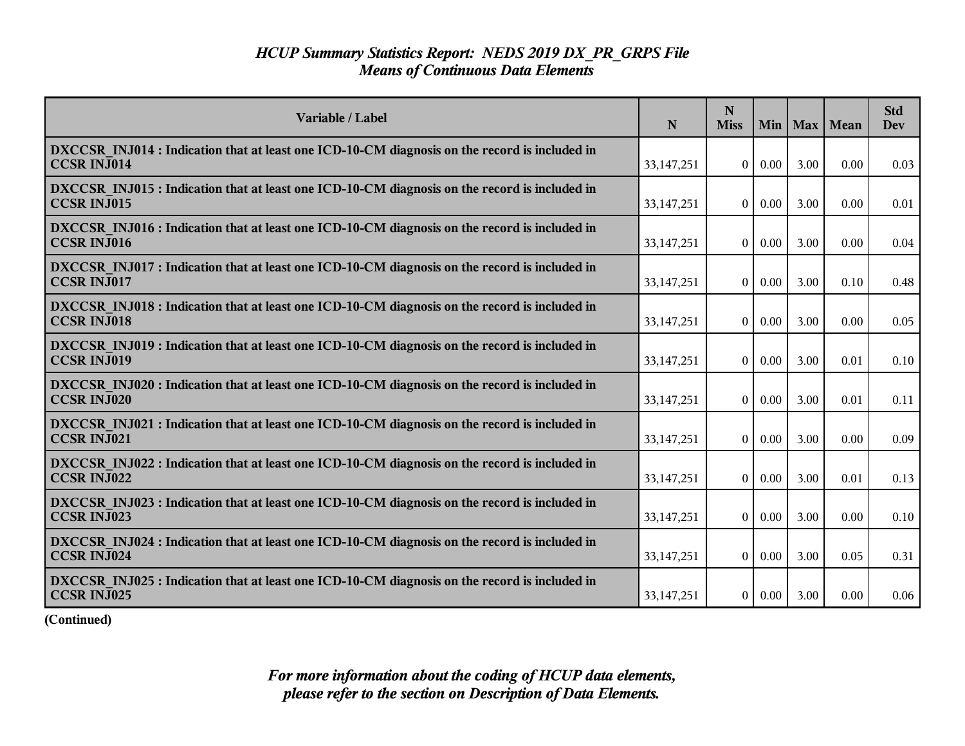| Variable / Label                                                                                                    | $\mathbf N$  | N<br><b>Miss</b> |          |      | Min   Max   Mean | <b>Std</b><br>Dev |
|---------------------------------------------------------------------------------------------------------------------|--------------|------------------|----------|------|------------------|-------------------|
| DXCCSR INJ014 : Indication that at least one ICD-10-CM diagnosis on the record is included in<br><b>CCSR INJ014</b> | 33, 147, 251 | $\overline{0}$   | $0.00\,$ | 3.00 | 0.00             | 0.03              |
| DXCCSR INJ015 : Indication that at least one ICD-10-CM diagnosis on the record is included in<br><b>CCSR INJ015</b> | 33, 147, 251 | $\overline{0}$   | $0.00\,$ | 3.00 | 0.00             | 0.01              |
| DXCCSR INJ016 : Indication that at least one ICD-10-CM diagnosis on the record is included in<br><b>CCSR INJ016</b> | 33,147,251   | $\theta$         | $0.00\,$ | 3.00 | 0.00             | 0.04              |
| DXCCSR INJ017 : Indication that at least one ICD-10-CM diagnosis on the record is included in<br><b>CCSR INJ017</b> | 33,147,251   | $\theta$         | $0.00\,$ | 3.00 | 0.10             | 0.48              |
| DXCCSR INJ018 : Indication that at least one ICD-10-CM diagnosis on the record is included in<br><b>CCSR INJ018</b> | 33, 147, 251 | 0 <sup>1</sup>   | $0.00\,$ | 3.00 | 0.00             | 0.05              |
| DXCCSR INJ019 : Indication that at least one ICD-10-CM diagnosis on the record is included in<br><b>CCSR INJ019</b> | 33,147,251   | $\overline{0}$   | 0.00     | 3.00 | 0.01             | $0.10\,$          |
| DXCCSR INJ020 : Indication that at least one ICD-10-CM diagnosis on the record is included in<br><b>CCSR INJ020</b> | 33,147,251   | $\theta$         | $0.00\,$ | 3.00 | 0.01             | 0.11              |
| DXCCSR INJ021 : Indication that at least one ICD-10-CM diagnosis on the record is included in<br><b>CCSR INJ021</b> | 33, 147, 251 | $\overline{0}$   | $0.00\,$ | 3.00 | 0.00             | 0.09              |
| DXCCSR INJ022 : Indication that at least one ICD-10-CM diagnosis on the record is included in<br><b>CCSR INJ022</b> | 33,147,251   | $\theta$         | 0.00     | 3.00 | 0.01             | 0.13              |
| DXCCSR INJ023 : Indication that at least one ICD-10-CM diagnosis on the record is included in<br>CCSR INJ023        | 33,147,251   | $\bf{0}$         | $0.00\,$ | 3.00 | 0.00             | 0.10              |
| DXCCSR INJ024 : Indication that at least one ICD-10-CM diagnosis on the record is included in<br><b>CCSR INJ024</b> | 33, 147, 251 | $\overline{0}$   | $0.00\,$ | 3.00 | 0.05             | 0.31              |
| DXCCSR INJ025 : Indication that at least one ICD-10-CM diagnosis on the record is included in<br>CCSR INJ025        | 33, 147, 251 | $\overline{0}$   | $0.00\,$ | 3.00 | 0.00             | 0.06              |

**(Continued)**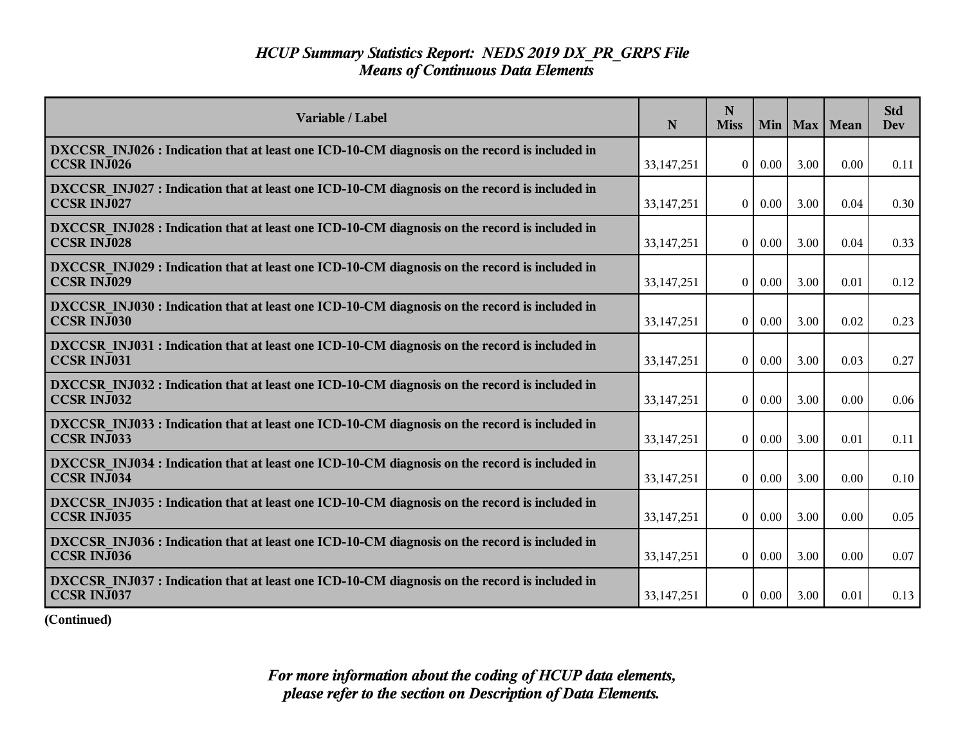| Variable / Label                                                                                                    | N            | N<br><b>Miss</b> | Min      |      | Max   Mean | <b>Std</b><br>Dev |
|---------------------------------------------------------------------------------------------------------------------|--------------|------------------|----------|------|------------|-------------------|
| DXCCSR INJ026 : Indication that at least one ICD-10-CM diagnosis on the record is included in<br><b>CCSR INJ026</b> | 33, 147, 251 | $\overline{0}$   | 0.00     | 3.00 | 0.00       | 0.11              |
| DXCCSR INJ027 : Indication that at least one ICD-10-CM diagnosis on the record is included in<br><b>CCSR INJ027</b> | 33, 147, 251 | $\overline{0}$   | $0.00\,$ | 3.00 | 0.04       | 0.30              |
| DXCCSR INJ028 : Indication that at least one ICD-10-CM diagnosis on the record is included in<br><b>CCSR INJ028</b> | 33,147,251   | $\Omega$         | 0.00     | 3.00 | 0.04       | 0.33              |
| DXCCSR INJ029 : Indication that at least one ICD-10-CM diagnosis on the record is included in<br><b>CCSR INJ029</b> | 33, 147, 251 | $\theta$         | $0.00\,$ | 3.00 | 0.01       | 0.12              |
| DXCCSR INJ030 : Indication that at least one ICD-10-CM diagnosis on the record is included in<br><b>CCSR INJ030</b> | 33, 147, 251 | $\overline{0}$   | $0.00\,$ | 3.00 | 0.02       | 0.23              |
| DXCCSR INJ031 : Indication that at least one ICD-10-CM diagnosis on the record is included in<br><b>CCSR INJ031</b> | 33,147,251   | $\theta$         | 0.00     | 3.00 | 0.03       | 0.27              |
| DXCCSR INJ032 : Indication that at least one ICD-10-CM diagnosis on the record is included in<br><b>CCSR INJ032</b> | 33, 147, 251 | $\theta$         | $0.00\,$ | 3.00 | 0.00       | 0.06              |
| DXCCSR INJ033 : Indication that at least one ICD-10-CM diagnosis on the record is included in<br><b>CCSR INJ033</b> | 33, 147, 251 | $\overline{0}$   | 0.00     | 3.00 | 0.01       | 0.11              |
| DXCCSR INJ034 : Indication that at least one ICD-10-CM diagnosis on the record is included in<br><b>CCSR INJ034</b> | 33, 147, 251 | $\theta$         | 0.00     | 3.00 | 0.00       | 0.10              |
| DXCCSR INJ035 : Indication that at least one ICD-10-CM diagnosis on the record is included in<br>CCSR INJ035        | 33,147,251   | $\mathbf{0}$     | 0.00     | 3.00 | 0.00       | 0.05              |
| DXCCSR INJ036 : Indication that at least one ICD-10-CM diagnosis on the record is included in<br><b>CCSR INJ036</b> | 33, 147, 251 | $\overline{0}$   | $0.00\,$ | 3.00 | 0.00       | 0.07              |
| DXCCSR INJ037 : Indication that at least one ICD-10-CM diagnosis on the record is included in<br>CCSR INJ037        | 33, 147, 251 | 0 <sup>1</sup>   | $0.00\,$ | 3.00 | 0.01       | 0.13              |

**(Continued)**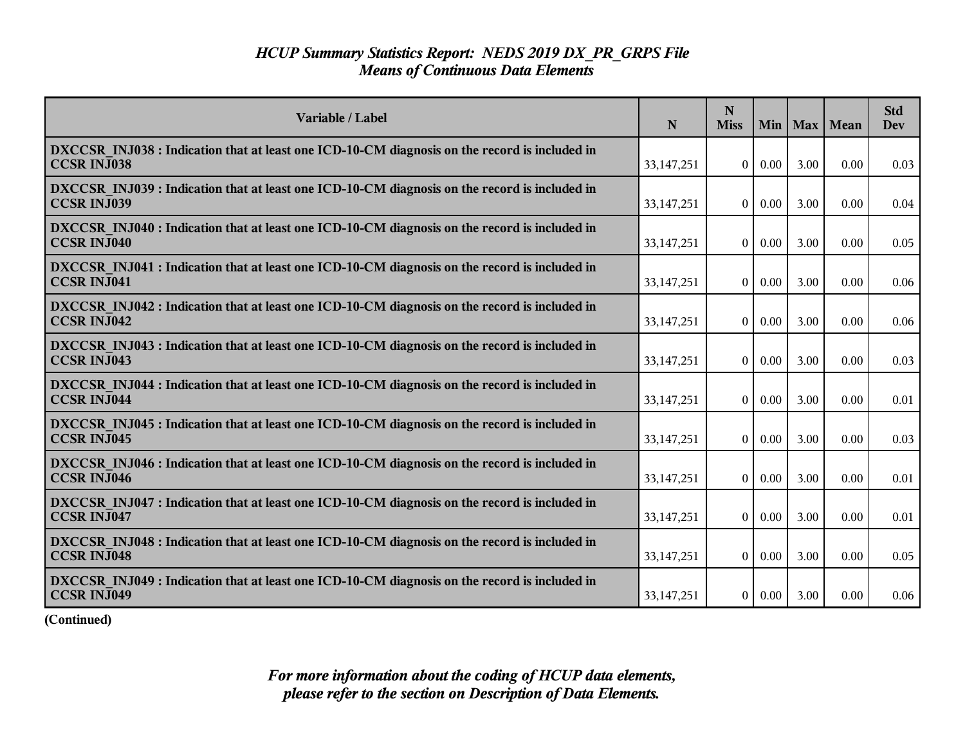| Variable / Label                                                                                                    | $\mathbf N$  | N<br><b>Miss</b> |          |      | Min   Max   Mean | <b>Std</b><br><b>Dev</b> |
|---------------------------------------------------------------------------------------------------------------------|--------------|------------------|----------|------|------------------|--------------------------|
| DXCCSR INJ038 : Indication that at least one ICD-10-CM diagnosis on the record is included in<br><b>CCSR INJ038</b> | 33, 147, 251 | $\overline{0}$   | $0.00\,$ | 3.00 | 0.00             | 0.03                     |
| DXCCSR INJ039 : Indication that at least one ICD-10-CM diagnosis on the record is included in<br><b>CCSR INJ039</b> | 33, 147, 251 | $\overline{0}$   | $0.00\,$ | 3.00 | 0.00             | 0.04                     |
| DXCCSR INJ040 : Indication that at least one ICD-10-CM diagnosis on the record is included in<br><b>CCSR INJ040</b> | 33, 147, 251 | $\theta$         | $0.00\,$ | 3.00 | 0.00             | 0.05                     |
| DXCCSR INJ041 : Indication that at least one ICD-10-CM diagnosis on the record is included in<br><b>CCSR INJ041</b> | 33, 147, 251 | $\overline{0}$   | $0.00\,$ | 3.00 | 0.00             | 0.06                     |
| DXCCSR INJ042 : Indication that at least one ICD-10-CM diagnosis on the record is included in<br><b>CCSR INJ042</b> | 33, 147, 251 | $\overline{0}$   | 0.00     | 3.00 | 0.00             | 0.06                     |
| DXCCSR INJ043 : Indication that at least one ICD-10-CM diagnosis on the record is included in<br><b>CCSR INJ043</b> | 33,147,251   | $\overline{0}$   | 0.00     | 3.00 | 0.00             | 0.03                     |
| DXCCSR INJ044 : Indication that at least one ICD-10-CM diagnosis on the record is included in<br><b>CCSR INJ044</b> | 33,147,251   | $\theta$         | $0.00\,$ | 3.00 | 0.00             | 0.01                     |
| DXCCSR INJ045 : Indication that at least one ICD-10-CM diagnosis on the record is included in<br><b>CCSR INJ045</b> | 33, 147, 251 | 0 <sup>1</sup>   | $0.00\,$ | 3.00 | 0.00             | 0.03                     |
| DXCCSR INJ046 : Indication that at least one ICD-10-CM diagnosis on the record is included in<br><b>CCSR INJ046</b> | 33,147,251   | $\overline{0}$   | $0.00\,$ | 3.00 | 0.00             | 0.01                     |
| DXCCSR INJ047 : Indication that at least one ICD-10-CM diagnosis on the record is included in<br><b>CCSR INJ047</b> | 33, 147, 251 | $\overline{0}$   | $0.00\,$ | 3.00 | 0.00             | 0.01                     |
| DXCCSR INJ048 : Indication that at least one ICD-10-CM diagnosis on the record is included in<br><b>CCSR INJ048</b> | 33, 147, 251 | $\overline{0}$   | $0.00\,$ | 3.00 | 0.00             | 0.05                     |
| DXCCSR INJ049 : Indication that at least one ICD-10-CM diagnosis on the record is included in<br><b>CCSR INJ049</b> | 33, 147, 251 | $\overline{0}$   | $0.00\,$ | 3.00 | 0.00             | 0.06                     |

**(Continued)**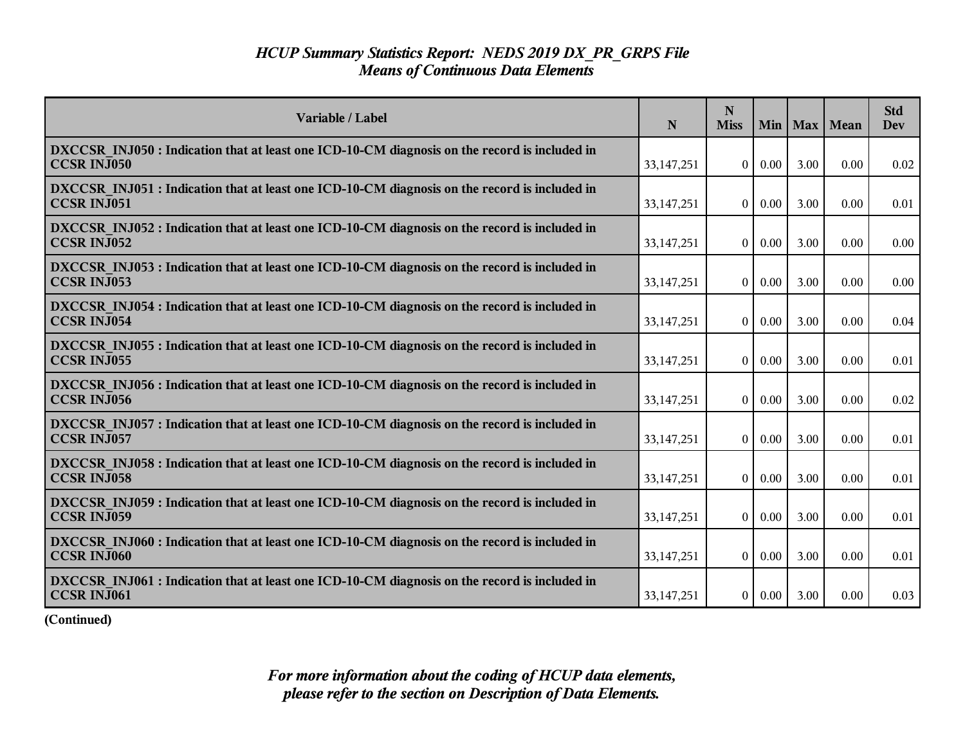| Variable / Label                                                                                                    | N            | N<br><b>Miss</b> | Min      |      | Max   Mean | <b>Std</b><br>Dev |
|---------------------------------------------------------------------------------------------------------------------|--------------|------------------|----------|------|------------|-------------------|
| DXCCSR INJ050 : Indication that at least one ICD-10-CM diagnosis on the record is included in<br><b>CCSR INJ050</b> | 33, 147, 251 | $\theta$         | 0.00     | 3.00 | 0.00       | 0.02              |
| DXCCSR INJ051 : Indication that at least one ICD-10-CM diagnosis on the record is included in<br><b>CCSR INJ051</b> | 33, 147, 251 | $\overline{0}$   | $0.00\,$ | 3.00 | 0.00       | 0.01              |
| DXCCSR INJ052 : Indication that at least one ICD-10-CM diagnosis on the record is included in<br><b>CCSR INJ052</b> | 33,147,251   | $\Omega$         | 0.00     | 3.00 | 0.00       | 0.00              |
| DXCCSR INJ053 : Indication that at least one ICD-10-CM diagnosis on the record is included in<br><b>CCSR INJ053</b> | 33, 147, 251 | $\theta$         | $0.00\,$ | 3.00 | 0.00       | 0.00              |
| DXCCSR INJ054 : Indication that at least one ICD-10-CM diagnosis on the record is included in<br><b>CCSR INJ054</b> | 33, 147, 251 | $\overline{0}$   | $0.00\,$ | 3.00 | 0.00       | 0.04              |
| DXCCSR INJ055 : Indication that at least one ICD-10-CM diagnosis on the record is included in<br><b>CCSR INJ055</b> | 33, 147, 251 | $\theta$         | 0.00     | 3.00 | 0.00       | 0.01              |
| DXCCSR INJ056 : Indication that at least one ICD-10-CM diagnosis on the record is included in<br><b>CCSR INJ056</b> | 33, 147, 251 | $\theta$         | $0.00\,$ | 3.00 | 0.00       | 0.02              |
| DXCCSR INJ057 : Indication that at least one ICD-10-CM diagnosis on the record is included in<br><b>CCSR INJ057</b> | 33, 147, 251 | $\overline{0}$   | 0.00     | 3.00 | 0.00       | 0.01              |
| DXCCSR INJ058 : Indication that at least one ICD-10-CM diagnosis on the record is included in<br><b>CCSR INJ058</b> | 33, 147, 251 | $\theta$         | 0.00     | 3.00 | 0.00       | 0.01              |
| DXCCSR INJ059 : Indication that at least one ICD-10-CM diagnosis on the record is included in<br><b>CCSR INJ059</b> | 33,147,251   | $\mathbf{0}$     | 0.00     | 3.00 | 0.00       | 0.01              |
| DXCCSR INJ060 : Indication that at least one ICD-10-CM diagnosis on the record is included in<br><b>CCSR INJ060</b> | 33, 147, 251 | $\overline{0}$   | $0.00\,$ | 3.00 | 0.00       | 0.01              |
| DXCCSR INJ061 : Indication that at least one ICD-10-CM diagnosis on the record is included in<br>CCSR INJ061        | 33, 147, 251 | 0 <sup>1</sup>   | $0.00\,$ | 3.00 | 0.00       | 0.03              |

**(Continued)**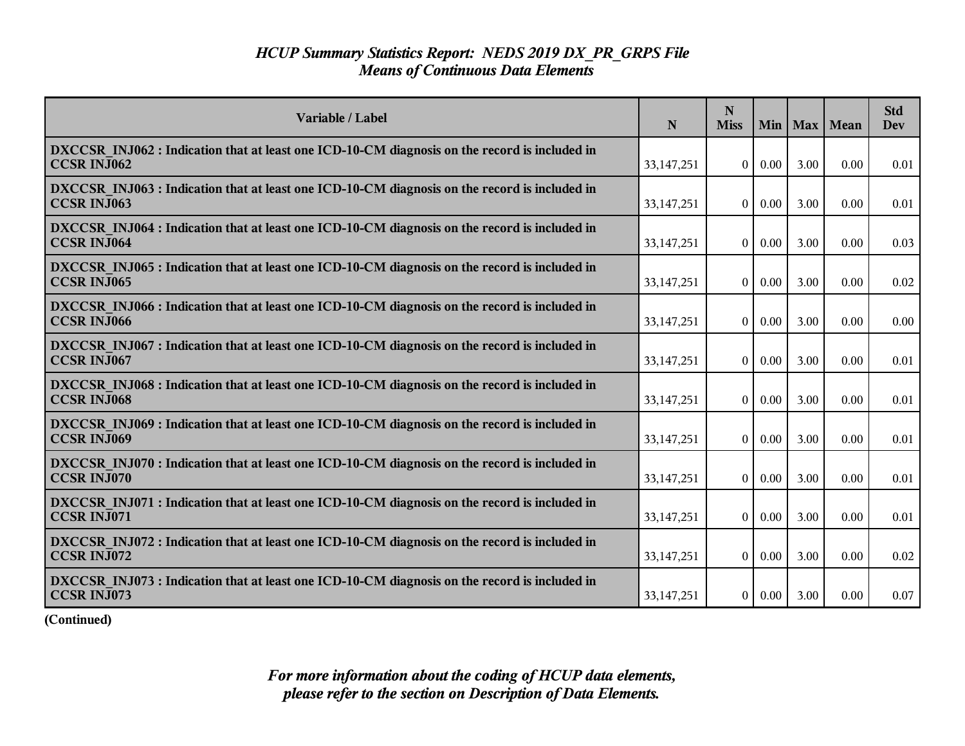| Variable / Label                                                                                                    | N            | N<br><b>Miss</b> |               |      | Min   Max   Mean | <b>Std</b><br><b>Dev</b> |
|---------------------------------------------------------------------------------------------------------------------|--------------|------------------|---------------|------|------------------|--------------------------|
| DXCCSR INJ062 : Indication that at least one ICD-10-CM diagnosis on the record is included in<br><b>CCSR INJ062</b> | 33, 147, 251 | $\overline{0}$   | $0.00\,$      | 3.00 | 0.00             | 0.01                     |
| DXCCSR INJ063 : Indication that at least one ICD-10-CM diagnosis on the record is included in<br><b>CCSR INJ063</b> | 33, 147, 251 | $\theta$         | $0.00\,$      | 3.00 | 0.00             | 0.01                     |
| DXCCSR INJ064 : Indication that at least one ICD-10-CM diagnosis on the record is included in<br><b>CCSR INJ064</b> | 33, 147, 251 | $\overline{0}$   | $0.00\,$      | 3.00 | 0.00             | 0.03                     |
| DXCCSR INJ065 : Indication that at least one ICD-10-CM diagnosis on the record is included in<br><b>CCSR INJ065</b> | 33,147,251   | $\theta$         | $0.00\,$      | 3.00 | 0.00             | 0.02                     |
| DXCCSR INJ066 : Indication that at least one ICD-10-CM diagnosis on the record is included in<br><b>CCSR INJ066</b> | 33, 147, 251 | 0 <sup>1</sup>   | $0.00\,$      | 3.00 | 0.00             | 0.00                     |
| DXCCSR INJ067 : Indication that at least one ICD-10-CM diagnosis on the record is included in<br><b>CCSR INJ067</b> | 33,147,251   | $\overline{0}$   | 0.00          | 3.00 | 0.00             | 0.01                     |
| DXCCSR INJ068 : Indication that at least one ICD-10-CM diagnosis on the record is included in<br><b>CCSR INJ068</b> | 33,147,251   | $\theta$         | $0.00\,$      | 3.00 | 0.00             | 0.01                     |
| DXCCSR INJ069 : Indication that at least one ICD-10-CM diagnosis on the record is included in<br><b>CCSR INJ069</b> | 33,147,251   | $\overline{0}$   | $0.00\,$      | 3.00 | 0.00             | 0.01                     |
| DXCCSR INJ070 : Indication that at least one ICD-10-CM diagnosis on the record is included in<br><b>CCSR INJ070</b> | 33,147,251   | $\Omega$         | $0.00\,$      | 3.00 | 0.00             | 0.01                     |
| DXCCSR INJ071 : Indication that at least one ICD-10-CM diagnosis on the record is included in<br>CCSR INJ071        | 33,147,251   | $\theta$         | 0.00          | 3.00 | 0.00             | 0.01                     |
| DXCCSR INJ072 : Indication that at least one ICD-10-CM diagnosis on the record is included in<br><b>CCSR INJ072</b> | 33,147,251   | $\overline{0}$   | $0.00\,$      | 3.00 | 0.00             | 0.02                     |
| DXCCSR INJ073 : Indication that at least one ICD-10-CM diagnosis on the record is included in<br>CCSR INJ073        | 33, 147, 251 |                  | $0 \mid 0.00$ | 3.00 | 0.00             | 0.07                     |

**(Continued)**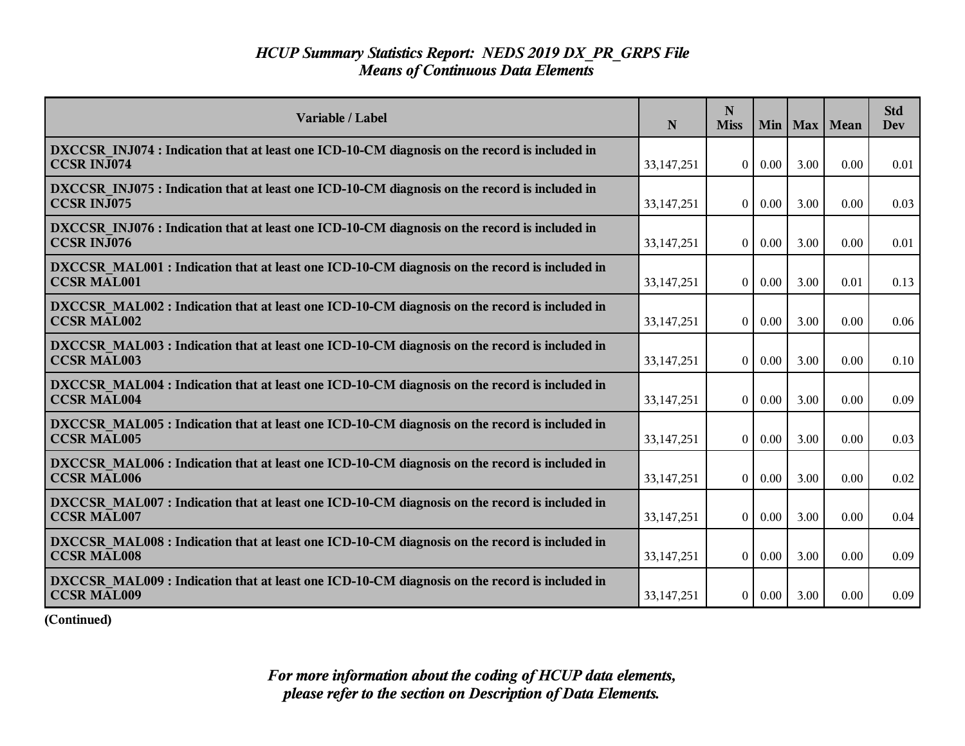| Variable / Label                                                                                                    | N            | N<br><b>Miss</b> |          |      | Min   Max   Mean | <b>Std</b><br><b>Dev</b> |
|---------------------------------------------------------------------------------------------------------------------|--------------|------------------|----------|------|------------------|--------------------------|
| DXCCSR INJ074 : Indication that at least one ICD-10-CM diagnosis on the record is included in<br><b>CCSR INJ074</b> | 33, 147, 251 | $\overline{0}$   | $0.00\,$ | 3.00 | 0.00             | 0.01                     |
| DXCCSR INJ075 : Indication that at least one ICD-10-CM diagnosis on the record is included in<br><b>CCSR INJ075</b> | 33, 147, 251 | $\theta$         | $0.00\,$ | 3.00 | 0.00             | 0.03                     |
| DXCCSR INJ076 : Indication that at least one ICD-10-CM diagnosis on the record is included in<br><b>CCSR INJ076</b> | 33, 147, 251 | $\overline{0}$   | $0.00\,$ | 3.00 | 0.00             | 0.01                     |
| DXCCSR MAL001: Indication that at least one ICD-10-CM diagnosis on the record is included in<br><b>CCSR MAL001</b>  | 33,147,251   | $\theta$         | $0.00\,$ | 3.00 | 0.01             | 0.13                     |
| DXCCSR MAL002 : Indication that at least one ICD-10-CM diagnosis on the record is included in<br><b>CCSR MAL002</b> | 33, 147, 251 | 0 <sup>1</sup>   | $0.00\,$ | 3.00 | 0.00             | 0.06                     |
| DXCCSR MAL003: Indication that at least one ICD-10-CM diagnosis on the record is included in<br><b>CCSR MAL003</b>  | 33,147,251   | $\overline{0}$   | 0.00     | 3.00 | 0.00             | 0.10                     |
| DXCCSR MAL004 : Indication that at least one ICD-10-CM diagnosis on the record is included in<br><b>CCSR MAL004</b> | 33,147,251   | $\overline{0}$   | $0.00\,$ | 3.00 | 0.00             | 0.09                     |
| DXCCSR MAL005 : Indication that at least one ICD-10-CM diagnosis on the record is included in<br><b>CCSR MAL005</b> | 33,147,251   | $\overline{0}$   | 0.00     | 3.00 | 0.00             | 0.03                     |
| DXCCSR MAL006 : Indication that at least one ICD-10-CM diagnosis on the record is included in<br><b>CCSR MAL006</b> | 33,147,251   | $\Omega$         | 0.00     | 3.00 | 0.00             | 0.02                     |
| DXCCSR MAL007: Indication that at least one ICD-10-CM diagnosis on the record is included in<br><b>CCSR MAL007</b>  | 33,147,251   | $\theta$         | 0.00     | 3.00 | 0.00             | 0.04                     |
| DXCCSR MAL008 : Indication that at least one ICD-10-CM diagnosis on the record is included in<br><b>CCSR MAL008</b> | 33,147,251   | $\overline{0}$   | $0.00\,$ | 3.00 | 0.00             | 0.09                     |
| DXCCSR MAL009: Indication that at least one ICD-10-CM diagnosis on the record is included in<br><b>CCSR MAL009</b>  | 33, 147, 251 | 0 <sup>1</sup>   | $0.00\,$ | 3.00 | 0.00             | 0.09                     |

**(Continued)**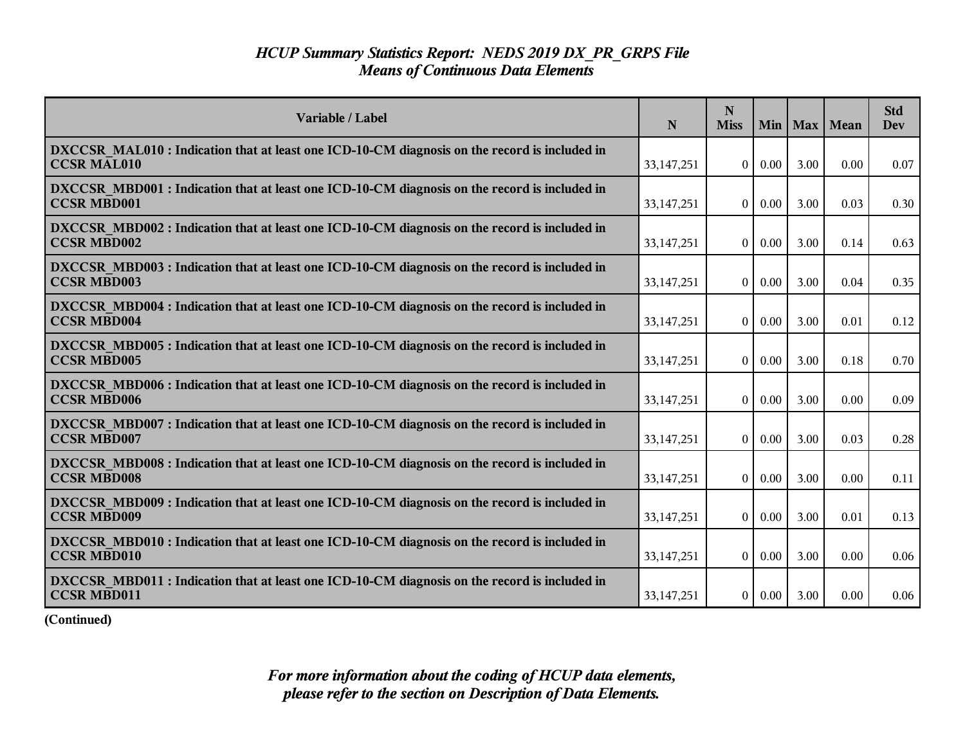| Variable / Label                                                                                                    | N            | N<br><b>Miss</b> | Min      |      | Max   Mean | <b>Std</b><br><b>Dev</b> |
|---------------------------------------------------------------------------------------------------------------------|--------------|------------------|----------|------|------------|--------------------------|
| DXCCSR MAL010 : Indication that at least one ICD-10-CM diagnosis on the record is included in<br><b>CCSR MAL010</b> | 33, 147, 251 | $\theta$         | 0.00     | 3.00 | 0.00       | 0.07                     |
| DXCCSR MBD001 : Indication that at least one ICD-10-CM diagnosis on the record is included in<br><b>CCSR MBD001</b> | 33, 147, 251 | $\theta$         | 0.00     | 3.00 | 0.03       | 0.30                     |
| DXCCSR MBD002 : Indication that at least one ICD-10-CM diagnosis on the record is included in<br><b>CCSR MBD002</b> | 33, 147, 251 | $\overline{0}$   | 0.00     | 3.00 | 0.14       | 0.63                     |
| DXCCSR MBD003 : Indication that at least one ICD-10-CM diagnosis on the record is included in<br><b>CCSR MBD003</b> | 33, 147, 251 | $\theta$         | 0.00     | 3.00 | 0.04       | 0.35                     |
| DXCCSR MBD004 : Indication that at least one ICD-10-CM diagnosis on the record is included in<br><b>CCSR MBD004</b> | 33, 147, 251 | $\overline{0}$   | 0.00     | 3.00 | 0.01       | 0.12                     |
| DXCCSR MBD005 : Indication that at least one ICD-10-CM diagnosis on the record is included in<br><b>CCSR MBD005</b> | 33, 147, 251 | $\overline{0}$   | 0.00     | 3.00 | 0.18       | 0.70                     |
| DXCCSR MBD006 : Indication that at least one ICD-10-CM diagnosis on the record is included in<br><b>CCSR MBD006</b> | 33,147,251   | $\overline{0}$   | 0.00     | 3.00 | 0.00       | 0.09                     |
| DXCCSR MBD007 : Indication that at least one ICD-10-CM diagnosis on the record is included in<br><b>CCSR MBD007</b> | 33, 147, 251 | $\theta$         | 0.00     | 3.00 | 0.03       | 0.28                     |
| DXCCSR MBD008 : Indication that at least one ICD-10-CM diagnosis on the record is included in<br><b>CCSR MBD008</b> | 33,147,251   | $\theta$         | 0.00     | 3.00 | 0.00       | 0.11                     |
| DXCCSR MBD009 : Indication that at least one ICD-10-CM diagnosis on the record is included in<br><b>CCSR MBD009</b> | 33, 147, 251 | $\overline{0}$   | 0.00     | 3.00 | 0.01       | 0.13                     |
| DXCCSR MBD010 : Indication that at least one ICD-10-CM diagnosis on the record is included in<br><b>CCSR MBD010</b> | 33, 147, 251 | $\overline{0}$   | $0.00\,$ | 3.00 | 0.00       | 0.06                     |
| DXCCSR MBD011 : Indication that at least one ICD-10-CM diagnosis on the record is included in<br><b>CCSR MBD011</b> | 33, 147, 251 | 0 <sup>1</sup>   | $0.00\,$ | 3.00 | 0.00       | 0.06                     |

**(Continued)**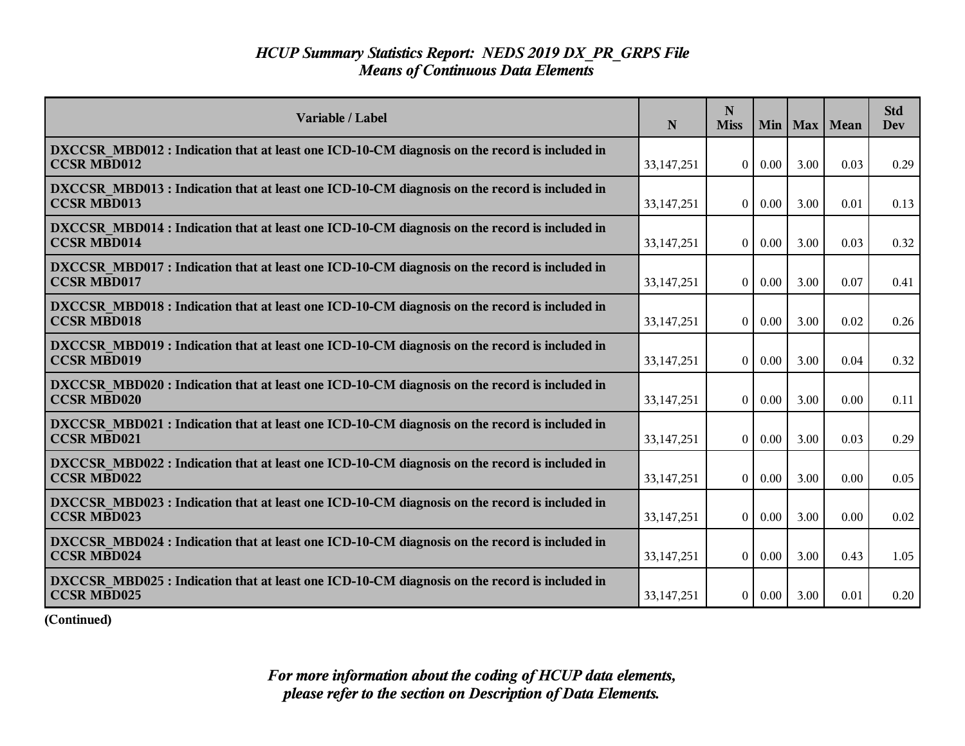| Variable / Label                                                                                                    | N            | N<br><b>Miss</b> | Min      |      | Max   Mean | <b>Std</b><br>Dev |
|---------------------------------------------------------------------------------------------------------------------|--------------|------------------|----------|------|------------|-------------------|
| DXCCSR MBD012 : Indication that at least one ICD-10-CM diagnosis on the record is included in<br><b>CCSR MBD012</b> | 33, 147, 251 | $\overline{0}$   | $0.00\,$ | 3.00 | 0.03       | 0.29              |
| DXCCSR MBD013 : Indication that at least one ICD-10-CM diagnosis on the record is included in<br><b>CCSR MBD013</b> | 33,147,251   | $\overline{0}$   | $0.00\,$ | 3.00 | 0.01       | 0.13              |
| DXCCSR MBD014 : Indication that at least one ICD-10-CM diagnosis on the record is included in<br><b>CCSR MBD014</b> | 33, 147, 251 | $\theta$         | 0.00     | 3.00 | 0.03       | 0.32              |
| DXCCSR MBD017 : Indication that at least one ICD-10-CM diagnosis on the record is included in<br><b>CCSR MBD017</b> | 33, 147, 251 | $\overline{0}$   | 0.00     | 3.00 | 0.07       | 0.41              |
| DXCCSR MBD018 : Indication that at least one ICD-10-CM diagnosis on the record is included in<br><b>CCSR MBD018</b> | 33, 147, 251 | $\overline{0}$   | 0.00     | 3.00 | 0.02       | 0.26              |
| DXCCSR MBD019: Indication that at least one ICD-10-CM diagnosis on the record is included in<br><b>CCSR MBD019</b>  | 33, 147, 251 | $\overline{0}$   | 0.00     | 3.00 | 0.04       | 0.32              |
| DXCCSR MBD020 : Indication that at least one ICD-10-CM diagnosis on the record is included in<br><b>CCSR MBD020</b> | 33,147,251   | $\theta$         | $0.00\,$ | 3.00 | 0.00       | 0.11              |
| DXCCSR MBD021 : Indication that at least one ICD-10-CM diagnosis on the record is included in<br><b>CCSR MBD021</b> | 33, 147, 251 | $\overline{0}$   | 0.00     | 3.00 | 0.03       | 0.29              |
| DXCCSR MBD022 : Indication that at least one ICD-10-CM diagnosis on the record is included in<br><b>CCSR MBD022</b> | 33,147,251   | $\theta$         | 0.00     | 3.00 | 0.00       | 0.05              |
| DXCCSR MBD023 : Indication that at least one ICD-10-CM diagnosis on the record is included in<br><b>CCSR MBD023</b> | 33, 147, 251 | $\overline{0}$   | 0.00     | 3.00 | 0.00       | 0.02              |
| DXCCSR MBD024 : Indication that at least one ICD-10-CM diagnosis on the record is included in<br><b>CCSR MBD024</b> | 33, 147, 251 | $\overline{0}$   | $0.00\,$ | 3.00 | 0.43       | 1.05              |
| DXCCSR MBD025 : Indication that at least one ICD-10-CM diagnosis on the record is included in<br><b>CCSR MBD025</b> | 33, 147, 251 | $\overline{0}$   | 0.00     | 3.00 | 0.01       | 0.20              |

**(Continued)**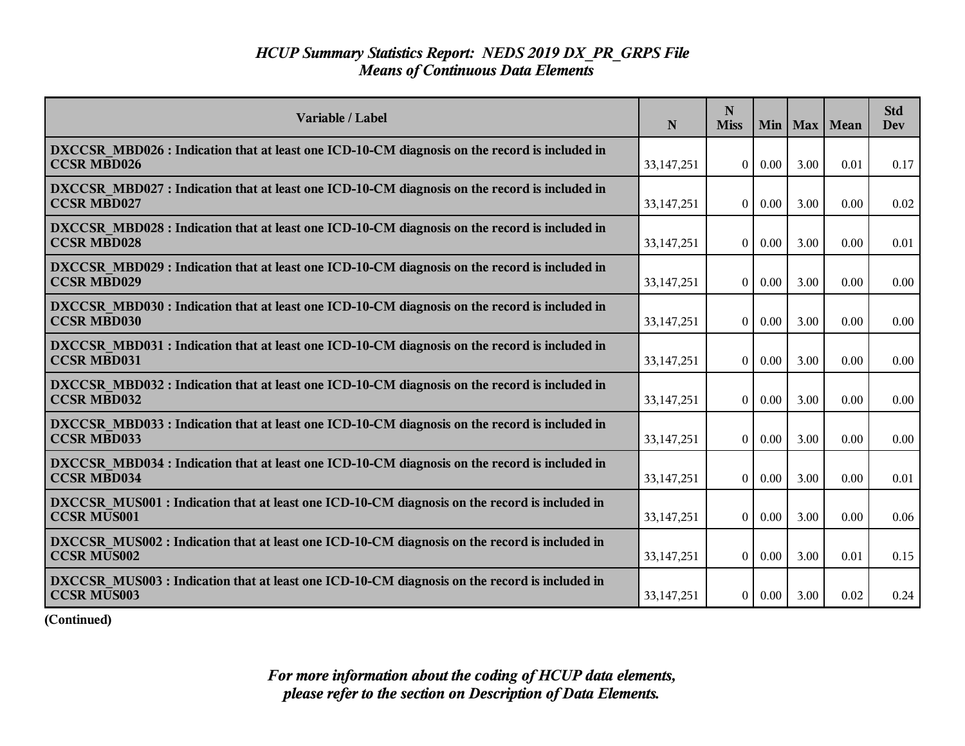| Variable / Label                                                                                                    | N            | N<br><b>Miss</b> | Min      |      | Max   Mean | <b>Std</b><br><b>Dev</b> |
|---------------------------------------------------------------------------------------------------------------------|--------------|------------------|----------|------|------------|--------------------------|
| DXCCSR MBD026 : Indication that at least one ICD-10-CM diagnosis on the record is included in<br><b>CCSR MBD026</b> | 33, 147, 251 | $\theta$         | 0.00     | 3.00 | 0.01       | 0.17                     |
| DXCCSR MBD027 : Indication that at least one ICD-10-CM diagnosis on the record is included in<br><b>CCSR MBD027</b> | 33, 147, 251 | $\theta$         | 0.00     | 3.00 | 0.00       | 0.02                     |
| DXCCSR MBD028 : Indication that at least one ICD-10-CM diagnosis on the record is included in<br><b>CCSR MBD028</b> | 33, 147, 251 | $\overline{0}$   | 0.00     | 3.00 | 0.00       | 0.01                     |
| DXCCSR MBD029 : Indication that at least one ICD-10-CM diagnosis on the record is included in<br><b>CCSR MBD029</b> | 33, 147, 251 | $\theta$         | 0.00     | 3.00 | 0.00       | 0.00                     |
| DXCCSR MBD030 : Indication that at least one ICD-10-CM diagnosis on the record is included in<br><b>CCSR MBD030</b> | 33, 147, 251 | $\overline{0}$   | 0.00     | 3.00 | 0.00       | 0.00                     |
| DXCCSR MBD031 : Indication that at least one ICD-10-CM diagnosis on the record is included in<br><b>CCSR MBD031</b> | 33, 147, 251 | $\overline{0}$   | 0.00     | 3.00 | 0.00       | 0.00                     |
| DXCCSR MBD032 : Indication that at least one ICD-10-CM diagnosis on the record is included in<br><b>CCSR MBD032</b> | 33,147,251   | $\overline{0}$   | 0.00     | 3.00 | 0.00       | 0.00                     |
| DXCCSR MBD033 : Indication that at least one ICD-10-CM diagnosis on the record is included in<br><b>CCSR MBD033</b> | 33, 147, 251 | $\theta$         | 0.00     | 3.00 | 0.00       | 0.00                     |
| DXCCSR MBD034 : Indication that at least one ICD-10-CM diagnosis on the record is included in<br><b>CCSR MBD034</b> | 33,147,251   | $\theta$         | 0.00     | 3.00 | 0.00       | 0.01                     |
| DXCCSR MUS001 : Indication that at least one ICD-10-CM diagnosis on the record is included in<br><b>CCSR MUS001</b> | 33, 147, 251 | $\overline{0}$   | 0.00     | 3.00 | 0.00       | 0.06                     |
| DXCCSR MUS002 : Indication that at least one ICD-10-CM diagnosis on the record is included in<br><b>CCSR MUS002</b> | 33,147,251   | $\overline{0}$   | $0.00\,$ | 3.00 | 0.01       | 0.15                     |
| DXCCSR MUS003 : Indication that at least one ICD-10-CM diagnosis on the record is included in<br><b>CCSR MUS003</b> | 33, 147, 251 | 0 <sup>1</sup>   | $0.00\,$ | 3.00 | 0.02       | 0.24                     |

**(Continued)**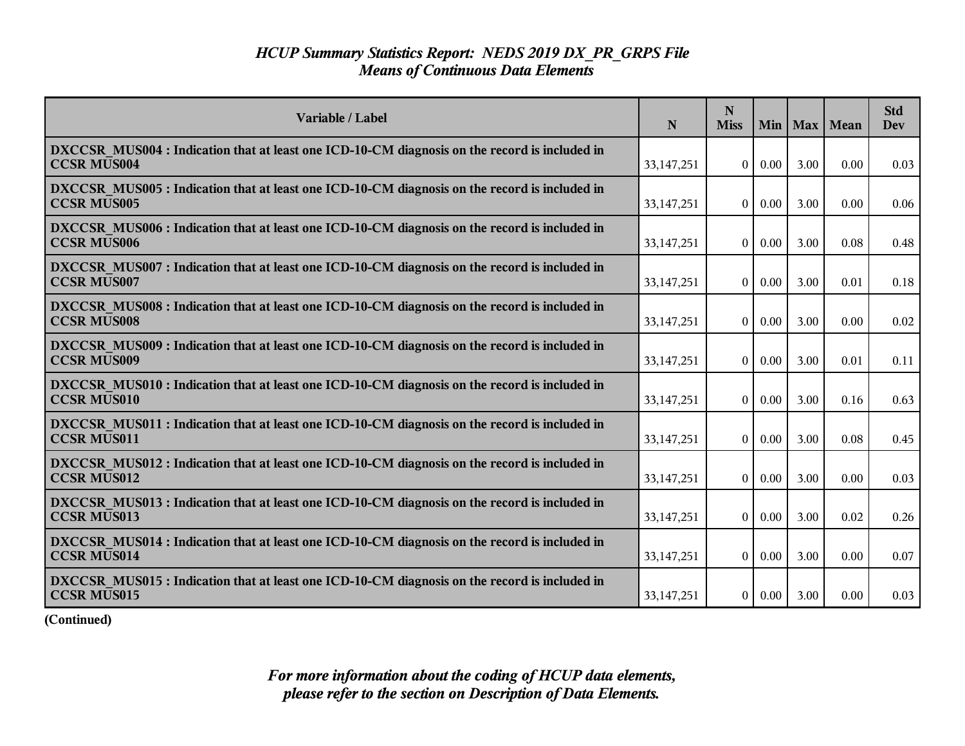| Variable / Label                                                                                                    | N            | N<br><b>Miss</b> | Min      |      | Max   Mean | <b>Std</b><br><b>Dev</b> |
|---------------------------------------------------------------------------------------------------------------------|--------------|------------------|----------|------|------------|--------------------------|
| DXCCSR MUS004 : Indication that at least one ICD-10-CM diagnosis on the record is included in<br><b>CCSR MUS004</b> | 33, 147, 251 | $\theta$         | 0.00     | 3.00 | 0.00       | 0.03                     |
| DXCCSR MUS005 : Indication that at least one ICD-10-CM diagnosis on the record is included in<br><b>CCSR MUS005</b> | 33, 147, 251 | $\theta$         | 0.00     | 3.00 | 0.00       | 0.06                     |
| DXCCSR MUS006 : Indication that at least one ICD-10-CM diagnosis on the record is included in<br><b>CCSR MUS006</b> | 33, 147, 251 | $\overline{0}$   | 0.00     | 3.00 | 0.08       | 0.48                     |
| DXCCSR MUS007 : Indication that at least one ICD-10-CM diagnosis on the record is included in<br><b>CCSR MUS007</b> | 33, 147, 251 | $\theta$         | 0.00     | 3.00 | 0.01       | 0.18                     |
| DXCCSR MUS008 : Indication that at least one ICD-10-CM diagnosis on the record is included in<br><b>CCSR MUS008</b> | 33, 147, 251 | $\overline{0}$   | 0.00     | 3.00 | 0.00       | 0.02                     |
| DXCCSR MUS009 : Indication that at least one ICD-10-CM diagnosis on the record is included in<br><b>CCSR MUS009</b> | 33,147,251   | $\overline{0}$   | 0.00     | 3.00 | 0.01       | 0.11                     |
| DXCCSR MUS010 : Indication that at least one ICD-10-CM diagnosis on the record is included in<br><b>CCSR MUS010</b> | 33,147,251   | $\overline{0}$   | 0.00     | 3.00 | 0.16       | 0.63                     |
| DXCCSR MUS011 : Indication that at least one ICD-10-CM diagnosis on the record is included in<br><b>CCSR MUS011</b> | 33, 147, 251 | $\theta$         | 0.00     | 3.00 | 0.08       | 0.45                     |
| DXCCSR MUS012 : Indication that at least one ICD-10-CM diagnosis on the record is included in<br><b>CCSR MUS012</b> | 33,147,251   | $\theta$         | 0.00     | 3.00 | 0.00       | 0.03                     |
| DXCCSR MUS013 : Indication that at least one ICD-10-CM diagnosis on the record is included in<br><b>CCSR MUS013</b> | 33, 147, 251 | $\theta$         | 0.00     | 3.00 | 0.02       | 0.26                     |
| DXCCSR MUS014 : Indication that at least one ICD-10-CM diagnosis on the record is included in<br><b>CCSR MUS014</b> | 33,147,251   | $\overline{0}$   | $0.00\,$ | 3.00 | 0.00       | 0.07                     |
| DXCCSR MUS015 : Indication that at least one ICD-10-CM diagnosis on the record is included in<br><b>CCSR MUS015</b> | 33, 147, 251 | 0 <sup>1</sup>   | $0.00\,$ | 3.00 | 0.00       | 0.03                     |

**(Continued)**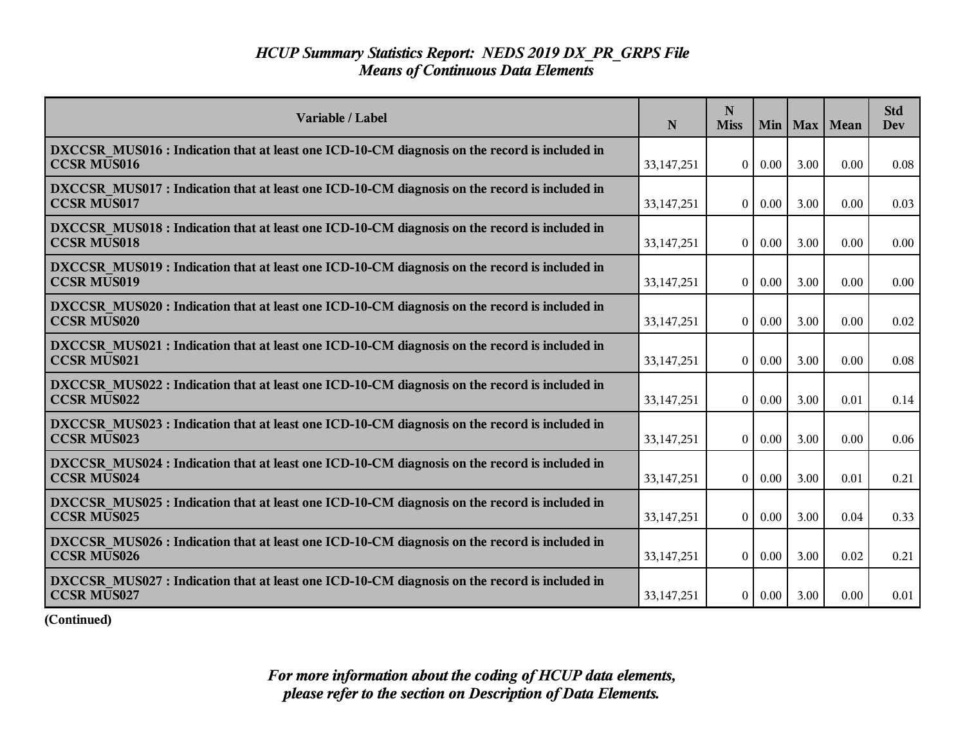| Variable / Label                                                                                                    | N            | N<br><b>Miss</b> | Min      |      | Max   Mean | <b>Std</b><br><b>Dev</b> |
|---------------------------------------------------------------------------------------------------------------------|--------------|------------------|----------|------|------------|--------------------------|
| DXCCSR MUS016 : Indication that at least one ICD-10-CM diagnosis on the record is included in<br><b>CCSR MUS016</b> | 33, 147, 251 | $\theta$         | 0.00     | 3.00 | 0.00       | 0.08                     |
| DXCCSR MUS017 : Indication that at least one ICD-10-CM diagnosis on the record is included in<br><b>CCSR MUS017</b> | 33,147,251   | $\theta$         | 0.00     | 3.00 | 0.00       | 0.03                     |
| DXCCSR MUS018 : Indication that at least one ICD-10-CM diagnosis on the record is included in<br><b>CCSR MUS018</b> | 33,147,251   | $\theta$         | 0.00     | 3.00 | 0.00       | 0.00                     |
| DXCCSR MUS019 : Indication that at least one ICD-10-CM diagnosis on the record is included in<br><b>CCSR MUS019</b> | 33, 147, 251 | $\mathbf{0}$     | 0.00     | 3.00 | 0.00       | 0.00                     |
| DXCCSR MUS020 : Indication that at least one ICD-10-CM diagnosis on the record is included in<br><b>CCSR MUS020</b> | 33,147,251   | $\overline{0}$   | 0.00     | 3.00 | 0.00       | 0.02                     |
| DXCCSR MUS021 : Indication that at least one ICD-10-CM diagnosis on the record is included in<br><b>CCSR MUS021</b> | 33,147,251   | $\overline{0}$   | 0.00     | 3.00 | 0.00       | 0.08                     |
| DXCCSR MUS022 : Indication that at least one ICD-10-CM diagnosis on the record is included in<br><b>CCSR MUS022</b> | 33,147,251   | $\theta$         | 0.00     | 3.00 | 0.01       | 0.14                     |
| DXCCSR MUS023 : Indication that at least one ICD-10-CM diagnosis on the record is included in<br><b>CCSR MUS023</b> | 33,147,251   | $\theta$         | 0.00     | 3.00 | 0.00       | 0.06                     |
| DXCCSR MUS024 : Indication that at least one ICD-10-CM diagnosis on the record is included in<br><b>CCSR MUS024</b> | 33, 147, 251 | $\overline{0}$   | 0.00     | 3.00 | 0.01       | 0.21                     |
| DXCCSR MUS025 : Indication that at least one ICD-10-CM diagnosis on the record is included in<br><b>CCSR MUS025</b> | 33, 147, 251 | $\theta$         | 0.00     | 3.00 | 0.04       | 0.33                     |
| DXCCSR MUS026 : Indication that at least one ICD-10-CM diagnosis on the record is included in<br><b>CCSR MUS026</b> | 33,147,251   | $\theta$         | $0.00\,$ | 3.00 | 0.02       | 0.21                     |
| DXCCSR MUS027 : Indication that at least one ICD-10-CM diagnosis on the record is included in<br><b>CCSR MUS027</b> | 33, 147, 251 | $\vert 0 \vert$  | $0.00\,$ | 3.00 | 0.00       | 0.01                     |

**(Continued)**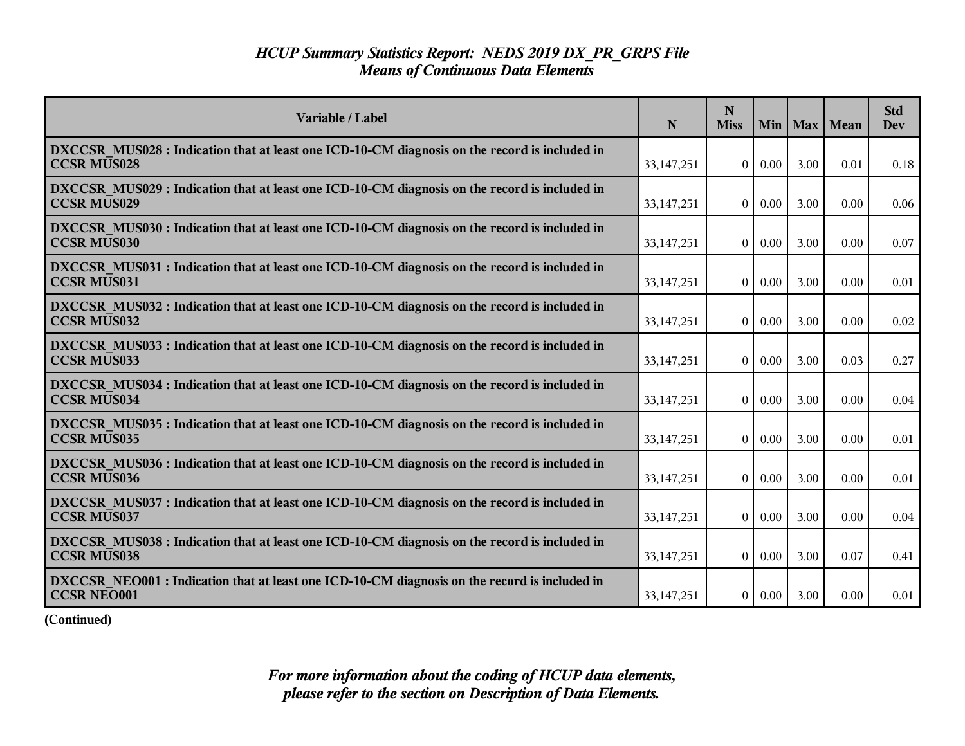| Variable / Label                                                                                                    | N            | N<br><b>Miss</b> | Min      |      | Max   Mean | <b>Std</b><br><b>Dev</b> |
|---------------------------------------------------------------------------------------------------------------------|--------------|------------------|----------|------|------------|--------------------------|
| DXCCSR MUS028 : Indication that at least one ICD-10-CM diagnosis on the record is included in<br><b>CCSR MUS028</b> | 33, 147, 251 | $\theta$         | 0.00     | 3.00 | 0.01       | 0.18                     |
| DXCCSR MUS029 : Indication that at least one ICD-10-CM diagnosis on the record is included in<br><b>CCSR MUS029</b> | 33, 147, 251 | $\theta$         | 0.00     | 3.00 | 0.00       | 0.06                     |
| DXCCSR MUS030 : Indication that at least one ICD-10-CM diagnosis on the record is included in<br><b>CCSR MUS030</b> | 33, 147, 251 | $\overline{0}$   | 0.00     | 3.00 | 0.00       | 0.07                     |
| DXCCSR MUS031 : Indication that at least one ICD-10-CM diagnosis on the record is included in<br><b>CCSR MUS031</b> | 33, 147, 251 | $\theta$         | 0.00     | 3.00 | 0.00       | 0.01                     |
| DXCCSR MUS032 : Indication that at least one ICD-10-CM diagnosis on the record is included in<br><b>CCSR MUS032</b> | 33, 147, 251 | $\overline{0}$   | 0.00     | 3.00 | 0.00       | 0.02                     |
| DXCCSR MUS033 : Indication that at least one ICD-10-CM diagnosis on the record is included in<br><b>CCSR MUS033</b> | 33,147,251   | $\overline{0}$   | 0.00     | 3.00 | 0.03       | 0.27                     |
| DXCCSR MUS034 : Indication that at least one ICD-10-CM diagnosis on the record is included in<br><b>CCSR MUS034</b> | 33,147,251   | $\overline{0}$   | 0.00     | 3.00 | 0.00       | 0.04                     |
| DXCCSR MUS035 : Indication that at least one ICD-10-CM diagnosis on the record is included in<br><b>CCSR MUS035</b> | 33, 147, 251 | $\theta$         | 0.00     | 3.00 | 0.00       | 0.01                     |
| DXCCSR MUS036 : Indication that at least one ICD-10-CM diagnosis on the record is included in<br><b>CCSR MUS036</b> | 33,147,251   | $\theta$         | 0.00     | 3.00 | 0.00       | 0.01                     |
| DXCCSR MUS037 : Indication that at least one ICD-10-CM diagnosis on the record is included in<br><b>CCSR MUS037</b> | 33, 147, 251 | $\theta$         | 0.00     | 3.00 | 0.00       | 0.04                     |
| DXCCSR MUS038 : Indication that at least one ICD-10-CM diagnosis on the record is included in<br><b>CCSR MUS038</b> | 33,147,251   | $\overline{0}$   | $0.00\,$ | 3.00 | 0.07       | 0.41                     |
| DXCCSR NEO001 : Indication that at least one ICD-10-CM diagnosis on the record is included in<br><b>CCSR NEO001</b> | 33, 147, 251 | 0 <sup>1</sup>   | $0.00\,$ | 3.00 | 0.00       | 0.01                     |

**(Continued)**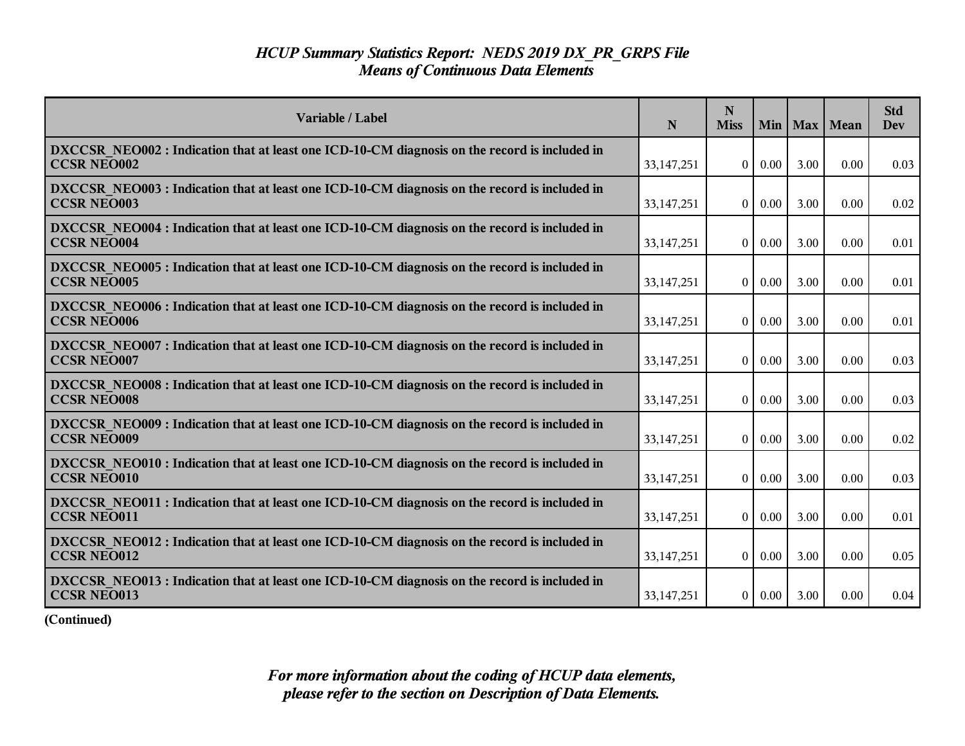| Variable / Label                                                                                                    | N            | N<br><b>Miss</b> | Min      |      | Max   Mean | <b>Std</b><br>Dev |
|---------------------------------------------------------------------------------------------------------------------|--------------|------------------|----------|------|------------|-------------------|
| DXCCSR NEO002 : Indication that at least one ICD-10-CM diagnosis on the record is included in<br><b>CCSR NEO002</b> | 33, 147, 251 | $\overline{0}$   | 0.00     | 3.00 | 0.00       | 0.03              |
| DXCCSR NEO003 : Indication that at least one ICD-10-CM diagnosis on the record is included in<br><b>CCSR NEO003</b> | 33,147,251   | $\overline{0}$   | $0.00\,$ | 3.00 | 0.00       | 0.02              |
| DXCCSR NEO004 : Indication that at least one ICD-10-CM diagnosis on the record is included in<br><b>CCSR NEO004</b> | 33,147,251   | $\theta$         | 0.00     | 3.00 | 0.00       | 0.01              |
| DXCCSR NEO005 : Indication that at least one ICD-10-CM diagnosis on the record is included in<br><b>CCSR NEO005</b> | 33, 147, 251 | $\overline{0}$   | 0.00     | 3.00 | 0.00       | 0.01              |
| DXCCSR_NEO006 : Indication that at least one ICD-10-CM diagnosis on the record is included in<br><b>CCSR NEO006</b> | 33,147,251   | $\overline{0}$   | 0.00     | 3.00 | 0.00       | 0.01              |
| DXCCSR NEO007: Indication that at least one ICD-10-CM diagnosis on the record is included in<br><b>CCSR NEO007</b>  | 33, 147, 251 | $\overline{0}$   | 0.00     | 3.00 | 0.00       | 0.03              |
| DXCCSR NEO008 : Indication that at least one ICD-10-CM diagnosis on the record is included in<br><b>CCSR NEO008</b> | 33,147,251   | $\theta$         | $0.00\,$ | 3.00 | 0.00       | 0.03              |
| DXCCSR NEO009 : Indication that at least one ICD-10-CM diagnosis on the record is included in<br><b>CCSR NEO009</b> | 33, 147, 251 | $\overline{0}$   | 0.00     | 3.00 | 0.00       | 0.02              |
| DXCCSR NEO010 : Indication that at least one ICD-10-CM diagnosis on the record is included in<br><b>CCSR NEO010</b> | 33,147,251   | $\theta$         | 0.00     | 3.00 | 0.00       | 0.03              |
| DXCCSR NEO011 : Indication that at least one ICD-10-CM diagnosis on the record is included in<br><b>CCSR NEO011</b> | 33, 147, 251 | $\theta$         | 0.00     | 3.00 | 0.00       | 0.01              |
| DXCCSR NEO012 : Indication that at least one ICD-10-CM diagnosis on the record is included in<br><b>CCSR NEO012</b> | 33, 147, 251 | $\overline{0}$   | $0.00\,$ | 3.00 | 0.00       | 0.05              |
| DXCCSR NEO013 : Indication that at least one ICD-10-CM diagnosis on the record is included in<br><b>CCSR NEO013</b> | 33, 147, 251 | $\overline{0}$   | 0.00     | 3.00 | 0.00       | 0.04              |

**(Continued)**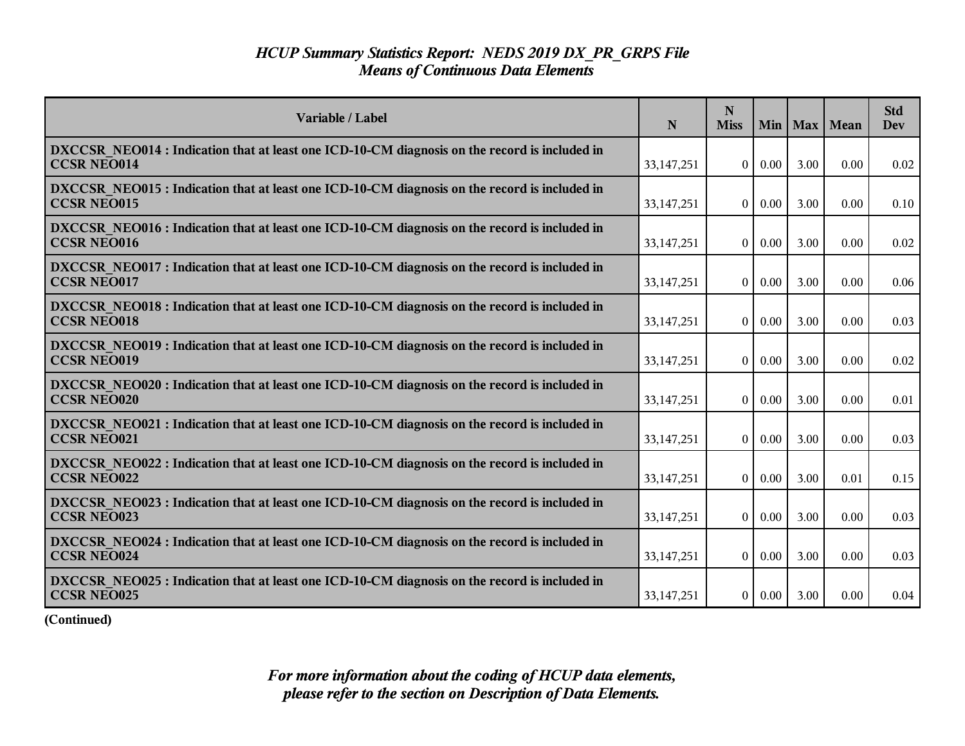| Variable / Label                                                                                                    | N            | N<br><b>Miss</b> | Min      |      | Max   Mean | <b>Std</b><br>Dev |
|---------------------------------------------------------------------------------------------------------------------|--------------|------------------|----------|------|------------|-------------------|
| DXCCSR NEO014 : Indication that at least one ICD-10-CM diagnosis on the record is included in<br><b>CCSR NEO014</b> | 33, 147, 251 | $\overline{0}$   | $0.00\,$ | 3.00 | 0.00       | 0.02              |
| DXCCSR NEO015 : Indication that at least one ICD-10-CM diagnosis on the record is included in<br><b>CCSR NEO015</b> | 33,147,251   | $\overline{0}$   | $0.00\,$ | 3.00 | 0.00       | 0.10              |
| DXCCSR NEO016 : Indication that at least one ICD-10-CM diagnosis on the record is included in<br><b>CCSR NEO016</b> | 33,147,251   | $\theta$         | 0.00     | 3.00 | 0.00       | 0.02              |
| DXCCSR NEO017 : Indication that at least one ICD-10-CM diagnosis on the record is included in<br><b>CCSR NEO017</b> | 33, 147, 251 | $\overline{0}$   | 0.00     | 3.00 | 0.00       | 0.06              |
| DXCCSR NEO018 : Indication that at least one ICD-10-CM diagnosis on the record is included in<br><b>CCSR NEO018</b> | 33,147,251   | $\overline{0}$   | 0.00     | 3.00 | 0.00       | 0.03              |
| DXCCSR NEO019: Indication that at least one ICD-10-CM diagnosis on the record is included in<br><b>CCSR NEO019</b>  | 33, 147, 251 | $\overline{0}$   | 0.00     | 3.00 | 0.00       | 0.02              |
| DXCCSR NEO020 : Indication that at least one ICD-10-CM diagnosis on the record is included in<br><b>CCSR NEO020</b> | 33, 147, 251 | $\theta$         | $0.00\,$ | 3.00 | 0.00       | 0.01              |
| DXCCSR NEO021 : Indication that at least one ICD-10-CM diagnosis on the record is included in<br><b>CCSR NEO021</b> | 33, 147, 251 | $\overline{0}$   | 0.00     | 3.00 | 0.00       | 0.03              |
| DXCCSR NEO022 : Indication that at least one ICD-10-CM diagnosis on the record is included in<br><b>CCSR NEO022</b> | 33,147,251   | $\theta$         | 0.00     | 3.00 | 0.01       | 0.15              |
| DXCCSR NEO023 : Indication that at least one ICD-10-CM diagnosis on the record is included in<br><b>CCSR NEO023</b> | 33, 147, 251 | $\theta$         | 0.00     | 3.00 | 0.00       | 0.03              |
| DXCCSR NEO024 : Indication that at least one ICD-10-CM diagnosis on the record is included in<br><b>CCSR NEO024</b> | 33, 147, 251 | $\overline{0}$   | $0.00\,$ | 3.00 | 0.00       | 0.03              |
| DXCCSR NEO025 : Indication that at least one ICD-10-CM diagnosis on the record is included in<br><b>CCSR NEO025</b> | 33, 147, 251 | $\overline{0}$   | 0.00     | 3.00 | 0.00       | 0.04              |

**(Continued)**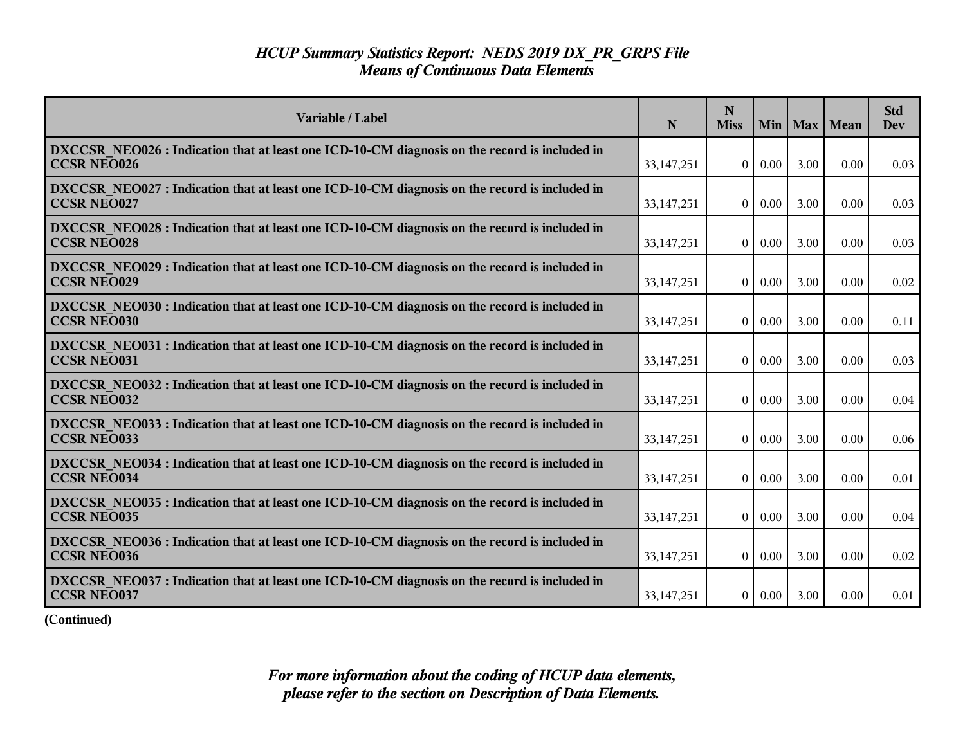| Variable / Label                                                                                                    | N            | N<br><b>Miss</b> | Min      |      | Max   Mean | <b>Std</b><br>Dev |
|---------------------------------------------------------------------------------------------------------------------|--------------|------------------|----------|------|------------|-------------------|
| DXCCSR NEO026 : Indication that at least one ICD-10-CM diagnosis on the record is included in<br><b>CCSR NEO026</b> | 33, 147, 251 | $\overline{0}$   | $0.00\,$ | 3.00 | 0.00       | 0.03              |
| DXCCSR NEO027 : Indication that at least one ICD-10-CM diagnosis on the record is included in<br><b>CCSR NEO027</b> | 33,147,251   | $\overline{0}$   | $0.00\,$ | 3.00 | 0.00       | 0.03              |
| DXCCSR NEO028 : Indication that at least one ICD-10-CM diagnosis on the record is included in<br><b>CCSR NEO028</b> | 33,147,251   | $\theta$         | 0.00     | 3.00 | 0.00       | 0.03              |
| DXCCSR NEO029 : Indication that at least one ICD-10-CM diagnosis on the record is included in<br><b>CCSR NEO029</b> | 33, 147, 251 | $\overline{0}$   | 0.00     | 3.00 | 0.00       | 0.02              |
| DXCCSR_NEO030: Indication that at least one ICD-10-CM diagnosis on the record is included in<br><b>CCSR NEO030</b>  | 33, 147, 251 | $\overline{0}$   | 0.00     | 3.00 | 0.00       | 0.11              |
| DXCCSR NEO031 : Indication that at least one ICD-10-CM diagnosis on the record is included in<br><b>CCSR NEO031</b> | 33, 147, 251 | $\overline{0}$   | 0.00     | 3.00 | 0.00       | 0.03              |
| DXCCSR NEO032 : Indication that at least one ICD-10-CM diagnosis on the record is included in<br><b>CCSR NEO032</b> | 33, 147, 251 | $\theta$         | $0.00\,$ | 3.00 | 0.00       | 0.04              |
| DXCCSR NEO033 : Indication that at least one ICD-10-CM diagnosis on the record is included in<br><b>CCSR NEO033</b> | 33, 147, 251 | $\overline{0}$   | 0.00     | 3.00 | 0.00       | 0.06              |
| DXCCSR NEO034 : Indication that at least one ICD-10-CM diagnosis on the record is included in<br><b>CCSR NEO034</b> | 33,147,251   | $\theta$         | 0.00     | 3.00 | 0.00       | 0.01              |
| DXCCSR NEO035 : Indication that at least one ICD-10-CM diagnosis on the record is included in<br><b>CCSR NEO035</b> | 33, 147, 251 | $\theta$         | 0.00     | 3.00 | 0.00       | 0.04              |
| DXCCSR NEO036 : Indication that at least one ICD-10-CM diagnosis on the record is included in<br><b>CCSR NEO036</b> | 33, 147, 251 | $\overline{0}$   | $0.00\,$ | 3.00 | 0.00       | 0.02              |
| DXCCSR NEO037 : Indication that at least one ICD-10-CM diagnosis on the record is included in<br><b>CCSR NEO037</b> | 33, 147, 251 | $\overline{0}$   | 0.00     | 3.00 | 0.00       | 0.01              |

**(Continued)**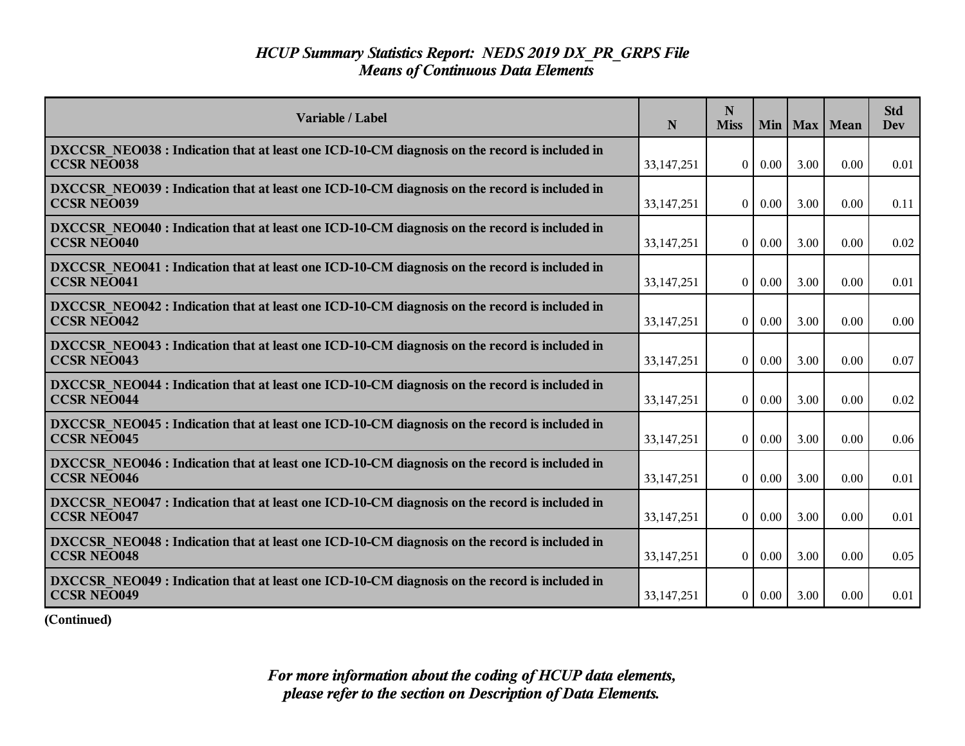| Variable / Label                                                                                                    | N            | N<br><b>Miss</b> | Min      |      | Max   Mean | <b>Std</b><br><b>Dev</b> |
|---------------------------------------------------------------------------------------------------------------------|--------------|------------------|----------|------|------------|--------------------------|
| DXCCSR NEO038 : Indication that at least one ICD-10-CM diagnosis on the record is included in<br><b>CCSR NEO038</b> | 33, 147, 251 | $\theta$         | 0.00     | 3.00 | 0.00       | 0.01                     |
| DXCCSR NEO039 : Indication that at least one ICD-10-CM diagnosis on the record is included in<br><b>CCSR NEO039</b> | 33, 147, 251 | $\theta$         | $0.00\,$ | 3.00 | 0.00       | 0.11                     |
| DXCCSR NEO040 : Indication that at least one ICD-10-CM diagnosis on the record is included in<br><b>CCSR NEO040</b> | 33, 147, 251 | $\overline{0}$   | 0.00     | 3.00 | 0.00       | 0.02                     |
| DXCCSR NEO041 : Indication that at least one ICD-10-CM diagnosis on the record is included in<br><b>CCSR NEO041</b> | 33,147,251   | $\theta$         | $0.00\,$ | 3.00 | 0.00       | 0.01                     |
| DXCCSR NEO042 : Indication that at least one ICD-10-CM diagnosis on the record is included in<br><b>CCSR NEO042</b> | 33, 147, 251 | $\overline{0}$   | 0.00     | 3.00 | 0.00       | 0.00                     |
| DXCCSR NEO043 : Indication that at least one ICD-10-CM diagnosis on the record is included in<br><b>CCSR NEO043</b> | 33, 147, 251 | $\overline{0}$   | 0.00     | 3.00 | 0.00       | 0.07                     |
| DXCCSR NEO044 : Indication that at least one ICD-10-CM diagnosis on the record is included in<br><b>CCSR NEO044</b> | 33,147,251   | $\overline{0}$   | 0.00     | 3.00 | 0.00       | 0.02                     |
| DXCCSR NEO045 : Indication that at least one ICD-10-CM diagnosis on the record is included in<br><b>CCSR NEO045</b> | 33, 147, 251 | $\overline{0}$   | 0.00     | 3.00 | 0.00       | 0.06                     |
| DXCCSR NEO046 : Indication that at least one ICD-10-CM diagnosis on the record is included in<br><b>CCSR NEO046</b> | 33, 147, 251 | $\theta$         | 0.00     | 3.00 | 0.00       | 0.01                     |
| DXCCSR NEO047 : Indication that at least one ICD-10-CM diagnosis on the record is included in<br><b>CCSR NEO047</b> | 33, 147, 251 | $\theta$         | 0.00     | 3.00 | 0.00       | 0.01                     |
| DXCCSR NEO048 : Indication that at least one ICD-10-CM diagnosis on the record is included in<br><b>CCSR NEO048</b> | 33,147,251   | $\overline{0}$   | $0.00\,$ | 3.00 | 0.00       | 0.05                     |
| DXCCSR NEO049 : Indication that at least one ICD-10-CM diagnosis on the record is included in<br><b>CCSR NEO049</b> | 33, 147, 251 | 0 <sup>1</sup>   | $0.00\,$ | 3.00 | 0.00       | 0.01                     |

**(Continued)**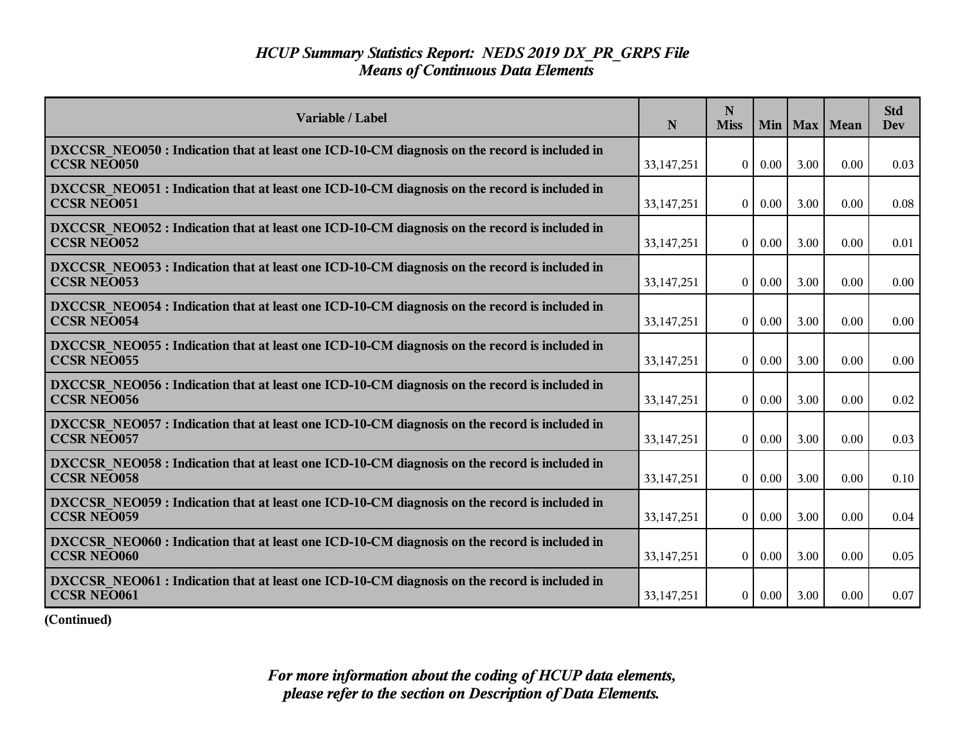| Variable / Label                                                                                                    | N            | N<br><b>Miss</b> | Min      |      | Max   Mean | <b>Std</b><br><b>Dev</b> |
|---------------------------------------------------------------------------------------------------------------------|--------------|------------------|----------|------|------------|--------------------------|
| DXCCSR NEO050 : Indication that at least one ICD-10-CM diagnosis on the record is included in<br><b>CCSR NEO050</b> | 33, 147, 251 | $\theta$         | 0.00     | 3.00 | 0.00       | 0.03                     |
| DXCCSR NEO051 : Indication that at least one ICD-10-CM diagnosis on the record is included in<br><b>CCSR NEO051</b> | 33, 147, 251 | $\theta$         | 0.00     | 3.00 | 0.00       | 0.08                     |
| DXCCSR_NEO052 : Indication that at least one ICD-10-CM diagnosis on the record is included in<br><b>CCSR NEO052</b> | 33, 147, 251 | $\overline{0}$   | 0.00     | 3.00 | 0.00       | 0.01                     |
| DXCCSR NEO053 : Indication that at least one ICD-10-CM diagnosis on the record is included in<br><b>CCSR NEO053</b> | 33, 147, 251 | $\theta$         | 0.00     | 3.00 | 0.00       | 0.00                     |
| DXCCSR NEO054 : Indication that at least one ICD-10-CM diagnosis on the record is included in<br><b>CCSR NEO054</b> | 33, 147, 251 | $\overline{0}$   | 0.00     | 3.00 | 0.00       | 0.00                     |
| DXCCSR NEO055 : Indication that at least one ICD-10-CM diagnosis on the record is included in<br><b>CCSR NEO055</b> | 33, 147, 251 | $\overline{0}$   | 0.00     | 3.00 | 0.00       | 0.00                     |
| DXCCSR NEO056 : Indication that at least one ICD-10-CM diagnosis on the record is included in<br><b>CCSR NEO056</b> | 33,147,251   | $\overline{0}$   | 0.00     | 3.00 | 0.00       | 0.02                     |
| DXCCSR NEO057 : Indication that at least one ICD-10-CM diagnosis on the record is included in<br><b>CCSR NEO057</b> | 33, 147, 251 | $\overline{0}$   | 0.00     | 3.00 | 0.00       | 0.03                     |
| DXCCSR NEO058 : Indication that at least one ICD-10-CM diagnosis on the record is included in<br><b>CCSR NEO058</b> | 33, 147, 251 | $\theta$         | 0.00     | 3.00 | 0.00       | 0.10                     |
| DXCCSR NEO059 : Indication that at least one ICD-10-CM diagnosis on the record is included in<br><b>CCSR NEO059</b> | 33, 147, 251 | $\theta$         | 0.00     | 3.00 | 0.00       | 0.04                     |
| DXCCSR NEO060 : Indication that at least one ICD-10-CM diagnosis on the record is included in<br><b>CCSR NEO060</b> | 33,147,251   | $\overline{0}$   | $0.00\,$ | 3.00 | 0.00       | 0.05                     |
| DXCCSR NEO061 : Indication that at least one ICD-10-CM diagnosis on the record is included in<br><b>CCSR NEO061</b> | 33, 147, 251 | 0 <sup>1</sup>   | $0.00\,$ | 3.00 | 0.00       | 0.07                     |

**(Continued)**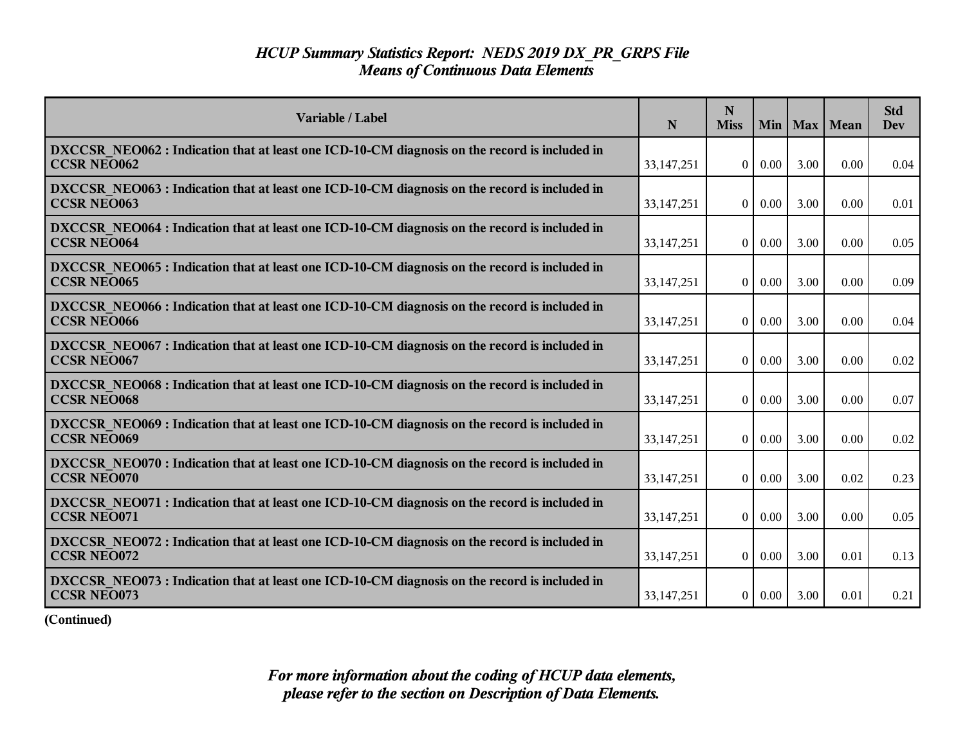| Variable / Label                                                                                                    | N            | N<br><b>Miss</b> | Min      |      | Max   Mean | <b>Std</b><br>Dev |
|---------------------------------------------------------------------------------------------------------------------|--------------|------------------|----------|------|------------|-------------------|
| DXCCSR NEO062 : Indication that at least one ICD-10-CM diagnosis on the record is included in<br><b>CCSR NEO062</b> | 33, 147, 251 | $\overline{0}$   | 0.00     | 3.00 | 0.00       | 0.04              |
| DXCCSR NEO063 : Indication that at least one ICD-10-CM diagnosis on the record is included in<br><b>CCSR NEO063</b> | 33,147,251   | $\overline{0}$   | $0.00\,$ | 3.00 | 0.00       | 0.01              |
| DXCCSR NEO064 : Indication that at least one ICD-10-CM diagnosis on the record is included in<br><b>CCSR NEO064</b> | 33,147,251   | $\theta$         | 0.00     | 3.00 | 0.00       | 0.05              |
| DXCCSR NEO065 : Indication that at least one ICD-10-CM diagnosis on the record is included in<br><b>CCSR NEO065</b> | 33, 147, 251 | $\overline{0}$   | 0.00     | 3.00 | 0.00       | 0.09              |
| DXCCSR_NEO066 : Indication that at least one ICD-10-CM diagnosis on the record is included in<br><b>CCSR NEO066</b> | 33,147,251   | $\overline{0}$   | 0.00     | 3.00 | 0.00       | 0.04              |
| DXCCSR NEO067: Indication that at least one ICD-10-CM diagnosis on the record is included in<br><b>CCSR NEO067</b>  | 33, 147, 251 | $\overline{0}$   | 0.00     | 3.00 | 0.00       | 0.02              |
| DXCCSR NEO068 : Indication that at least one ICD-10-CM diagnosis on the record is included in<br><b>CCSR NEO068</b> | 33, 147, 251 | $\theta$         | 0.00     | 3.00 | 0.00       | 0.07              |
| DXCCSR NEO069 : Indication that at least one ICD-10-CM diagnosis on the record is included in<br><b>CCSR NEO069</b> | 33, 147, 251 | $\overline{0}$   | 0.00     | 3.00 | 0.00       | 0.02              |
| DXCCSR NEO070 : Indication that at least one ICD-10-CM diagnosis on the record is included in<br><b>CCSR NEO070</b> | 33,147,251   | $\theta$         | 0.00     | 3.00 | 0.02       | 0.23              |
| DXCCSR NEO071 : Indication that at least one ICD-10-CM diagnosis on the record is included in<br><b>CCSR NEO071</b> | 33, 147, 251 | $\overline{0}$   | 0.00     | 3.00 | 0.00       | 0.05              |
| DXCCSR NEO072 : Indication that at least one ICD-10-CM diagnosis on the record is included in<br><b>CCSR NEO072</b> | 33, 147, 251 | $\overline{0}$   | $0.00\,$ | 3.00 | 0.01       | 0.13              |
| DXCCSR NEO073 : Indication that at least one ICD-10-CM diagnosis on the record is included in<br><b>CCSR NEO073</b> | 33, 147, 251 | $\overline{0}$   | 0.00     | 3.00 | 0.01       | 0.21              |

**(Continued)**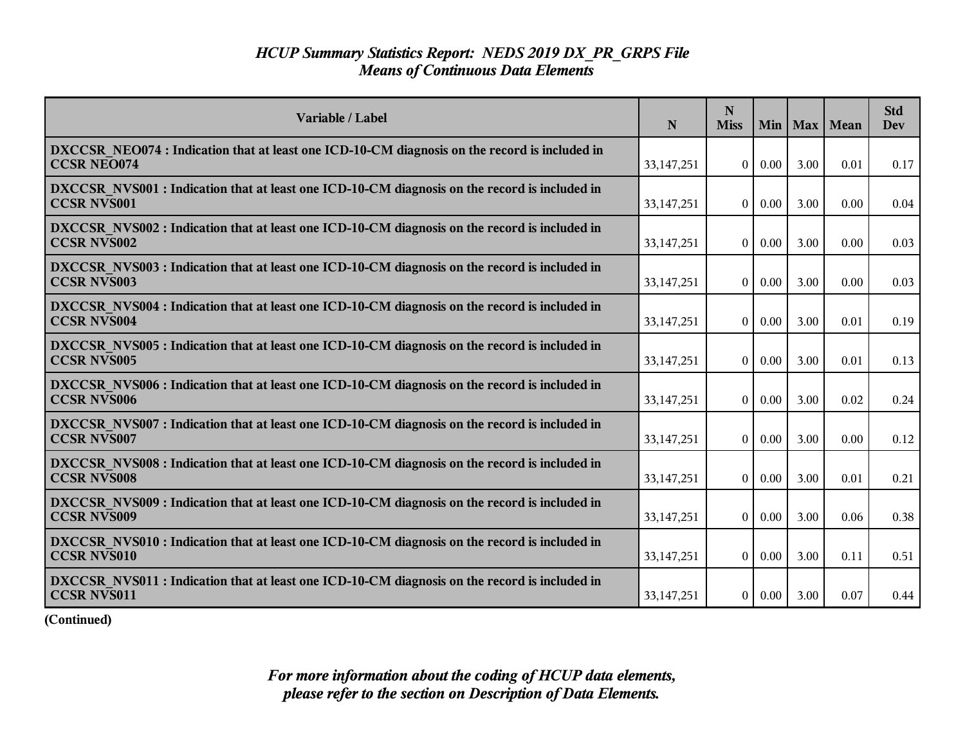| Variable / Label                                                                                                    | N            | N<br><b>Miss</b> | Min      |      | Max   Mean | <b>Std</b><br>Dev |
|---------------------------------------------------------------------------------------------------------------------|--------------|------------------|----------|------|------------|-------------------|
| DXCCSR NEO074 : Indication that at least one ICD-10-CM diagnosis on the record is included in<br><b>CCSR NEO074</b> | 33, 147, 251 | $\overline{0}$   | $0.00\,$ | 3.00 | 0.01       | 0.17              |
| DXCCSR NVS001 : Indication that at least one ICD-10-CM diagnosis on the record is included in<br><b>CCSR NVS001</b> | 33,147,251   | $\overline{0}$   | $0.00\,$ | 3.00 | 0.00       | 0.04              |
| DXCCSR NVS002 : Indication that at least one ICD-10-CM diagnosis on the record is included in<br><b>CCSR NVS002</b> | 33,147,251   | $\theta$         | 0.00     | 3.00 | 0.00       | 0.03              |
| DXCCSR NVS003 : Indication that at least one ICD-10-CM diagnosis on the record is included in<br><b>CCSR NVS003</b> | 33, 147, 251 | $\overline{0}$   | 0.00     | 3.00 | 0.00       | 0.03              |
| DXCCSR NVS004 : Indication that at least one ICD-10-CM diagnosis on the record is included in<br><b>CCSR NVS004</b> | 33,147,251   | $\overline{0}$   | 0.00     | 3.00 | 0.01       | 0.19              |
| DXCCSR NVS005 : Indication that at least one ICD-10-CM diagnosis on the record is included in<br><b>CCSR NVS005</b> | 33, 147, 251 | $\overline{0}$   | 0.00     | 3.00 | 0.01       | 0.13              |
| DXCCSR NVS006 : Indication that at least one ICD-10-CM diagnosis on the record is included in<br><b>CCSR NVS006</b> | 33, 147, 251 | $\theta$         | $0.00\,$ | 3.00 | 0.02       | 0.24              |
| DXCCSR NVS007 : Indication that at least one ICD-10-CM diagnosis on the record is included in<br><b>CCSR NVS007</b> | 33, 147, 251 | $\overline{0}$   | 0.00     | 3.00 | 0.00       | 0.12              |
| DXCCSR NVS008 : Indication that at least one ICD-10-CM diagnosis on the record is included in<br><b>CCSR NVS008</b> | 33,147,251   | $\theta$         | 0.00     | 3.00 | 0.01       | 0.21              |
| DXCCSR NVS009 : Indication that at least one ICD-10-CM diagnosis on the record is included in<br><b>CCSR NVS009</b> | 33, 147, 251 | $\overline{0}$   | 0.00     | 3.00 | 0.06       | 0.38              |
| DXCCSR NVS010 : Indication that at least one ICD-10-CM diagnosis on the record is included in<br><b>CCSR NVS010</b> | 33, 147, 251 | $\overline{0}$   | $0.00\,$ | 3.00 | 0.11       | 0.51              |
| DXCCSR NVS011 : Indication that at least one ICD-10-CM diagnosis on the record is included in<br><b>CCSR NVS011</b> | 33, 147, 251 | $\overline{0}$   | 0.00     | 3.00 | 0.07       | 0.44              |

**(Continued)**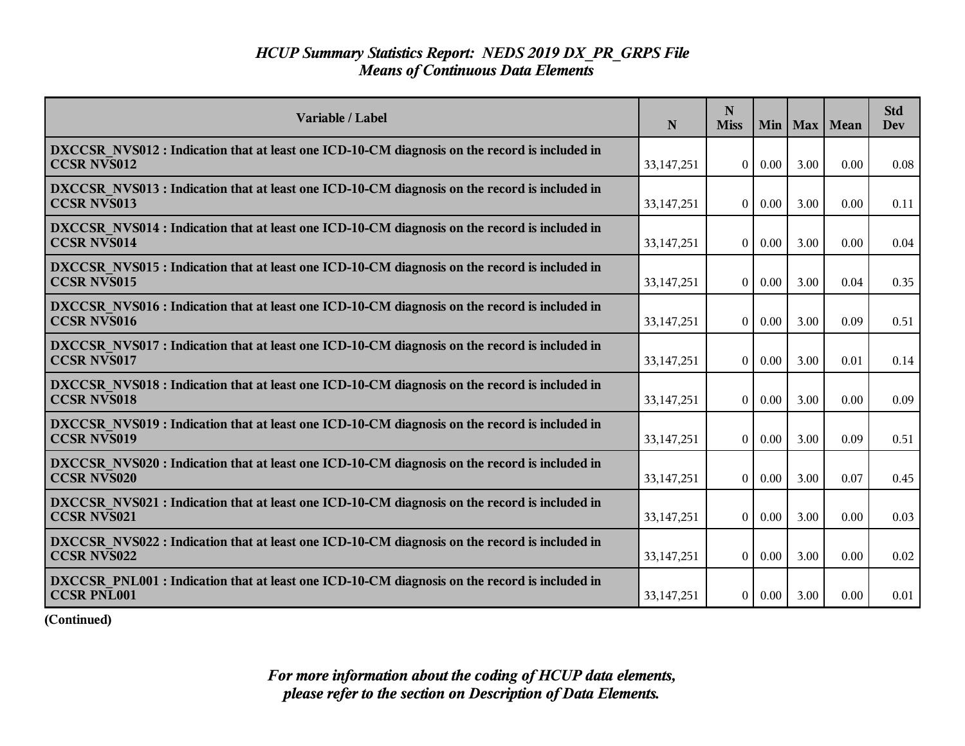| Variable / Label                                                                                                    | N            | N<br><b>Miss</b> | Min      |      | Max   Mean | <b>Std</b><br>Dev |
|---------------------------------------------------------------------------------------------------------------------|--------------|------------------|----------|------|------------|-------------------|
| DXCCSR NVS012 : Indication that at least one ICD-10-CM diagnosis on the record is included in<br><b>CCSR NVS012</b> | 33, 147, 251 | $\overline{0}$   | $0.00\,$ | 3.00 | 0.00       | 0.08              |
| DXCCSR NVS013 : Indication that at least one ICD-10-CM diagnosis on the record is included in<br><b>CCSR NVS013</b> | 33,147,251   | $\overline{0}$   | $0.00\,$ | 3.00 | 0.00       | 0.11              |
| DXCCSR NVS014 : Indication that at least one ICD-10-CM diagnosis on the record is included in<br><b>CCSR NVS014</b> | 33,147,251   | $\theta$         | 0.00     | 3.00 | 0.00       | 0.04              |
| DXCCSR NVS015 : Indication that at least one ICD-10-CM diagnosis on the record is included in<br><b>CCSR NVS015</b> | 33, 147, 251 | $\overline{0}$   | 0.00     | 3.00 | 0.04       | 0.35              |
| DXCCSR_NVS016 : Indication that at least one ICD-10-CM diagnosis on the record is included in<br><b>CCSR NVS016</b> | 33,147,251   | $\overline{0}$   | 0.00     | 3.00 | 0.09       | 0.51              |
| DXCCSR NVS017 : Indication that at least one ICD-10-CM diagnosis on the record is included in<br><b>CCSR NVS017</b> | 33, 147, 251 | $\overline{0}$   | 0.00     | 3.00 | 0.01       | 0.14              |
| DXCCSR NVS018 : Indication that at least one ICD-10-CM diagnosis on the record is included in<br><b>CCSR NVS018</b> | 33, 147, 251 | $\theta$         | $0.00\,$ | 3.00 | 0.00       | 0.09              |
| DXCCSR NVS019 : Indication that at least one ICD-10-CM diagnosis on the record is included in<br><b>CCSR NVS019</b> | 33, 147, 251 | $\overline{0}$   | 0.00     | 3.00 | 0.09       | 0.51              |
| DXCCSR NVS020 : Indication that at least one ICD-10-CM diagnosis on the record is included in<br><b>CCSR NVS020</b> | 33,147,251   | $\theta$         | 0.00     | 3.00 | 0.07       | 0.45              |
| DXCCSR NVS021 : Indication that at least one ICD-10-CM diagnosis on the record is included in<br><b>CCSR NVS021</b> | 33, 147, 251 | $\theta$         | 0.00     | 3.00 | 0.00       | 0.03              |
| DXCCSR NVS022 : Indication that at least one ICD-10-CM diagnosis on the record is included in<br><b>CCSR NVS022</b> | 33, 147, 251 | $\overline{0}$   | $0.00\,$ | 3.00 | 0.00       | 0.02              |
| DXCCSR PNL001 : Indication that at least one ICD-10-CM diagnosis on the record is included in<br><b>CCSR PNL001</b> | 33, 147, 251 | 0 <sup>1</sup>   | 0.00     | 3.00 | 0.00       | 0.01              |

**(Continued)**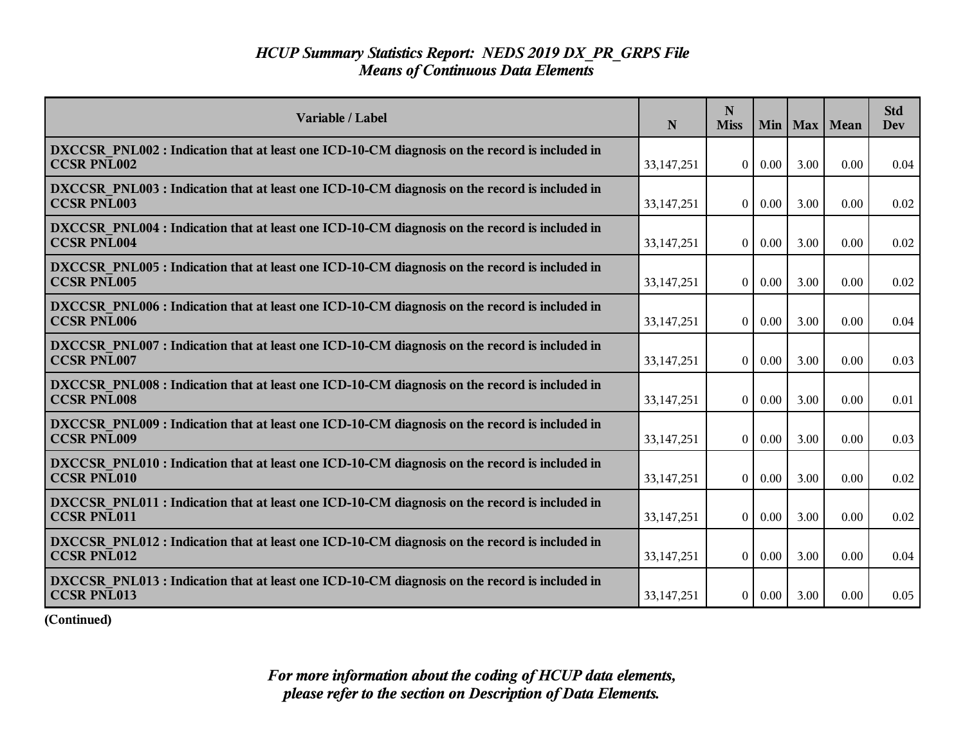| Variable / Label                                                                                                    | $\mathbf N$  | N<br><b>Miss</b> |          |      | Min   Max   Mean | <b>Std</b><br><b>Dev</b> |
|---------------------------------------------------------------------------------------------------------------------|--------------|------------------|----------|------|------------------|--------------------------|
| DXCCSR PNL002 : Indication that at least one ICD-10-CM diagnosis on the record is included in<br><b>CCSR PNL002</b> | 33, 147, 251 | $\overline{0}$   | $0.00\,$ | 3.00 | 0.00             | 0.04                     |
| DXCCSR PNL003 : Indication that at least one ICD-10-CM diagnosis on the record is included in<br><b>CCSR PNL003</b> | 33, 147, 251 | $\overline{0}$   | $0.00\,$ | 3.00 | 0.00             | 0.02                     |
| DXCCSR PNL004 : Indication that at least one ICD-10-CM diagnosis on the record is included in<br><b>CCSR PNL004</b> | 33,147,251   | $\theta$         | $0.00\,$ | 3.00 | 0.00             | 0.02                     |
| DXCCSR PNL005 : Indication that at least one ICD-10-CM diagnosis on the record is included in<br><b>CCSR PNL005</b> | 33,147,251   | $\overline{0}$   | $0.00\,$ | 3.00 | 0.00             | 0.02                     |
| DXCCSR_PNL006 : Indication that at least one ICD-10-CM diagnosis on the record is included in<br><b>CCSR PNL006</b> | 33, 147, 251 | $\overline{0}$   | 0.00     | 3.00 | 0.00             | 0.04                     |
| DXCCSR PNL007 : Indication that at least one ICD-10-CM diagnosis on the record is included in<br><b>CCSR PNL007</b> | 33,147,251   | $\overline{0}$   | 0.00     | 3.00 | 0.00             | 0.03                     |
| DXCCSR PNL008 : Indication that at least one ICD-10-CM diagnosis on the record is included in<br><b>CCSR PNL008</b> | 33,147,251   | $\theta$         | $0.00\,$ | 3.00 | 0.00             | 0.01                     |
| DXCCSR PNL009 : Indication that at least one ICD-10-CM diagnosis on the record is included in<br><b>CCSR PNL009</b> | 33,147,251   | $\overline{0}$   | $0.00\,$ | 3.00 | 0.00             | 0.03                     |
| DXCCSR PNL010 : Indication that at least one ICD-10-CM diagnosis on the record is included in<br><b>CCSR PNL010</b> | 33,147,251   | $\overline{0}$   | 0.00     | 3.00 | 0.00             | 0.02                     |
| DXCCSR PNL011 : Indication that at least one ICD-10-CM diagnosis on the record is included in<br><b>CCSR PNL011</b> | 33,147,251   | $\overline{0}$   | $0.00\,$ | 3.00 | 0.00             | 0.02                     |
| DXCCSR PNL012 : Indication that at least one ICD-10-CM diagnosis on the record is included in<br><b>CCSR PNL012</b> | 33, 147, 251 | $\overline{0}$   | $0.00\,$ | 3.00 | 0.00             | 0.04                     |
| DXCCSR PNL013 : Indication that at least one ICD-10-CM diagnosis on the record is included in<br><b>CCSR PNL013</b> | 33,147,251   | $\overline{0}$   | $0.00\,$ | 3.00 | 0.00             | 0.05                     |

**(Continued)**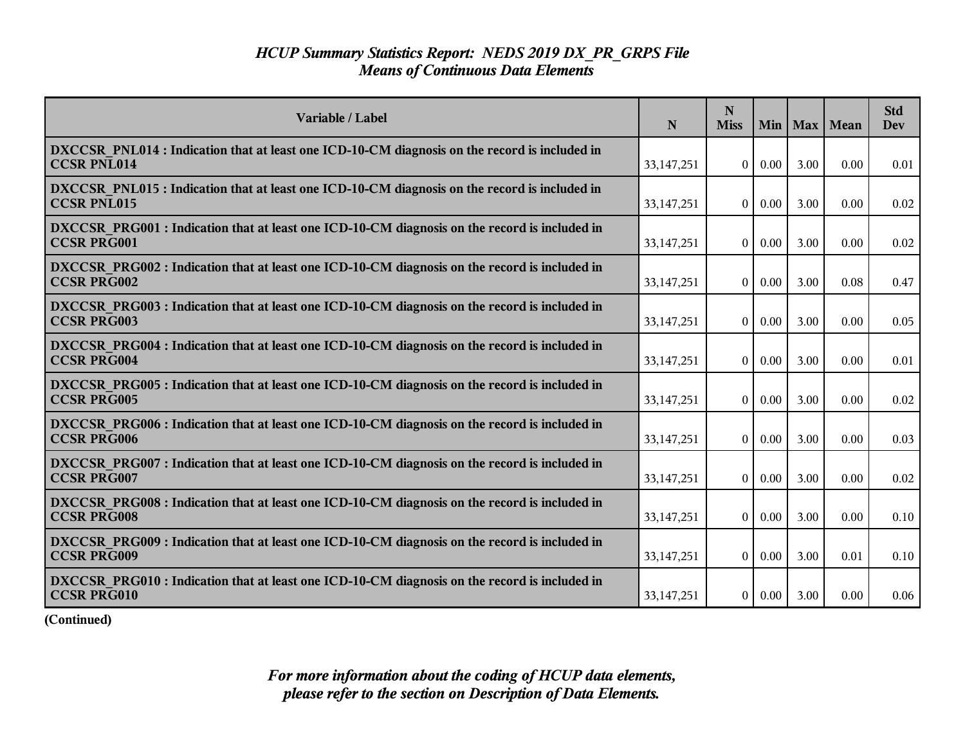| Variable / Label                                                                                                    | N            | N<br><b>Miss</b> |          |      | Min   Max   Mean | <b>Std</b><br><b>Dev</b> |
|---------------------------------------------------------------------------------------------------------------------|--------------|------------------|----------|------|------------------|--------------------------|
| DXCCSR PNL014 : Indication that at least one ICD-10-CM diagnosis on the record is included in<br><b>CCSR PNL014</b> | 33, 147, 251 | $\Omega$         | 0.00     | 3.00 | 0.00             | 0.01                     |
| DXCCSR PNL015 : Indication that at least one ICD-10-CM diagnosis on the record is included in<br><b>CCSR PNL015</b> | 33, 147, 251 | $\theta$         | 0.00     | 3.00 | 0.00             | 0.02                     |
| DXCCSR PRG001 : Indication that at least one ICD-10-CM diagnosis on the record is included in<br><b>CCSR PRG001</b> | 33,147,251   | $\theta$         | 0.00     | 3.00 | 0.00             | 0.02                     |
| DXCCSR_PRG002 : Indication that at least one ICD-10-CM diagnosis on the record is included in<br><b>CCSR PRG002</b> | 33, 147, 251 | $\overline{0}$   | 0.00     | 3.00 | 0.08             | 0.47                     |
| DXCCSR_PRG003 : Indication that at least one ICD-10-CM diagnosis on the record is included in<br><b>CCSR PRG003</b> | 33, 147, 251 | $\theta$         | 0.00     | 3.00 | 0.00             | 0.05                     |
| DXCCSR PRG004 : Indication that at least one ICD-10-CM diagnosis on the record is included in<br><b>CCSR PRG004</b> | 33,147,251   | $\overline{0}$   | 0.00     | 3.00 | 0.00             | 0.01                     |
| DXCCSR PRG005 : Indication that at least one ICD-10-CM diagnosis on the record is included in<br><b>CCSR PRG005</b> | 33,147,251   | $\theta$         | 0.00     | 3.00 | 0.00             | 0.02                     |
| DXCCSR PRG006 : Indication that at least one ICD-10-CM diagnosis on the record is included in<br><b>CCSR PRG006</b> | 33, 147, 251 | $\theta$         | 0.00     | 3.00 | 0.00             | 0.03                     |
| DXCCSR PRG007: Indication that at least one ICD-10-CM diagnosis on the record is included in<br><b>CCSR PRG007</b>  | 33, 147, 251 | $\overline{0}$   | 0.00     | 3.00 | 0.00             | 0.02                     |
| DXCCSR PRG008 : Indication that at least one ICD-10-CM diagnosis on the record is included in<br><b>CCSR PRG008</b> | 33, 147, 251 | $\overline{0}$   | 0.00     | 3.00 | 0.00             | 0.10                     |
| DXCCSR PRG009 : Indication that at least one ICD-10-CM diagnosis on the record is included in<br><b>CCSR PRG009</b> | 33, 147, 251 | $\Omega$         | $0.00\,$ | 3.00 | 0.01             | 0.10                     |
| DXCCSR_PRG010 : Indication that at least one ICD-10-CM diagnosis on the record is included in<br><b>CCSR PRG010</b> | 33, 147, 251 | $\overline{0}$   | $0.00\,$ | 3.00 | 0.00             | 0.06                     |

**(Continued)**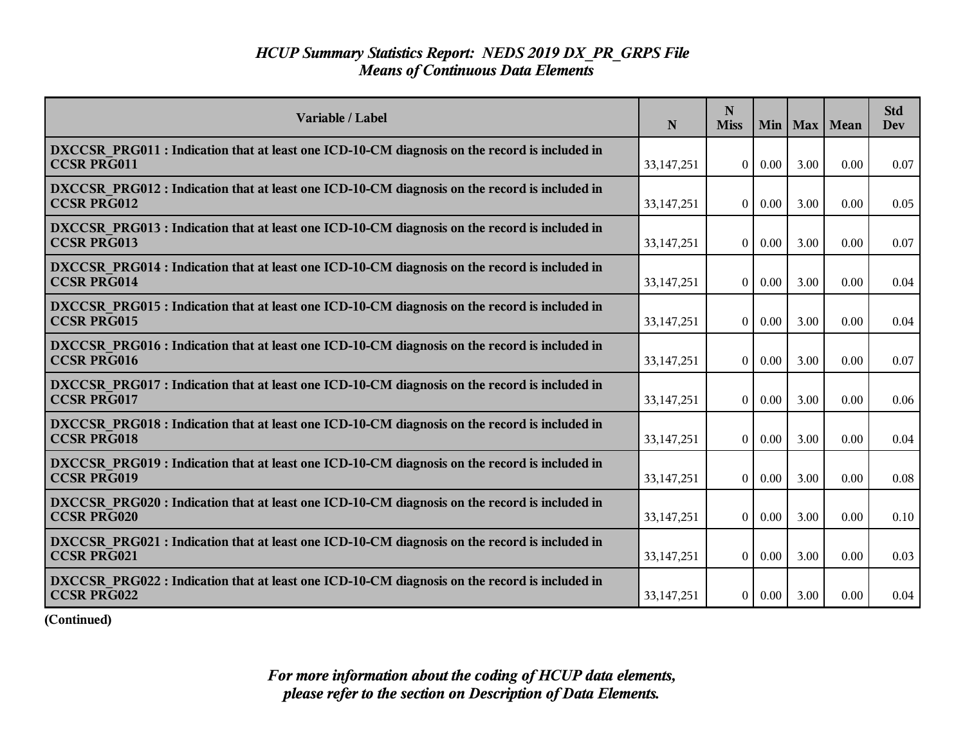| Variable / Label                                                                                                    | $\mathbf N$  | N<br><b>Miss</b> |          |      | Min   Max   Mean | <b>Std</b><br><b>Dev</b> |
|---------------------------------------------------------------------------------------------------------------------|--------------|------------------|----------|------|------------------|--------------------------|
| DXCCSR PRG011 : Indication that at least one ICD-10-CM diagnosis on the record is included in<br><b>CCSR PRG011</b> | 33, 147, 251 | $\overline{0}$   | $0.00\,$ | 3.00 | 0.00             | 0.07                     |
| DXCCSR PRG012 : Indication that at least one ICD-10-CM diagnosis on the record is included in<br><b>CCSR PRG012</b> | 33, 147, 251 | $\overline{0}$   | $0.00\,$ | 3.00 | 0.00             | 0.05                     |
| DXCCSR PRG013 : Indication that at least one ICD-10-CM diagnosis on the record is included in<br><b>CCSR PRG013</b> | 33,147,251   | $\theta$         | $0.00\,$ | 3.00 | 0.00             | 0.07                     |
| DXCCSR PRG014 : Indication that at least one ICD-10-CM diagnosis on the record is included in<br><b>CCSR PRG014</b> | 33,147,251   | $\overline{0}$   | $0.00\,$ | 3.00 | 0.00             | 0.04                     |
| DXCCSR_PRG015: Indication that at least one ICD-10-CM diagnosis on the record is included in<br><b>CCSR PRG015</b>  | 33, 147, 251 | $\overline{0}$   | 0.00     | 3.00 | 0.00             | 0.04                     |
| DXCCSR PRG016 : Indication that at least one ICD-10-CM diagnosis on the record is included in<br><b>CCSR PRG016</b> | 33,147,251   | $\overline{0}$   | 0.00     | 3.00 | 0.00             | 0.07                     |
| DXCCSR PRG017: Indication that at least one ICD-10-CM diagnosis on the record is included in<br><b>CCSR PRG017</b>  | 33,147,251   | $\theta$         | $0.00\,$ | 3.00 | 0.00             | 0.06                     |
| DXCCSR PRG018 : Indication that at least one ICD-10-CM diagnosis on the record is included in<br><b>CCSR PRG018</b> | 33, 147, 251 | $\overline{0}$   | $0.00\,$ | 3.00 | 0.00             | 0.04                     |
| DXCCSR PRG019 : Indication that at least one ICD-10-CM diagnosis on the record is included in<br><b>CCSR PRG019</b> | 33,147,251   | $\overline{0}$   | 0.00     | 3.00 | 0.00             | 0.08                     |
| DXCCSR PRG020 : Indication that at least one ICD-10-CM diagnosis on the record is included in<br><b>CCSR PRG020</b> | 33,147,251   | $\overline{0}$   | $0.00\,$ | 3.00 | 0.00             | 0.10                     |
| DXCCSR_PRG021 : Indication that at least one ICD-10-CM diagnosis on the record is included in<br><b>CCSR PRG021</b> | 33, 147, 251 | $\overline{0}$   | $0.00\,$ | 3.00 | 0.00             | 0.03                     |
| DXCCSR PRG022 : Indication that at least one ICD-10-CM diagnosis on the record is included in<br><b>CCSR PRG022</b> | 33,147,251   | $\overline{0}$   | $0.00\,$ | 3.00 | 0.00             | 0.04                     |

**(Continued)**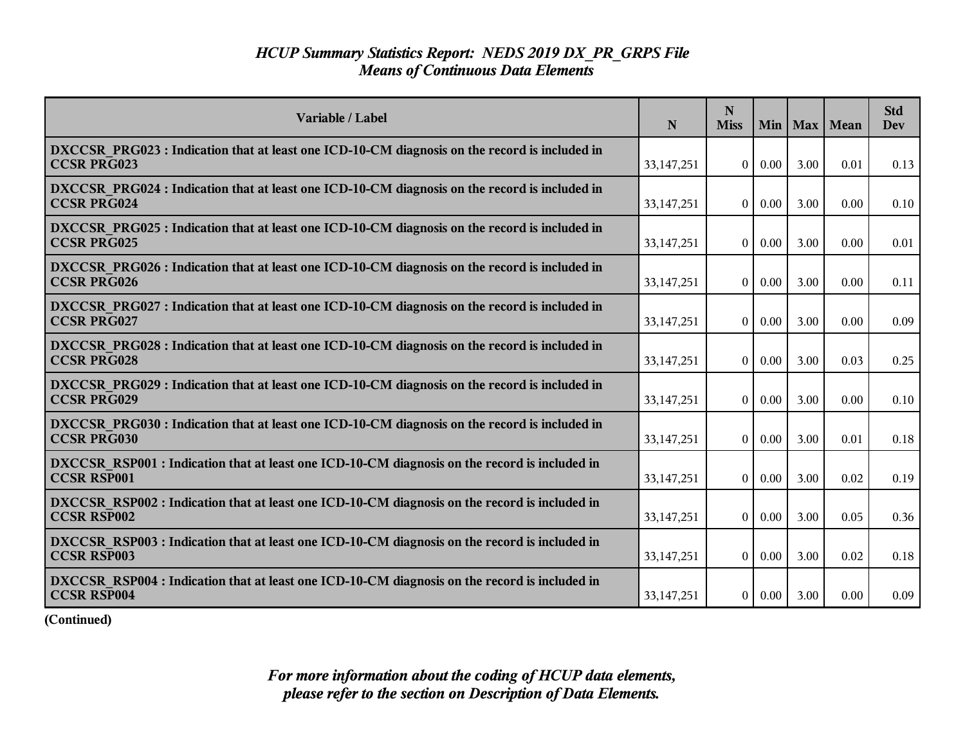| Variable / Label                                                                                                    | N            | N<br><b>Miss</b> |          |      | Min   Max   Mean | <b>Std</b><br><b>Dev</b> |
|---------------------------------------------------------------------------------------------------------------------|--------------|------------------|----------|------|------------------|--------------------------|
| DXCCSR PRG023 : Indication that at least one ICD-10-CM diagnosis on the record is included in<br><b>CCSR PRG023</b> | 33, 147, 251 | $\overline{0}$   | $0.00\,$ | 3.00 | 0.01             | 0.13                     |
| DXCCSR PRG024 : Indication that at least one ICD-10-CM diagnosis on the record is included in<br><b>CCSR PRG024</b> | 33, 147, 251 | $\theta$         | $0.00\,$ | 3.00 | 0.00             | 0.10                     |
| DXCCSR PRG025 : Indication that at least one ICD-10-CM diagnosis on the record is included in<br><b>CCSR PRG025</b> | 33,147,251   | $\overline{0}$   | $0.00\,$ | 3.00 | 0.00             | 0.01                     |
| DXCCSR_PRG026 : Indication that at least one ICD-10-CM diagnosis on the record is included in<br><b>CCSR PRG026</b> | 33,147,251   | $\theta$         | $0.00\,$ | 3.00 | 0.00             | 0.11                     |
| DXCCSR PRG027 : Indication that at least one ICD-10-CM diagnosis on the record is included in<br><b>CCSR PRG027</b> | 33, 147, 251 | 0 <sup>1</sup>   | $0.00\,$ | 3.00 | 0.00             | 0.09                     |
| DXCCSR PRG028 : Indication that at least one ICD-10-CM diagnosis on the record is included in<br><b>CCSR PRG028</b> | 33,147,251   | $\overline{0}$   | 0.00     | 3.00 | 0.03             | 0.25                     |
| DXCCSR PRG029 : Indication that at least one ICD-10-CM diagnosis on the record is included in<br><b>CCSR PRG029</b> | 33,147,251   | $\overline{0}$   | $0.00\,$ | 3.00 | 0.00             | 0.10                     |
| DXCCSR PRG030 : Indication that at least one ICD-10-CM diagnosis on the record is included in<br><b>CCSR PRG030</b> | 33,147,251   | $\overline{0}$   | $0.00\,$ | 3.00 | 0.01             | 0.18                     |
| DXCCSR RSP001 : Indication that at least one ICD-10-CM diagnosis on the record is included in<br><b>CCSR RSP001</b> | 33,147,251   | $\Omega$         | 0.00     | 3.00 | 0.02             | 0.19                     |
| DXCCSR RSP002 : Indication that at least one ICD-10-CM diagnosis on the record is included in<br><b>CCSR RSP002</b> | 33,147,251   | $\theta$         | 0.00     | 3.00 | 0.05             | 0.36                     |
| DXCCSR RSP003 : Indication that at least one ICD-10-CM diagnosis on the record is included in<br><b>CCSR RSP003</b> | 33,147,251   | $\overline{0}$   | $0.00\,$ | 3.00 | 0.02             | 0.18                     |
| DXCCSR RSP004 : Indication that at least one ICD-10-CM diagnosis on the record is included in<br><b>CCSR RSP004</b> | 33, 147, 251 | 0 <sup>1</sup>   | $0.00\,$ | 3.00 | 0.00             | 0.09                     |

**(Continued)**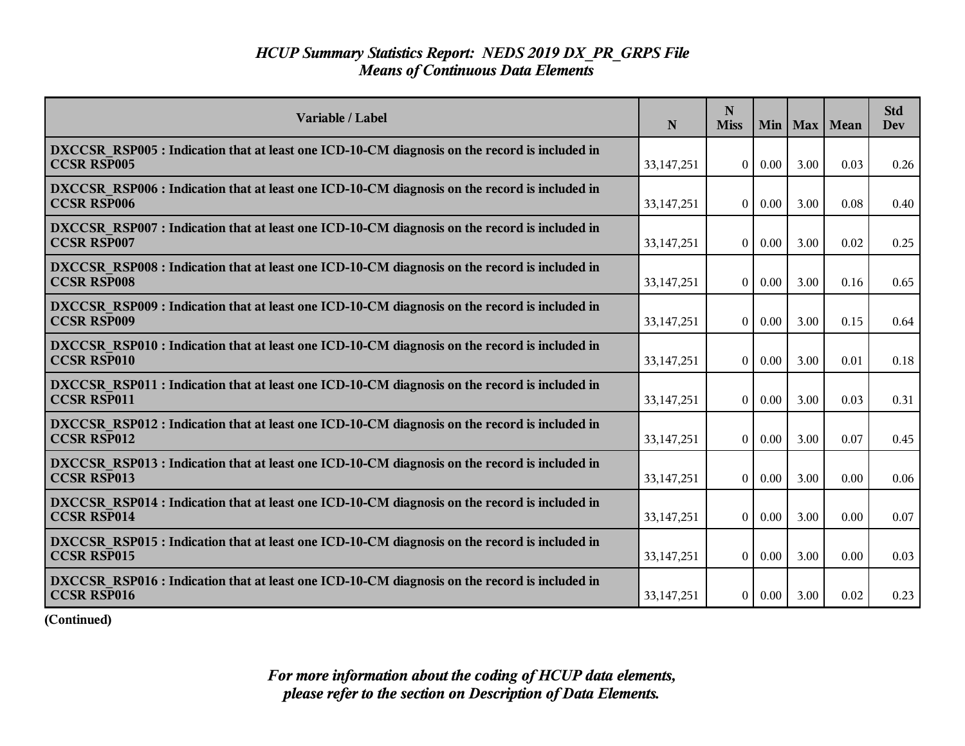| Variable / Label                                                                                                    | N            | N<br><b>Miss</b> | Min      |      | Max   Mean | <b>Std</b><br>Dev |
|---------------------------------------------------------------------------------------------------------------------|--------------|------------------|----------|------|------------|-------------------|
| DXCCSR RSP005 : Indication that at least one ICD-10-CM diagnosis on the record is included in<br><b>CCSR RSP005</b> | 33, 147, 251 | $\overline{0}$   | $0.00\,$ | 3.00 | 0.03       | 0.26              |
| DXCCSR RSP006 : Indication that at least one ICD-10-CM diagnosis on the record is included in<br><b>CCSR RSP006</b> | 33,147,251   | $\overline{0}$   | $0.00\,$ | 3.00 | 0.08       | 0.40              |
| DXCCSR RSP007 : Indication that at least one ICD-10-CM diagnosis on the record is included in<br><b>CCSR RSP007</b> | 33,147,251   | $\theta$         | 0.00     | 3.00 | 0.02       | 0.25              |
| DXCCSR RSP008 : Indication that at least one ICD-10-CM diagnosis on the record is included in<br><b>CCSR RSP008</b> | 33, 147, 251 | $\overline{0}$   | 0.00     | 3.00 | 0.16       | 0.65              |
| DXCCSR RSP009 : Indication that at least one ICD-10-CM diagnosis on the record is included in<br><b>CCSR RSP009</b> | 33,147,251   | $\overline{0}$   | 0.00     | 3.00 | 0.15       | 0.64              |
| DXCCSR RSP010 : Indication that at least one ICD-10-CM diagnosis on the record is included in<br><b>CCSR RSP010</b> | 33, 147, 251 | $\overline{0}$   | 0.00     | 3.00 | 0.01       | 0.18              |
| DXCCSR RSP011 : Indication that at least one ICD-10-CM diagnosis on the record is included in<br><b>CCSR RSP011</b> | 33,147,251   | $\theta$         | $0.00\,$ | 3.00 | 0.03       | 0.31              |
| DXCCSR RSP012 : Indication that at least one ICD-10-CM diagnosis on the record is included in<br><b>CCSR RSP012</b> | 33, 147, 251 | $\overline{0}$   | 0.00     | 3.00 | 0.07       | 0.45              |
| DXCCSR RSP013 : Indication that at least one ICD-10-CM diagnosis on the record is included in<br><b>CCSR RSP013</b> | 33,147,251   | $\theta$         | 0.00     | 3.00 | 0.00       | 0.06              |
| DXCCSR RSP014 : Indication that at least one ICD-10-CM diagnosis on the record is included in<br><b>CCSR RSP014</b> | 33, 147, 251 | $\theta$         | 0.00     | 3.00 | 0.00       | 0.07              |
| DXCCSR_RSP015 : Indication that at least one ICD-10-CM diagnosis on the record is included in<br><b>CCSR RSP015</b> | 33, 147, 251 | $\overline{0}$   | $0.00\,$ | 3.00 | 0.00       | 0.03              |
| DXCCSR RSP016 : Indication that at least one ICD-10-CM diagnosis on the record is included in<br><b>CCSR RSP016</b> | 33, 147, 251 | $\overline{0}$   | 0.00     | 3.00 | 0.02       | 0.23              |

**(Continued)**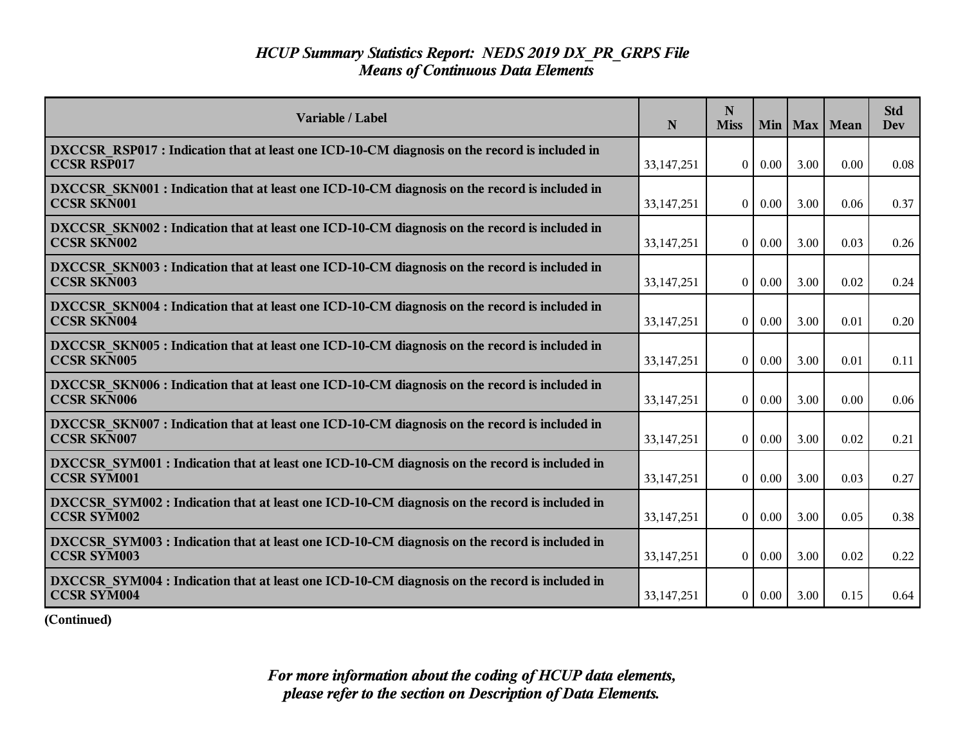| Variable / Label                                                                                                    | N            | N<br><b>Miss</b> | Min      |      | Max   Mean | <b>Std</b><br>Dev |
|---------------------------------------------------------------------------------------------------------------------|--------------|------------------|----------|------|------------|-------------------|
| DXCCSR RSP017 : Indication that at least one ICD-10-CM diagnosis on the record is included in<br><b>CCSR RSP017</b> | 33, 147, 251 | $\overline{0}$   | $0.00\,$ | 3.00 | 0.00       | 0.08              |
| DXCCSR SKN001 : Indication that at least one ICD-10-CM diagnosis on the record is included in<br><b>CCSR SKN001</b> | 33,147,251   | $\overline{0}$   | $0.00\,$ | 3.00 | 0.06       | 0.37              |
| DXCCSR SKN002 : Indication that at least one ICD-10-CM diagnosis on the record is included in<br><b>CCSR SKN002</b> | 33,147,251   | $\theta$         | 0.00     | 3.00 | 0.03       | 0.26              |
| DXCCSR SKN003 : Indication that at least one ICD-10-CM diagnosis on the record is included in<br><b>CCSR SKN003</b> | 33, 147, 251 | $\overline{0}$   | 0.00     | 3.00 | 0.02       | 0.24              |
| DXCCSR SKN004 : Indication that at least one ICD-10-CM diagnosis on the record is included in<br><b>CCSR SKN004</b> | 33,147,251   | $\overline{0}$   | 0.00     | 3.00 | 0.01       | 0.20              |
| DXCCSR SKN005 : Indication that at least one ICD-10-CM diagnosis on the record is included in<br><b>CCSR SKN005</b> | 33, 147, 251 | $\overline{0}$   | 0.00     | 3.00 | 0.01       | 0.11              |
| DXCCSR SKN006 : Indication that at least one ICD-10-CM diagnosis on the record is included in<br><b>CCSR SKN006</b> | 33,147,251   | $\theta$         | $0.00\,$ | 3.00 | 0.00       | 0.06              |
| DXCCSR SKN007 : Indication that at least one ICD-10-CM diagnosis on the record is included in<br><b>CCSR SKN007</b> | 33, 147, 251 | $\overline{0}$   | 0.00     | 3.00 | 0.02       | 0.21              |
| DXCCSR SYM001 : Indication that at least one ICD-10-CM diagnosis on the record is included in<br><b>CCSR SYM001</b> | 33,147,251   | $\theta$         | 0.00     | 3.00 | 0.03       | 0.27              |
| DXCCSR SYM002 : Indication that at least one ICD-10-CM diagnosis on the record is included in<br><b>CCSR SYM002</b> | 33, 147, 251 | $\overline{0}$   | 0.00     | 3.00 | 0.05       | 0.38              |
| DXCCSR SYM003 : Indication that at least one ICD-10-CM diagnosis on the record is included in<br><b>CCSR SYM003</b> | 33, 147, 251 | $\overline{0}$   | $0.00\,$ | 3.00 | 0.02       | 0.22              |
| DXCCSR SYM004 : Indication that at least one ICD-10-CM diagnosis on the record is included in<br><b>CCSR SYM004</b> | 33, 147, 251 | $\overline{0}$   | 0.00     | 3.00 | 0.15       | 0.64              |

**(Continued)**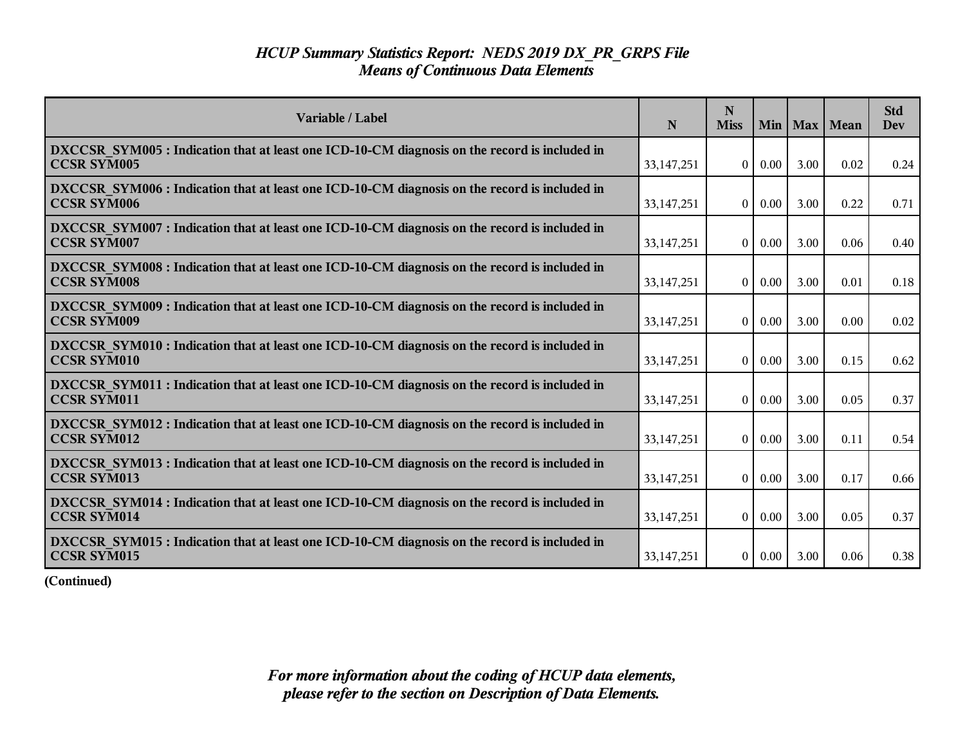| Variable / Label                                                                                                    | N            | N<br><b>Miss</b> |          |      | Min   Max   Mean | <b>Std</b><br>Dev |
|---------------------------------------------------------------------------------------------------------------------|--------------|------------------|----------|------|------------------|-------------------|
| DXCCSR SYM005 : Indication that at least one ICD-10-CM diagnosis on the record is included in<br><b>CCSR SYM005</b> | 33, 147, 251 | $\theta$         | 0.00     | 3.00 | 0.02             | 0.24              |
| DXCCSR_SYM006 : Indication that at least one ICD-10-CM diagnosis on the record is included in<br><b>CCSR SYM006</b> | 33,147,251   | $\Omega$         | 0.00     | 3.00 | 0.22             | 0.71              |
| DXCCSR SYM007: Indication that at least one ICD-10-CM diagnosis on the record is included in<br><b>CCSR SYM007</b>  | 33,147,251   | $\Omega$         | 0.00     | 3.00 | 0.06             | 0.40              |
| DXCCSR SYM008 : Indication that at least one ICD-10-CM diagnosis on the record is included in<br><b>CCSR SYM008</b> | 33,147,251   | $\Omega$         | 0.00     | 3.00 | 0.01             | 0.18              |
| DXCCSR SYM009 : Indication that at least one ICD-10-CM diagnosis on the record is included in<br><b>CCSR SYM009</b> | 33, 147, 251 | $\theta$         | 0.00     | 3.00 | 0.00             | 0.02              |
| DXCCSR SYM010 : Indication that at least one ICD-10-CM diagnosis on the record is included in<br><b>CCSR SYM010</b> | 33, 147, 251 | $\theta$         | $0.00\,$ | 3.00 | 0.15             | 0.62              |
| DXCCSR SYM011 : Indication that at least one ICD-10-CM diagnosis on the record is included in<br><b>CCSR SYM011</b> | 33, 147, 251 | $\theta$         | 0.00     | 3.00 | 0.05             | 0.37              |
| DXCCSR SYM012 : Indication that at least one ICD-10-CM diagnosis on the record is included in<br><b>CCSR SYM012</b> | 33, 147, 251 | $\Omega$         | 0.00     | 3.00 | 0.11             | 0.54              |
| DXCCSR SYM013 : Indication that at least one ICD-10-CM diagnosis on the record is included in<br>CCSR SYM013        | 33, 147, 251 | $\overline{0}$   | $0.00\,$ | 3.00 | 0.17             | 0.66              |
| DXCCSR SYM014 : Indication that at least one ICD-10-CM diagnosis on the record is included in<br><b>CCSR SYM014</b> | 33,147,251   | $\overline{0}$   | 0.00     | 3.00 | 0.05             | 0.37              |
| DXCCSR SYM015 : Indication that at least one ICD-10-CM diagnosis on the record is included in<br><b>CCSR SYM015</b> | 33,147,251   | $\overline{0}$   | $0.00\,$ | 3.00 | 0.06             | 0.38              |

**(Continued)**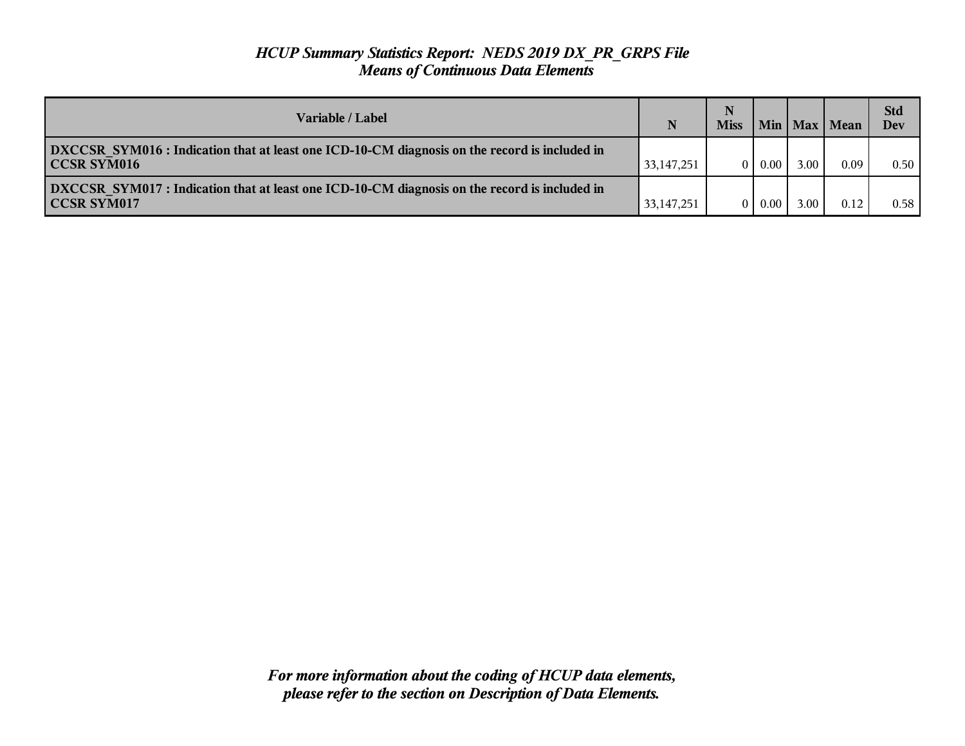| Variable / Label                                                                                                           | N            | N<br><b>Miss</b> |      |      | Min   Max   Mean | <b>Std</b><br>Dev |
|----------------------------------------------------------------------------------------------------------------------------|--------------|------------------|------|------|------------------|-------------------|
| <b>DXCCSR</b> SYM016 : Indication that at least one ICD-10-CM diagnosis on the record is included in<br><b>CCSR SYM016</b> | 33, 147, 251 | $\Omega$         | 0.00 | 3.00 | 0.09             | 0.50              |
| <b>DXCCSR SYM017 : Indication that at least one ICD-10-CM diagnosis on the record is included in</b><br>CCSR SYM017        | 33, 147, 251 | 0                | 0.00 | 3.00 | 0.12             | 0.58              |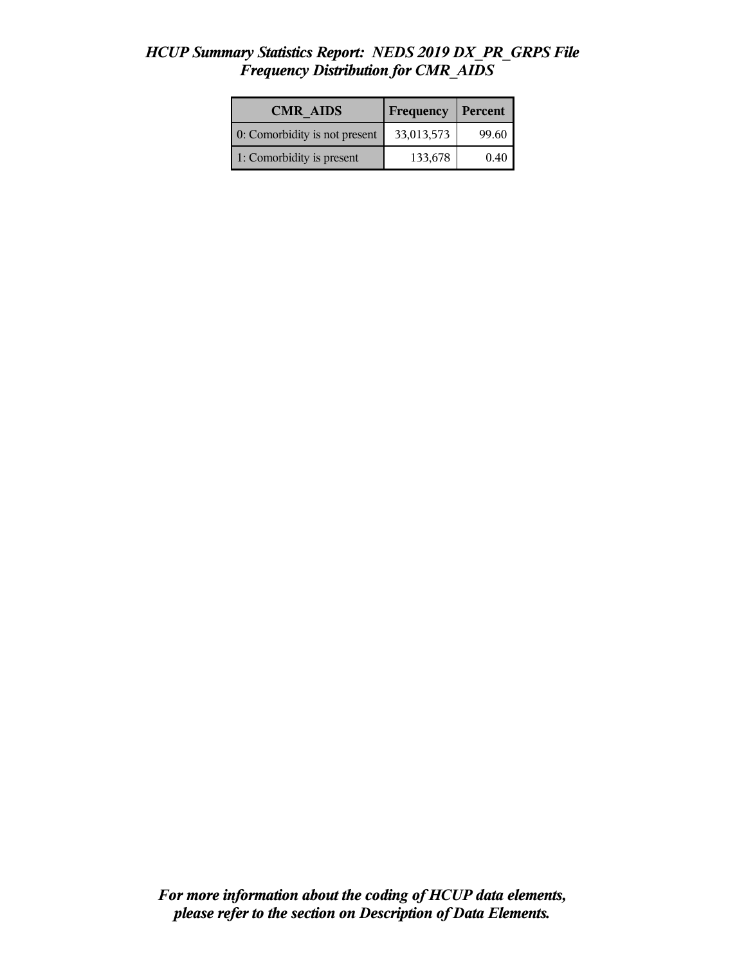#### *HCUP Summary Statistics Report: NEDS 2019 DX\_PR\_GRPS File Frequency Distribution for CMR\_AIDS*

| <b>CMR AIDS</b>               | Frequency  | <b>Percent</b> |
|-------------------------------|------------|----------------|
| 0: Comorbidity is not present | 33,013,573 | 99.60          |
| 1: Comorbidity is present     | 133,678    | 0.40           |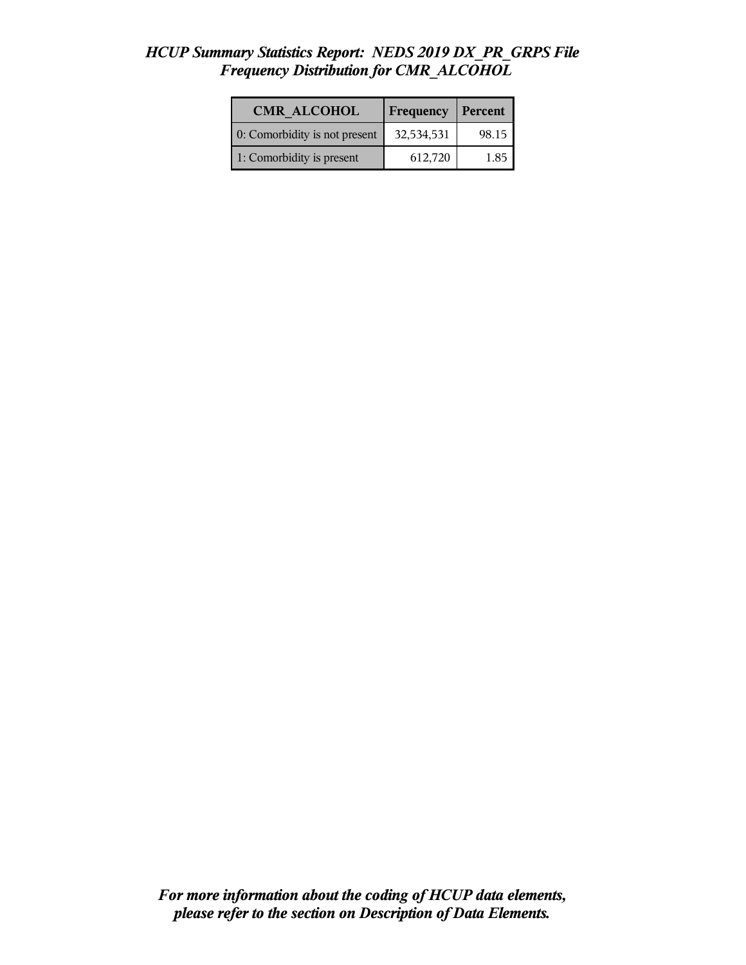#### *HCUP Summary Statistics Report: NEDS 2019 DX\_PR\_GRPS File Frequency Distribution for CMR\_ALCOHOL*

| <b>CMR ALCOHOL</b>            | <b>Frequency</b> | <b>Percent</b> |
|-------------------------------|------------------|----------------|
| 0: Comorbidity is not present | 32,534,531       | 98.15          |
| 1: Comorbidity is present     | 612,720          | 1.85           |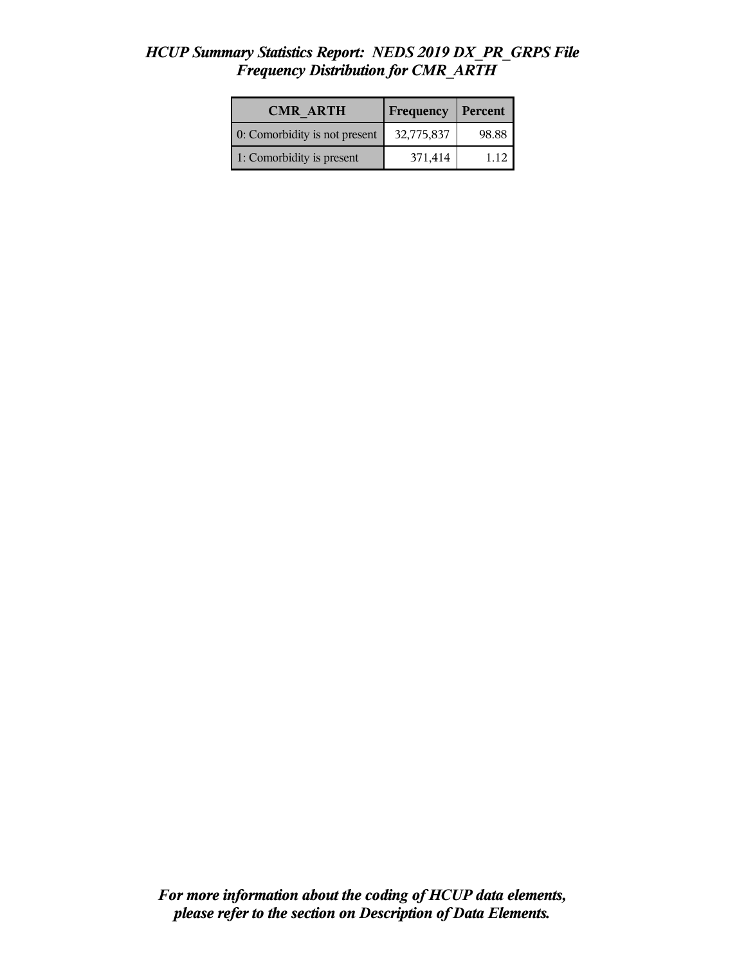#### *HCUP Summary Statistics Report: NEDS 2019 DX\_PR\_GRPS File Frequency Distribution for CMR\_ARTH*

| <b>CMR ARTH</b>               | <b>Frequency</b> | <b>Percent</b> |
|-------------------------------|------------------|----------------|
| 0: Comorbidity is not present | 32,775,837       | 98.88          |
| 1: Comorbidity is present     | 371,414          | 1 1 2          |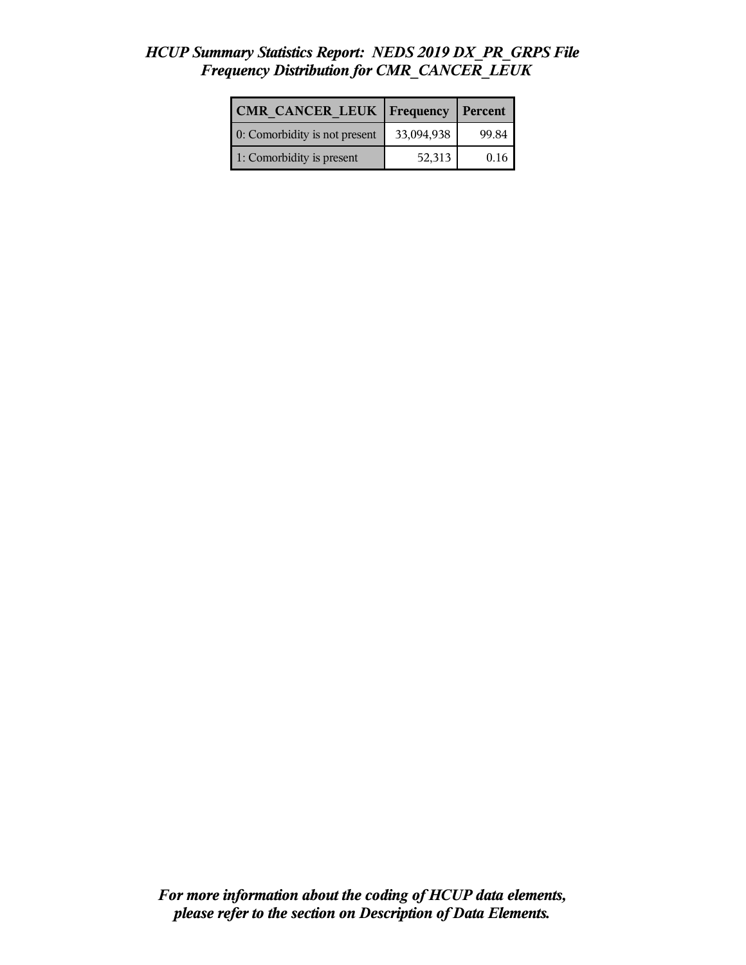## *HCUP Summary Statistics Report: NEDS 2019 DX\_PR\_GRPS File Frequency Distribution for CMR\_CANCER\_LEUK*

| CMR CANCER LEUK   Frequency   |            | Percent |
|-------------------------------|------------|---------|
| 0: Comorbidity is not present | 33,094,938 | 99.84   |
| 1: Comorbidity is present     | 52,313     | 0.16    |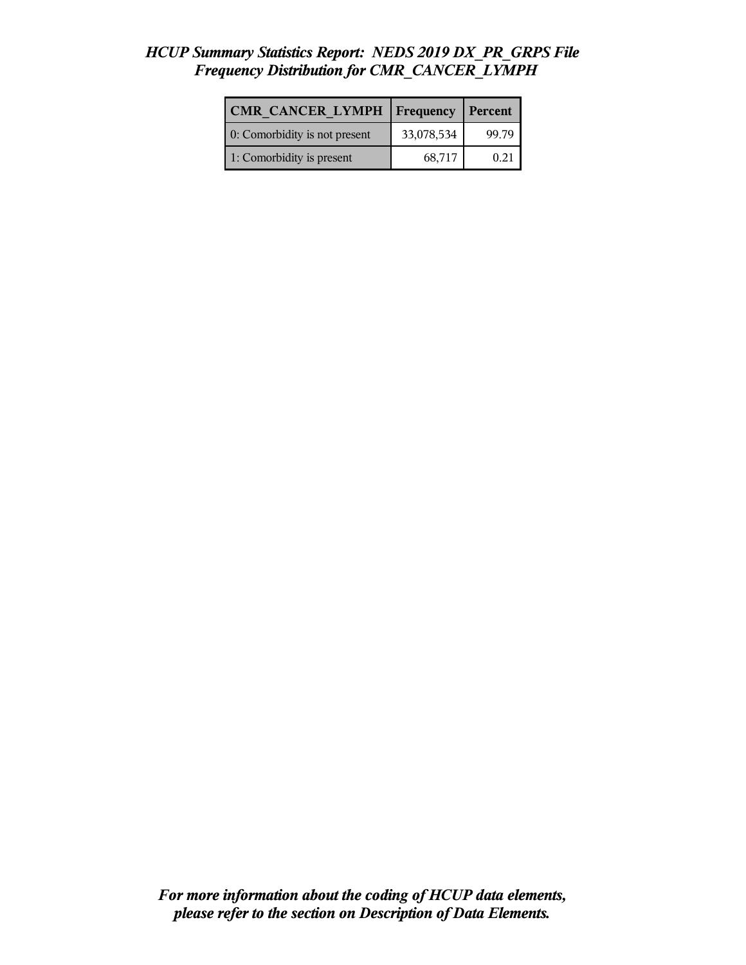## *HCUP Summary Statistics Report: NEDS 2019 DX\_PR\_GRPS File Frequency Distribution for CMR\_CANCER\_LYMPH*

| CMR CANCER LYMPH   Frequency  |            | Percent |
|-------------------------------|------------|---------|
| 0: Comorbidity is not present | 33,078,534 | 99.79   |
| 1: Comorbidity is present     | 68,717     | 0.21    |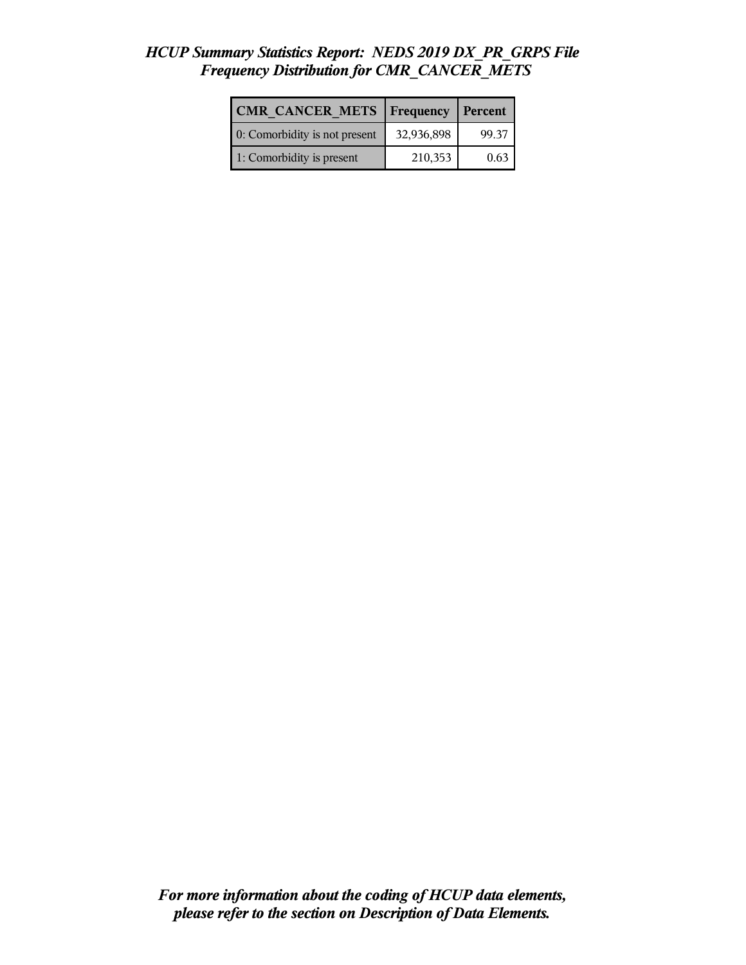## *HCUP Summary Statistics Report: NEDS 2019 DX\_PR\_GRPS File Frequency Distribution for CMR\_CANCER\_METS*

| <b>CMR CANCER METS   Frequency</b> |            | Percent |
|------------------------------------|------------|---------|
| 0: Comorbidity is not present      | 32,936,898 | 99.37   |
| 1: Comorbidity is present          | 210,353    | 0.63    |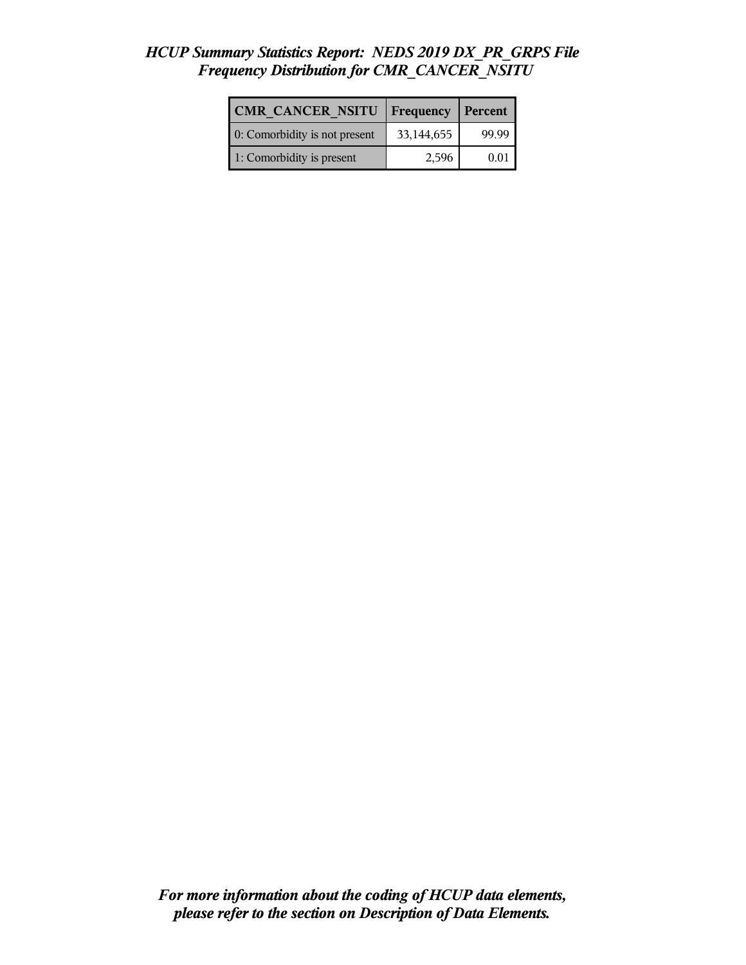## *HCUP Summary Statistics Report: NEDS 2019 DX\_PR\_GRPS File Frequency Distribution for CMR\_CANCER\_NSITU*

| <b>CMR CANCER NSITU</b>       | Frequency  | Percent |
|-------------------------------|------------|---------|
| 0: Comorbidity is not present | 33,144,655 | 99.99   |
| 1: Comorbidity is present     | 2,596      | 0.01    |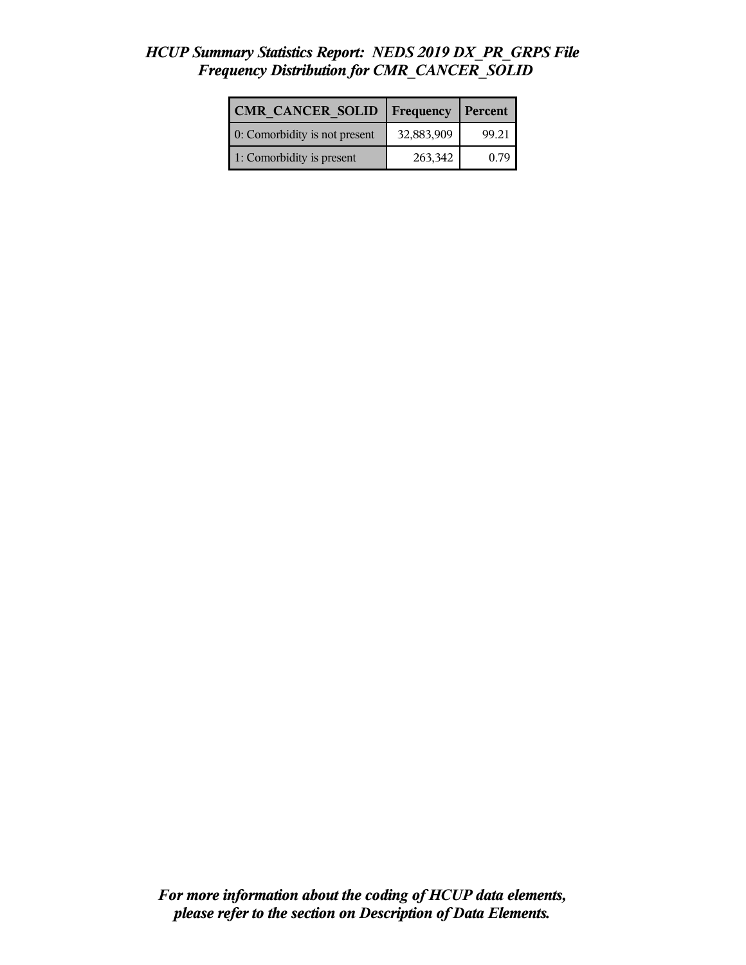## *HCUP Summary Statistics Report: NEDS 2019 DX\_PR\_GRPS File Frequency Distribution for CMR\_CANCER\_SOLID*

| CMR CANCER SOLID              | <b>Frequency</b> | Percent |
|-------------------------------|------------------|---------|
| 0: Comorbidity is not present | 32,883,909       | 99.21   |
| 1: Comorbidity is present     | 263,342          | 0.79    |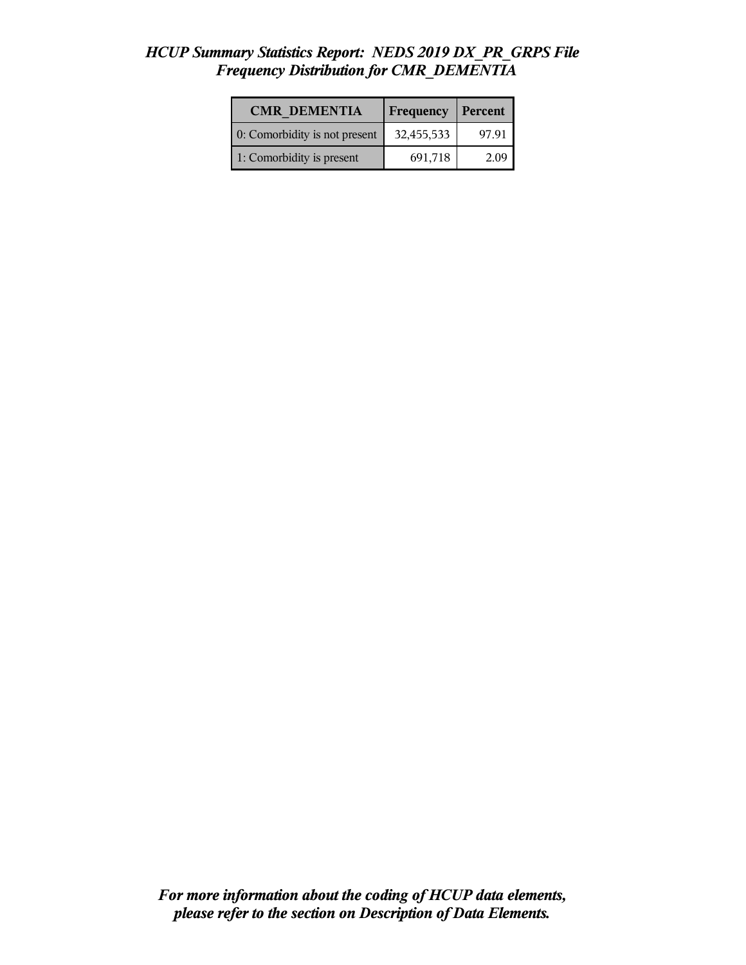#### *HCUP Summary Statistics Report: NEDS 2019 DX\_PR\_GRPS File Frequency Distribution for CMR\_DEMENTIA*

| <b>CMR DEMENTIA</b>           | <b>Frequency</b> | Percent |
|-------------------------------|------------------|---------|
| 0: Comorbidity is not present | 32,455,533       | 97.91   |
| 1: Comorbidity is present     | 691,718          | 2.09    |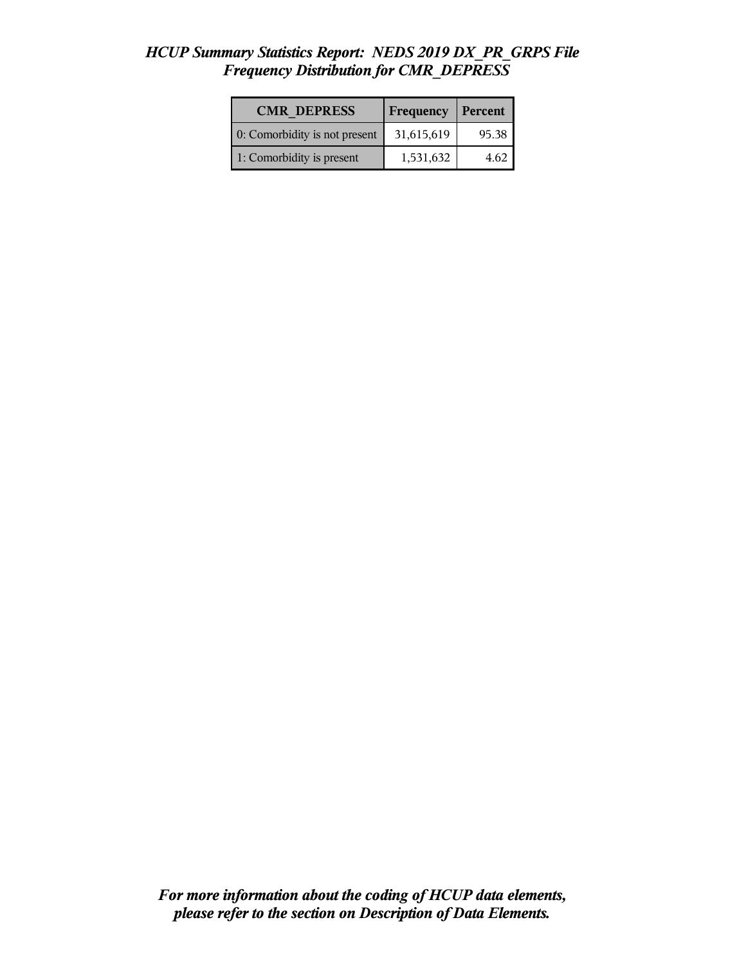## *HCUP Summary Statistics Report: NEDS 2019 DX\_PR\_GRPS File Frequency Distribution for CMR\_DEPRESS*

| <b>CMR DEPRESS</b>            | <b>Frequency</b> | Percent |
|-------------------------------|------------------|---------|
| 0: Comorbidity is not present | 31,615,619       | 95.38   |
| 1: Comorbidity is present     | 1,531,632        | 4 62    |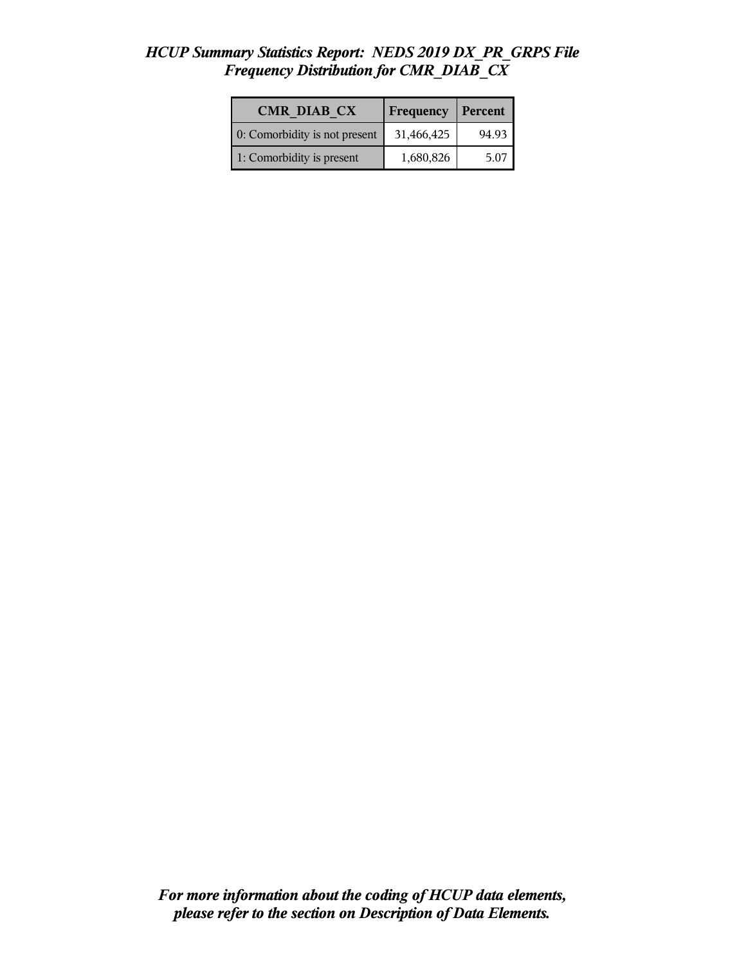#### *HCUP Summary Statistics Report: NEDS 2019 DX\_PR\_GRPS File Frequency Distribution for CMR\_DIAB\_CX*

| <b>CMR DIAB CX</b>            | Frequency  | Percent |
|-------------------------------|------------|---------|
| 0: Comorbidity is not present | 31,466,425 | 94.93   |
| 1: Comorbidity is present     | 1,680,826  | 5.07    |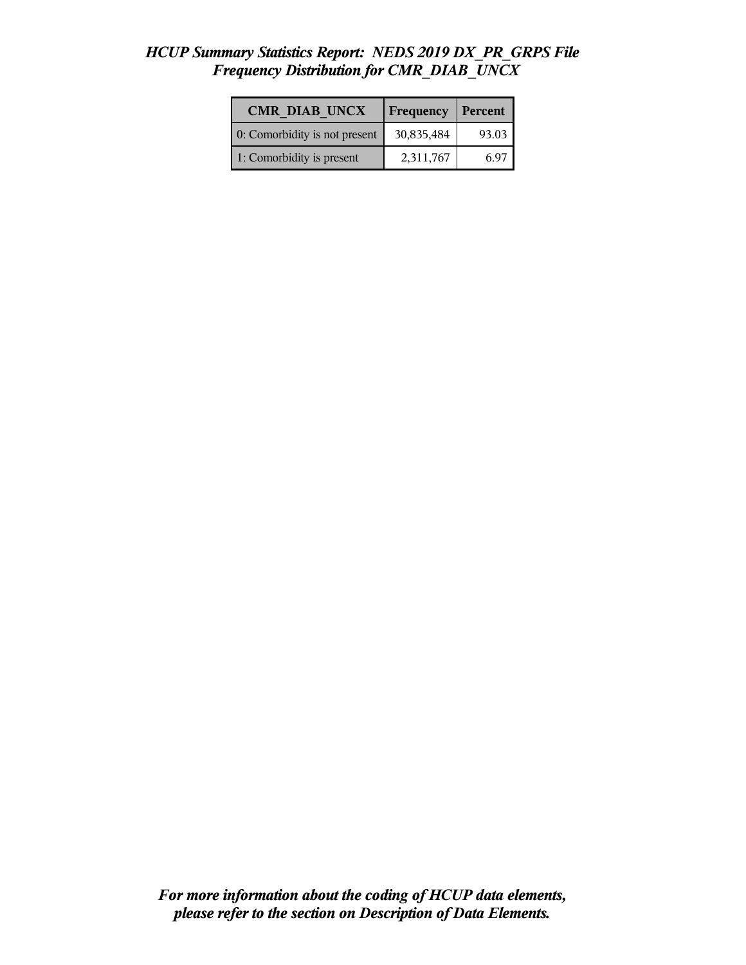## *HCUP Summary Statistics Report: NEDS 2019 DX\_PR\_GRPS File Frequency Distribution for CMR\_DIAB\_UNCX*

| <b>CMR DIAB UNCX</b>          | Frequency  | Percent |
|-------------------------------|------------|---------|
| 0: Comorbidity is not present | 30,835,484 | 93.03   |
| 1: Comorbidity is present     | 2,311,767  | 6 ዓ7    |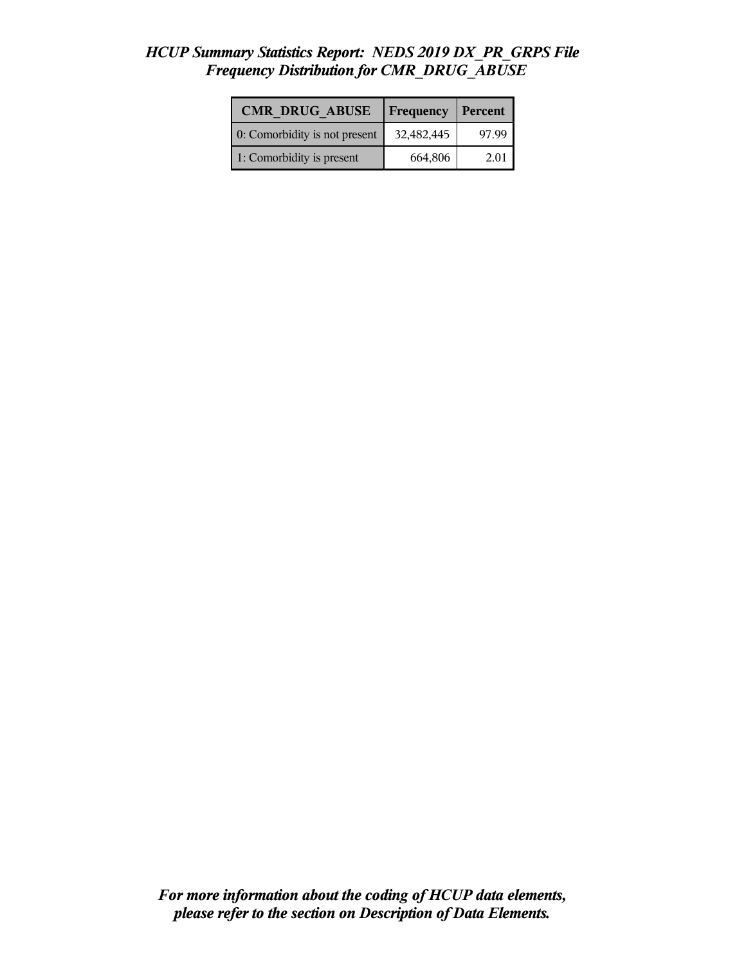#### *HCUP Summary Statistics Report: NEDS 2019 DX\_PR\_GRPS File Frequency Distribution for CMR\_DRUG\_ABUSE*

| <b>CMR DRUG ABUSE</b>         | Frequency  | <b>Percent</b> |
|-------------------------------|------------|----------------|
| 0: Comorbidity is not present | 32,482,445 | 97.99          |
| 1: Comorbidity is present     | 664,806    | 2.01           |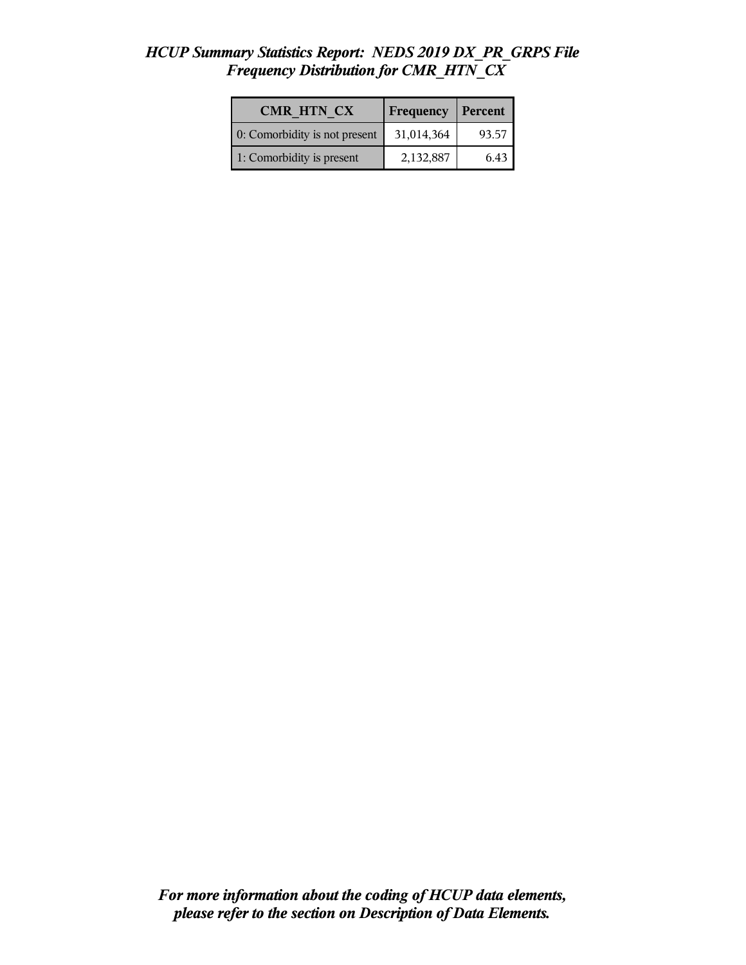#### *HCUP Summary Statistics Report: NEDS 2019 DX\_PR\_GRPS File Frequency Distribution for CMR\_HTN\_CX*

| <b>CMR HTN CX</b>             | <b>Frequency</b> | Percent |
|-------------------------------|------------------|---------|
| 0: Comorbidity is not present | 31,014,364       | 93.57   |
| 1: Comorbidity is present     | 2,132,887        | 6.43    |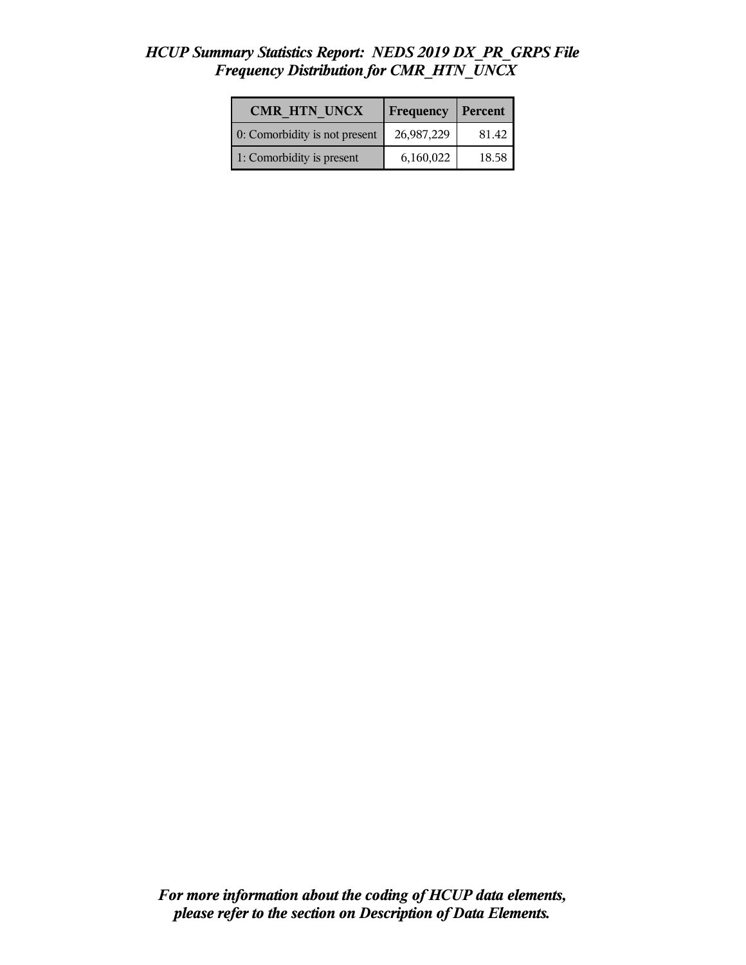#### *HCUP Summary Statistics Report: NEDS 2019 DX\_PR\_GRPS File Frequency Distribution for CMR\_HTN\_UNCX*

| <b>CMR HTN UNCX</b>           | Frequency  | Percent |
|-------------------------------|------------|---------|
| 0: Comorbidity is not present | 26,987,229 | 81.42   |
| 1: Comorbidity is present     | 6,160,022  | 18.58   |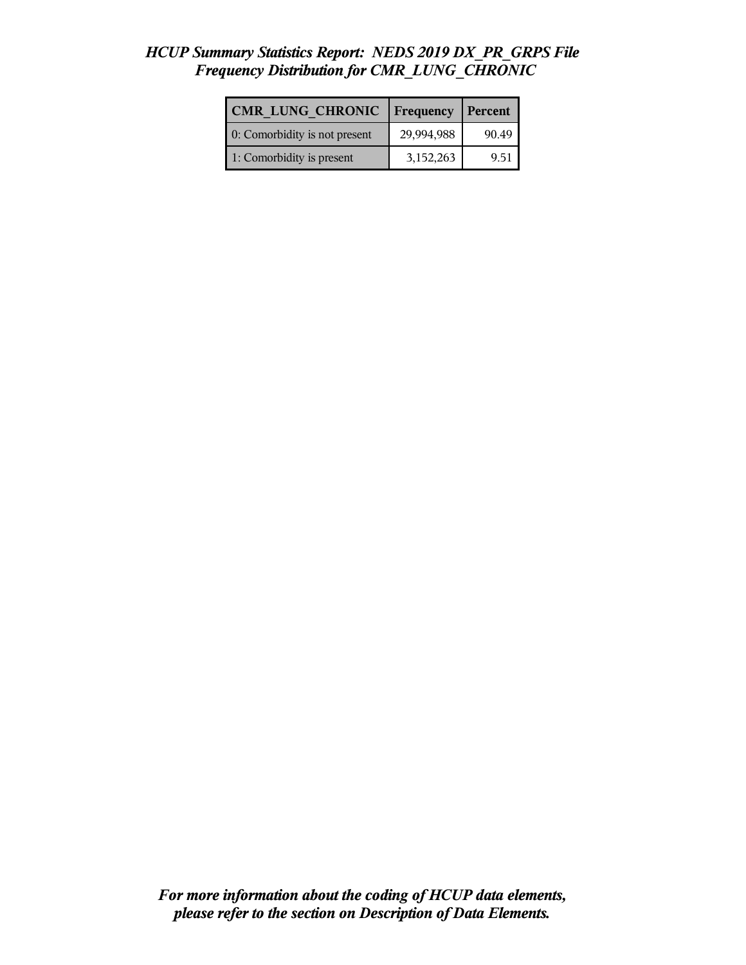## *HCUP Summary Statistics Report: NEDS 2019 DX\_PR\_GRPS File Frequency Distribution for CMR\_LUNG\_CHRONIC*

| CMR LUNG CHRONIC              | Frequency  | Percent |
|-------------------------------|------------|---------|
| 0: Comorbidity is not present | 29,994,988 | 90.49   |
| 1: Comorbidity is present     | 3,152,263  | 9.51    |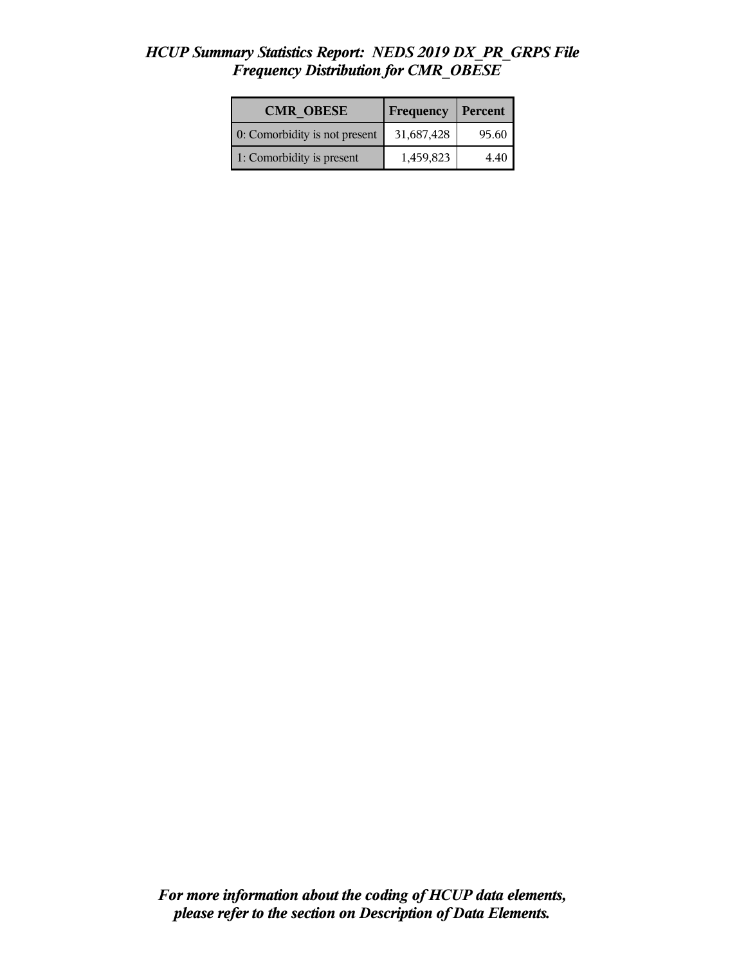#### *HCUP Summary Statistics Report: NEDS 2019 DX\_PR\_GRPS File Frequency Distribution for CMR\_OBESE*

| <b>CMR OBESE</b>              | Frequency  | Percent |
|-------------------------------|------------|---------|
| 0: Comorbidity is not present | 31,687,428 | 95.60   |
| 1: Comorbidity is present     | 1,459,823  | 440     |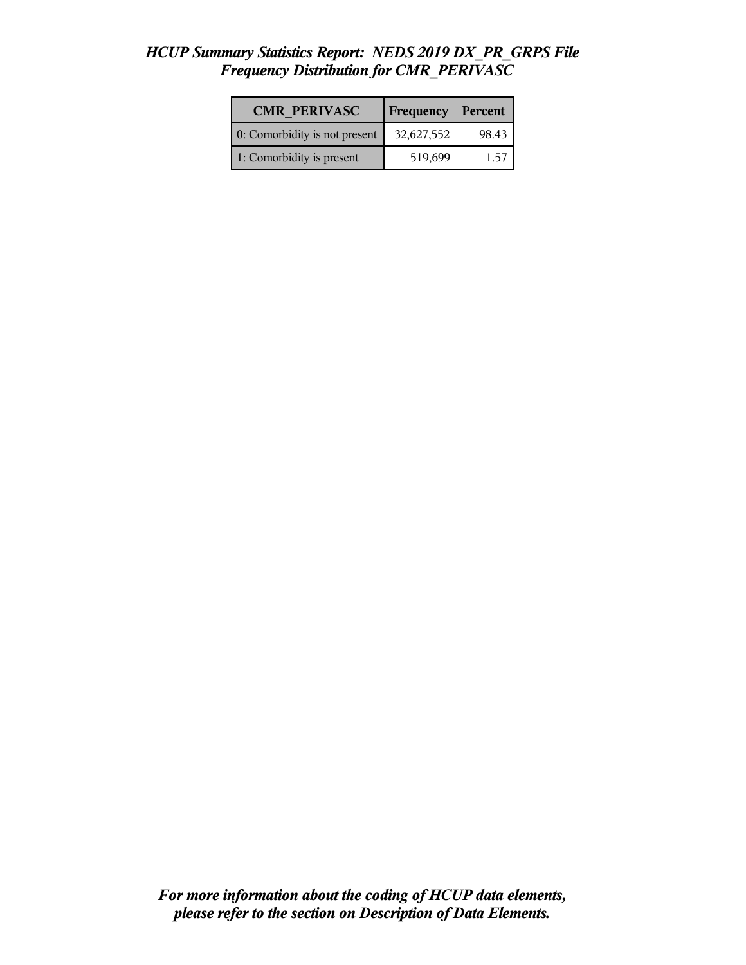#### *HCUP Summary Statistics Report: NEDS 2019 DX\_PR\_GRPS File Frequency Distribution for CMR\_PERIVASC*

| <b>CMR PERIVASC</b>           | Frequency  | Percent |
|-------------------------------|------------|---------|
| 0: Comorbidity is not present | 32,627,552 | 98.43   |
| 1: Comorbidity is present     | 519,699    | 157     |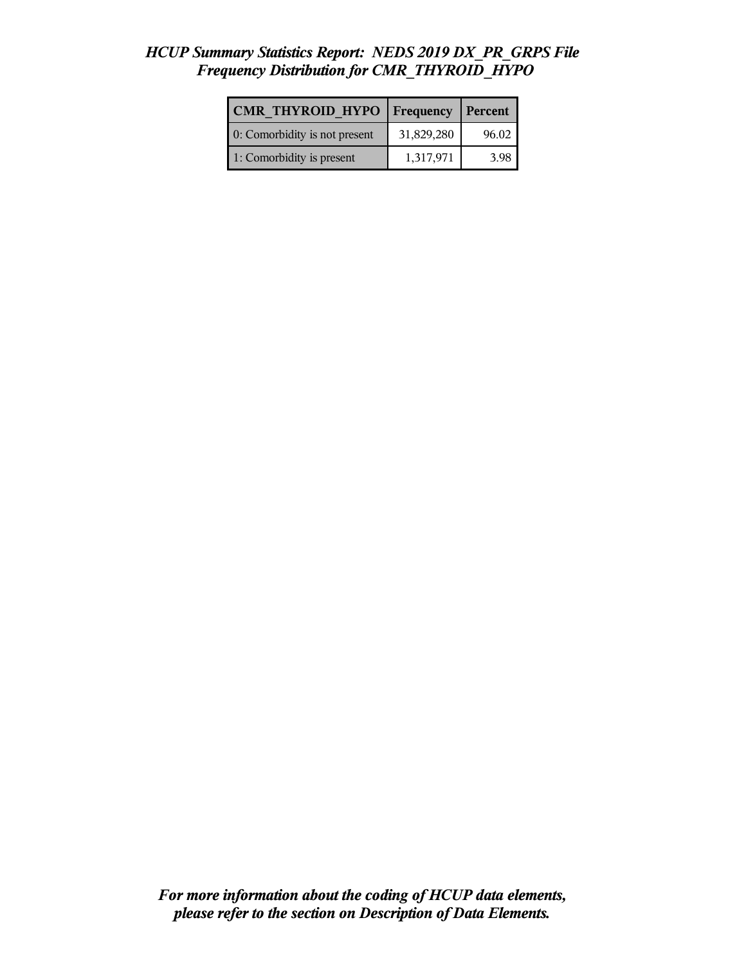## *HCUP Summary Statistics Report: NEDS 2019 DX\_PR\_GRPS File Frequency Distribution for CMR\_THYROID\_HYPO*

| <b>CMR THYROID HYPO</b>       | <b>Frequency</b> | Percent |
|-------------------------------|------------------|---------|
| 0: Comorbidity is not present | 31,829,280       | 96.02   |
| 1: Comorbidity is present     | 1,317,971        | 3.98    |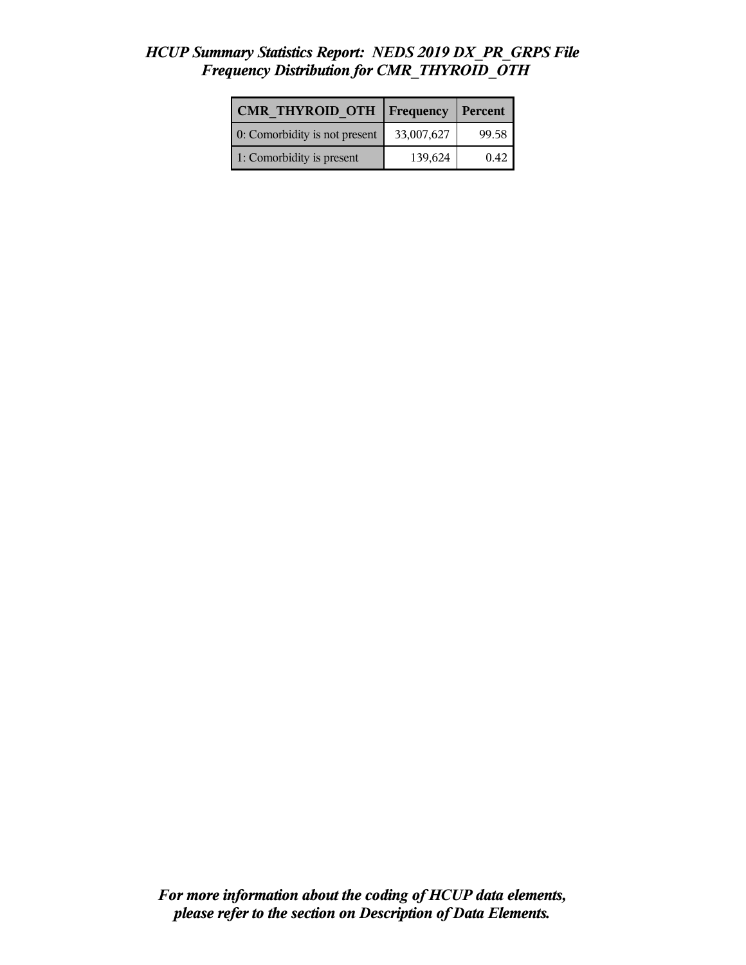## *HCUP Summary Statistics Report: NEDS 2019 DX\_PR\_GRPS File Frequency Distribution for CMR\_THYROID\_OTH*

| <b>CMR THYROID OTH</b>        | <b>Frequency</b> | <b>Percent</b> |
|-------------------------------|------------------|----------------|
| 0: Comorbidity is not present | 33,007,627       | 99.58          |
| 1: Comorbidity is present     | 139,624          | 0.42           |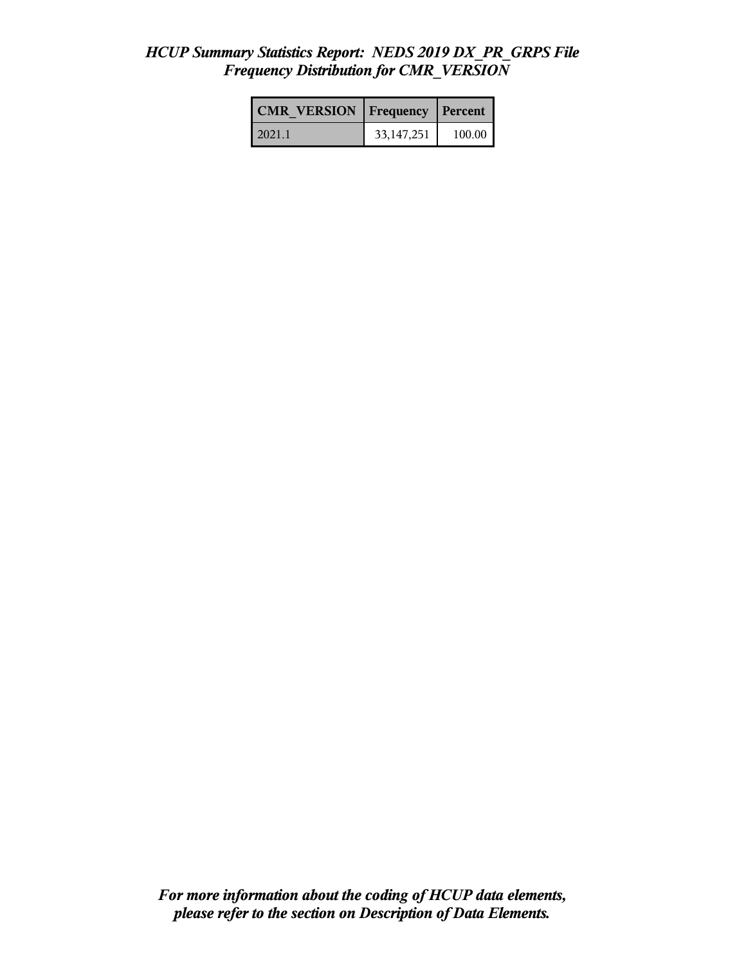#### *HCUP Summary Statistics Report: NEDS 2019 DX\_PR\_GRPS File Frequency Distribution for CMR\_VERSION*

| <b>CMR VERSION   Frequency   Percent</b> |              |        |
|------------------------------------------|--------------|--------|
| l 2021.1                                 | 33, 147, 251 | 100.00 |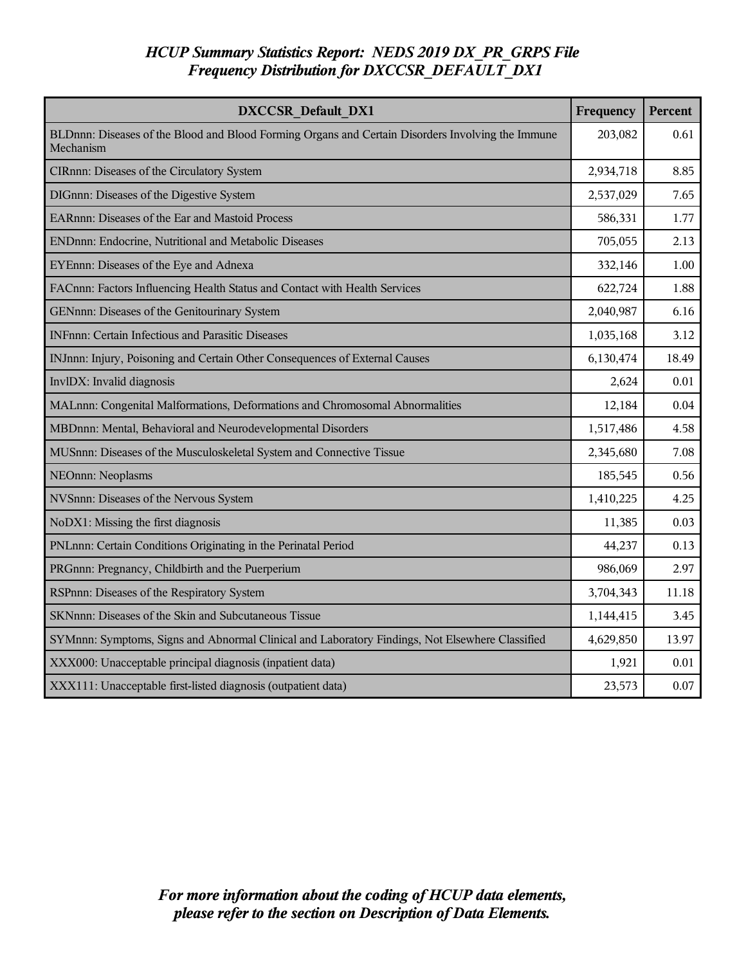## *HCUP Summary Statistics Report: NEDS 2019 DX\_PR\_GRPS File Frequency Distribution for DXCCSR\_DEFAULT\_DX1*

| <b>DXCCSR Default DX1</b>                                                                                      | Frequency | <b>Percent</b> |
|----------------------------------------------------------------------------------------------------------------|-----------|----------------|
| BLDnnn: Diseases of the Blood and Blood Forming Organs and Certain Disorders Involving the Immune<br>Mechanism | 203,082   | 0.61           |
| CIRnnn: Diseases of the Circulatory System                                                                     | 2,934,718 | 8.85           |
| DIGnnn: Diseases of the Digestive System                                                                       | 2,537,029 | 7.65           |
| EARnnn: Diseases of the Ear and Mastoid Process                                                                | 586,331   | 1.77           |
| ENDnnn: Endocrine, Nutritional and Metabolic Diseases                                                          | 705,055   | 2.13           |
| EYEnnn: Diseases of the Eye and Adnexa                                                                         | 332,146   | 1.00           |
| FACnnn: Factors Influencing Health Status and Contact with Health Services                                     | 622,724   | 1.88           |
| GENnnn: Diseases of the Genitourinary System                                                                   | 2,040,987 | 6.16           |
| <b>INFnnn: Certain Infectious and Parasitic Diseases</b>                                                       | 1,035,168 | 3.12           |
| INJnnn: Injury, Poisoning and Certain Other Consequences of External Causes                                    | 6,130,474 | 18.49          |
| InvlDX: Invalid diagnosis                                                                                      | 2,624     | 0.01           |
| MALnnn: Congenital Malformations, Deformations and Chromosomal Abnormalities                                   | 12,184    | 0.04           |
| MBDnnn: Mental, Behavioral and Neurodevelopmental Disorders                                                    | 1,517,486 | 4.58           |
| MUSnnn: Diseases of the Musculoskeletal System and Connective Tissue                                           | 2,345,680 | 7.08           |
| NEOnnn: Neoplasms                                                                                              | 185,545   | 0.56           |
| NVSnnn: Diseases of the Nervous System                                                                         | 1,410,225 | 4.25           |
| NoDX1: Missing the first diagnosis                                                                             | 11,385    | 0.03           |
| PNLnnn: Certain Conditions Originating in the Perinatal Period                                                 | 44,237    | 0.13           |
| PRGnnn: Pregnancy, Childbirth and the Puerperium                                                               | 986,069   | 2.97           |
| RSPnnn: Diseases of the Respiratory System                                                                     | 3,704,343 | 11.18          |
| SKNnnn: Diseases of the Skin and Subcutaneous Tissue                                                           | 1,144,415 | 3.45           |
| SYMnnn: Symptoms, Signs and Abnormal Clinical and Laboratory Findings, Not Elsewhere Classified                | 4,629,850 | 13.97          |
| XXX000: Unacceptable principal diagnosis (inpatient data)                                                      | 1,921     | 0.01           |
| XXX111: Unacceptable first-listed diagnosis (outpatient data)                                                  | 23,573    | 0.07           |